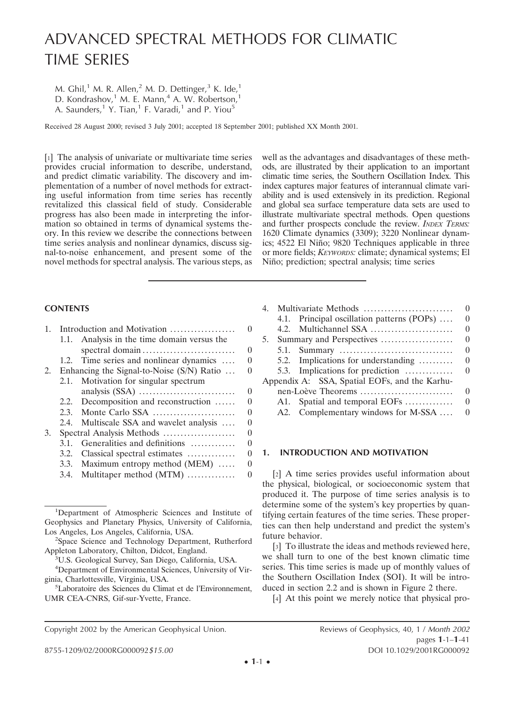# ADVANCED SPECTRAL METHODS FOR CLIMATIC TIME SERIES

M. Ghil,<sup>1</sup> M. R. Allen,<sup>2</sup> M. D. Dettinger,<sup>3</sup> K. Ide,<sup>1</sup> D. Kondrashov,<sup>1</sup> M. E. Mann,<sup>4</sup> A. W. Robertson,<sup>1</sup> A. Saunders,<sup>1</sup> Y. Tian,<sup>1</sup> F. Varadi,<sup>1</sup> and P. Yiou<sup>5</sup>

Received 28 August 2000; revised 3 July 2001; accepted 18 September 2001; published XX Month 2001.

[1] The analysis of univariate or multivariate time series provides crucial information to describe, understand, and predict climatic variability. The discovery and implementation of a number of novel methods for extracting useful information from time series has recently revitalized this classical field of study. Considerable progress has also been made in interpreting the information so obtained in terms of dynamical systems theory. In this review we describe the connections between time series analysis and nonlinear dynamics, discuss signal-to-noise enhancement, and present some of the novel methods for spectral analysis. The various steps, as

well as the advantages and disadvantages of these methods, are illustrated by their application to an important climatic time series, the Southern Oscillation Index. This index captures major features of interannual climate variability and is used extensively in its prediction. Regional and global sea surface temperature data sets are used to illustrate multivariate spectral methods. Open questions and further prospects conclude the review. *INDEX TERMS:* 1620 Climate dynamics (3309); 3220 Nonlinear dynamics; 4522 El Niño; 9820 Techniques applicable in three or more fields; *KEYWORDS:* climate; dynamical systems; El Niño; prediction; spectral analysis; time series

## **CONTENTS**

| $\mathbf{1}$ . |      | Introduction and Motivation                 | $\Omega$         |
|----------------|------|---------------------------------------------|------------------|
|                |      | 1.1. Analysis in the time domain versus the |                  |
|                |      |                                             | 0                |
|                |      | 1.2. Time series and nonlinear dynamics     | 0                |
| 2.             |      | Enhancing the Signal-to-Noise (S/N) Ratio   | 0                |
|                |      | 2.1. Motivation for singular spectrum       |                  |
|                |      |                                             | 0                |
|                |      | 2.2. Decomposition and reconstruction       | $\left( \right)$ |
|                |      |                                             | 0                |
|                | 2.4. | Multiscale SSA and wavelet analysis         | $\left( \right)$ |
| 3.             |      | Spectral Analysis Methods                   | $\Omega$         |
|                | 3.1. | Generalities and definitions                | $\left( \right)$ |
|                |      | 3.2. Classical spectral estimates           | 0                |
|                |      | 3.3. Maximum entropy method (MEM)           | $\left( \right)$ |
|                | 3.4. | Multitaper method (MTM)                     | 0                |

| $4_{\cdot}$ | Multivariate Methods                          | $\Omega$ |
|-------------|-----------------------------------------------|----------|
|             | 4.1. Principal oscillation patterns (POPs)    | $\Omega$ |
|             |                                               | $\Omega$ |
| 5.          | Summary and Perspectives                      | $\Omega$ |
|             |                                               | $\Omega$ |
|             | 5.2. Implications for understanding           | $\theta$ |
|             | 5.3. Implications for prediction              | $\Omega$ |
|             | Appendix A: SSA, Spatial EOFs, and the Karhu- |          |
|             | nen-Loève Theorems                            | $\Omega$ |
|             | A1. Spatial and temporal EOFs                 | $\Omega$ |
|             | A2. Complementary windows for M-SSA           | $\theta$ |

## **1. INTRODUCTION AND MOTIVATION**

[2] A time series provides useful information about the physical, biological, or socioeconomic system that produced it. The purpose of time series analysis is to determine some of the system's key properties by quantifying certain features of the time series. These properties can then help understand and predict the system's future behavior.

[3] To illustrate the ideas and methods reviewed here, we shall turn to one of the best known climatic time series. This time series is made up of monthly values of the Southern Oscillation Index (SOI). It will be introduced in section 2.2 and is shown in Figure 2 there.

[4] At this point we merely notice that physical pro-

<sup>&</sup>lt;sup>1</sup>Department of Atmospheric Sciences and Institute of Geophysics and Planetary Physics, University of California, Los Angeles, Los Angeles, California, USA. <sup>2</sup>

<sup>&</sup>lt;sup>2</sup>Space Science and Technology Department, Rutherford Appleton Laboratory, Chilton, Didcot, England. <sup>3</sup>

U.S. Geological Survey, San Diego, California, USA.

<sup>4</sup> Department of Environmental Sciences, University of Virginia, Charlottesville, Virginia, USA. <sup>5</sup>

Laboratoire des Sciences du Climat et de l'Environnement, UMR CEA-CNRS, Gif-sur-Yvette, France.

Copyright 2002 by the American Geophysical Union. Reviews of Geophysics, 40, 1 / *Month 2002*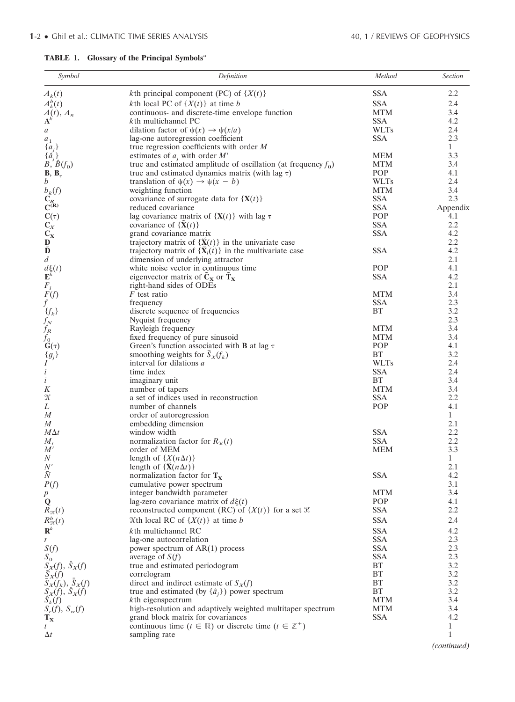## **TABLE 1. Glossary of the Principal Symbols**<sup>a</sup>

| Symbol                                                    | Definition                                                                       | Method      | <b>Section</b> |
|-----------------------------------------------------------|----------------------------------------------------------------------------------|-------------|----------------|
| $A_k(t)$                                                  | <i>k</i> th principal component (PC) of $\{X(t)\}$                               | <b>SSA</b>  | 2.2            |
| $A_k^b(t)$                                                | <i>k</i> th local PC of $\{X(t)\}\$ at time <i>b</i>                             | <b>SSA</b>  | 2.4            |
|                                                           | continuous- and discrete-time envelope function                                  | <b>MTM</b>  | 3.4            |
| $\overrightarrow{A}_{\mathbf{A}}^{(t)}$ , $A_n$           | kth multichannel PC                                                              | <b>SSA</b>  | 4.2            |
| $\boldsymbol{a}$                                          | dilation factor of $\psi(x) \to \psi(x/a)$                                       | <b>WLTs</b> | 2.4            |
| $\boldsymbol{a}_1$                                        | lag-one autoregression coefficient                                               | <b>SSA</b>  | 2.3            |
| ${a_j}$                                                   | true regression coefficients with order $M$                                      |             | $\mathbf{1}$   |
| $\{\hat{a}_j\}$                                           | estimates of $a_j$ with order $M'$                                               | <b>MEM</b>  | 3.3            |
| $\overline{B}, \overline{B}(f_0)$                         | true and estimated amplitude of oscillation (at frequency $f_0$ )                | <b>MTM</b>  | 3.4            |
| $\mathbf{B}, \mathbf{B}_{\tau}$                           | true and estimated dynamics matrix (with lag $\tau$ )                            | POP         | 4.1            |
| $\mathfrak{b}$                                            | translation of $\psi(x) \to \psi(x - b)$                                         | <b>WLTs</b> | 2.4            |
| $b_k(f)$                                                  | weighting function                                                               | <b>MTM</b>  | 3.4            |
| $\overline{C_R}$ $\overline{C^{(R)}}$                     | covariance of surrogate data for $\{X(t)\}\$                                     | <b>SSA</b>  | 2.3            |
|                                                           | reduced covariance                                                               | <b>SSA</b>  | Appendix       |
|                                                           | lag covariance matrix of $\{X(t)\}\$ with lag $\tau$                             | POP         | 4.1            |
| $\frac{C(\tau)}{C_X}$                                     | covariance of $\{\bar{\mathbf{X}}(t)\}\$                                         | <b>SSA</b>  | 2.2            |
|                                                           | grand covariance matrix                                                          | <b>SSA</b>  | 4.2            |
| $\mathbf D$                                               | trajectory matrix of $\{\mathbf{\bar{X}}(t)\}\$ in the univariate case           |             | 2.2            |
| $\tilde{\mathbf{D}}$                                      | trajectory matrix of $\{\tilde{\mathbf{X}}_l(t)\}\$ in the multivariate case     | <b>SSA</b>  | 4.2            |
| $\boldsymbol{d}$                                          | dimension of underlying attractor                                                |             | 2.1            |
| $\frac{d\xi(t)}{\mathbf{E}^k}$                            | white noise vector in continuous time                                            | POP         | 4.1            |
|                                                           | eigenvector matrix of $\tilde{C}_x$ or $\tilde{T}_x$                             | <b>SSA</b>  | 4.2            |
| $F_i$<br>$F(f)$                                           | right-hand sides of ODEs                                                         |             | 2.1            |
|                                                           | <i>F</i> test ratio                                                              | <b>MTM</b>  | 3.4            |
| $f_{-}$                                                   | frequency                                                                        | <b>SSA</b>  | 2.3            |
| $\{f_k\}$                                                 | discrete sequence of frequencies                                                 | BT          | 3.2<br>2.3     |
| $f_N$<br>$f_N$<br>$f_R$<br>$f_0$<br>$f_g$ }<br>$f$        | Nyquist frequency                                                                | <b>MTM</b>  | 3.4            |
|                                                           | Rayleigh frequency<br>fixed frequency of pure sinusoid                           | <b>MTM</b>  | 3.4            |
|                                                           | Green's function associated with <b>B</b> at lag $\tau$                          | POP         | 4.1            |
|                                                           | smoothing weights for $S_x(f_k)$                                                 | BT          | 3.2            |
|                                                           | interval for dilations a                                                         | <b>WLTs</b> | 2.4            |
| $\dot{i}$                                                 | time index                                                                       | <b>SSA</b>  | 2.4            |
| $\dot{i}$                                                 | imaginary unit                                                                   | BT          | 3.4            |
| K                                                         | number of tapers                                                                 | <b>MTM</b>  | 3.4            |
| $\mathcal H$                                              | a set of indices used in reconstruction                                          | <b>SSA</b>  | 2.2            |
| L                                                         | number of channels                                                               | POP         | 4.1            |
| M                                                         | order of autoregression                                                          |             | $\mathbf{1}$   |
| $\boldsymbol{M}$                                          | embedding dimension                                                              |             | 2.1            |
| $M\Delta t$                                               | window width                                                                     | <b>SSA</b>  | 2.2            |
| $M_t$                                                     | normalization factor for $R_{\mathcal{H}}(t)$                                    | <b>SSA</b>  | 2.2            |
| M'                                                        | order of MEM                                                                     | <b>MEM</b>  | 3.3            |
| N                                                         | length of $\{X(n\Delta t)\}\$                                                    |             | 1              |
| N'                                                        | length of $\{\bar{\mathbf{X}}(n\Delta t)\}\$                                     |             | 2.1            |
| $\bar{N}$                                                 | normalization factor for $T_x$                                                   | <b>SSA</b>  | 4.2            |
| P(f)                                                      | cumulative power spectrum                                                        |             | 3.1            |
| р                                                         | integer bandwidth parameter                                                      | <b>MTM</b>  | 3.4            |
| Q                                                         | lag-zero covariance matrix of $d\xi(t)$                                          | POP         | 4.1            |
| $R_{\mathcal{H}}(t)$                                      | reconstructed component (RC) of $\{X(t)\}\$ for a set $\mathcal K$               | <b>SSA</b>  | 2.2            |
| $R_{\mathcal{H}}^b(t)$                                    | $\mathcal{K}$ th local RC of $\{X(t)\}\$ at time b                               | <b>SSA</b>  | 2.4            |
| $\mathbf{R}^k$                                            | kth multichannel RC                                                              | <b>SSA</b>  | 4.2            |
| r                                                         | lag-one autocorrelation                                                          | <b>SSA</b>  | 2.3            |
| S(f)                                                      | power spectrum of $AR(1)$ process                                                | <b>SSA</b>  | 2.3            |
|                                                           | average of $S(f)$                                                                | <b>SSA</b>  | 2.3            |
|                                                           | true and estimated periodogram                                                   | BT          | 3.2            |
| $S_0$<br>$S_X(f)$ , $\hat{S}_X(f)$<br>$\overline{S}_X(f)$ | correlogram                                                                      | BT          | 3.2            |
| $\bar{S}_X(f_k), \bar{S}_X(f)$                            | direct and indirect estimate of $S_X(f)$                                         | BT          | 3.2            |
|                                                           | true and estimated (by $\{\hat{a}_i\}$ ) power spectrum                          | BT          | 3.2            |
| $S_X(f), S_X(f)$<br>$\hat{S}_k(f)$                        | kth eigenspectrum                                                                | <b>MTM</b>  | 3.4            |
| $S_r(f), S_w(f)$                                          | high-resolution and adaptively weighted multitaper spectrum                      | <b>MTM</b>  | 3.4            |
| $\mathbf{T}_\mathbf{X}$                                   | grand block matrix for covariances                                               | <b>SSA</b>  | 4.2            |
| t                                                         | continuous time ( $t \in \mathbb{R}$ ) or discrete time ( $t \in \mathbb{Z}^+$ ) |             | 1              |
| $\Delta t$                                                | sampling rate                                                                    |             | 1              |
|                                                           |                                                                                  |             | (continued)    |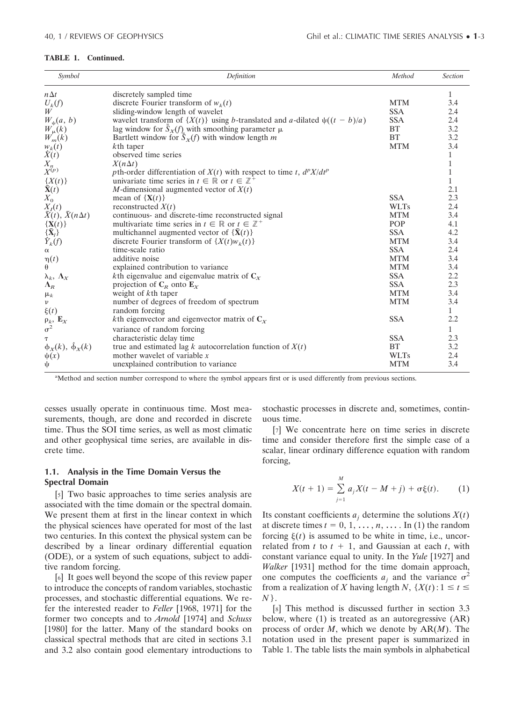#### **TABLE 1. Continued.**

| Symbol                                              | Definition                                                                        | Method      | <b>Section</b> |
|-----------------------------------------------------|-----------------------------------------------------------------------------------|-------------|----------------|
| $n\Delta t$                                         | discretely sampled time                                                           |             | 1              |
| $U_k(f)$                                            | discrete Fourier transform of $w_k(t)$                                            | <b>MTM</b>  | 3.4            |
| W                                                   | sliding-window length of wavelet                                                  | <b>SSA</b>  | 2.4            |
| $W_{\psi}(a, b)$                                    | wavelet transform of $\{X(t)\}\$ using b-translated and a-dilated $\psi((t-b)/a)$ | <b>SSA</b>  | 2.4            |
|                                                     | lag window for $\bar{S}_X(f)$ with smoothing parameter $\mu$                      | BT          | 3.2            |
| $W_{\mu}(k)$<br>$W_{m}(k)$                          | Bartlett window for $\bar{S}_X(f)$ with window length m                           | <b>BT</b>   | 3.2            |
|                                                     | kth taper                                                                         | <b>MTM</b>  | 3.4            |
| $\hat{X}(t)$<br>$\hat{X}(t)$                        | observed time series                                                              |             |                |
| $\overline{X_n}^p$                                  | $X(n\Delta t)$                                                                    |             | $\mathbf{1}$   |
|                                                     | pth-order differentiation of $X(t)$ with respect to time t, $d^p X/dt^p$          |             | 1              |
|                                                     | univariate time series in $t \in \mathbb{R}$ or $t \in \mathbb{Z}^+$              |             | $\mathbf{1}$   |
| $\frac{\{X(t)\}}{\tilde{\mathbf{X}}(t)}$            | M-dimensional augmented vector of $X(t)$                                          |             | 2.1            |
| $X_{0}$                                             | mean of $\{X(t)\}\)$                                                              | <b>SSA</b>  | 2.3            |
|                                                     | reconstructed $X(t)$                                                              | <b>WLTs</b> | 2.4            |
| $\frac{X_I(t)}{\tilde{X}(t), \tilde{X}(n\Delta t)}$ | continuous- and discrete-time reconstructed signal                                | <b>MTM</b>  | 3.4            |
| $\{X(t)\}\$                                         | multivariate time series in $t \in \mathbb{R}$ or $t \in \mathbb{Z}^+$            | POP         | 4.1            |
| $\{\tilde{\mathbf{X}}_l\}$                          | multichannel augmented vector of $\{\mathbf{\bar{X}}(t)\}$                        | <b>SSA</b>  | 4.2            |
| $\hat{Y}_k(f)$                                      | discrete Fourier transform of $\{X(t)w_k(t)\}$                                    | <b>MTM</b>  | 3.4            |
| $\alpha$                                            | time-scale ratio                                                                  | <b>SSA</b>  | 2.4            |
| $\eta(t)$                                           | additive noise                                                                    | <b>MTM</b>  | 3.4            |
| $\theta$                                            | explained contribution to variance                                                | <b>MTM</b>  | 3.4            |
| $\lambda_k, \Lambda_X$                              | kth eigenvalue and eigenvalue matrix of $C_x$                                     | <b>SSA</b>  | 2.2            |
| $\Lambda_R$                                         | projection of $C_R$ onto $E_X$                                                    | <b>SSA</b>  | 2.3            |
| $\mu_k$                                             | weight of kth taper                                                               | <b>MTM</b>  | 3.4            |
| $\boldsymbol{\nu}$                                  | number of degrees of freedom of spectrum                                          | <b>MTM</b>  | 3.4            |
| $\xi(t)$                                            | random forcing                                                                    |             | $\mathbf{1}$   |
|                                                     | <i>k</i> th eigenvector and eigenvector matrix of $C_x$                           | <b>SSA</b>  | 2.2            |
| $\frac{\rho_k}{\sigma^2}$ , $\mathbf{E}_X$          | variance of random forcing                                                        |             | $\mathbf{1}$   |
| т                                                   | characteristic delay time                                                         | <b>SSA</b>  | 2.3            |
| $\phi_X(k)$ , $\hat{\phi}_X(k)$                     | true and estimated lag k autocorrelation function of $X(t)$                       | BT          | 3.2            |
| $\psi(x)$                                           | mother wavelet of variable $x$                                                    | <b>WLTs</b> | 2.4            |
| ψ                                                   | unexplained contribution to variance                                              | <b>MTM</b>  | 3.4            |
|                                                     |                                                                                   |             |                |

<sup>a</sup>Method and section number correspond to where the symbol appears first or is used differently from previous sections.

cesses usually operate in continuous time. Most measurements, though, are done and recorded in discrete time. Thus the SOI time series, as well as most climatic and other geophysical time series, are available in discrete time.

## **1.1. Analysis in the Time Domain Versus the Spectral Domain**

[5] Two basic approaches to time series analysis are associated with the time domain or the spectral domain. We present them at first in the linear context in which the physical sciences have operated for most of the last two centuries. In this context the physical system can be described by a linear ordinary differential equation (ODE), or a system of such equations, subject to additive random forcing.

[6] It goes well beyond the scope of this review paper to introduce the concepts of random variables, stochastic processes, and stochastic differential equations. We refer the interested reader to *Feller* [1968, 1971] for the former two concepts and to *Arnold* [1974] and *Schuss* [1980] for the latter. Many of the standard books on classical spectral methods that are cited in sections 3.1 and 3.2 also contain good elementary introductions to stochastic processes in discrete and, sometimes, continuous time.

[7] We concentrate here on time series in discrete time and consider therefore first the simple case of a scalar, linear ordinary difference equation with random forcing,

$$
X(t + 1) = \sum_{j=1}^{M} a_j X(t - M + j) + \sigma \xi(t). \tag{1}
$$

Its constant coefficients  $a_i$  determine the solutions  $X(t)$ at discrete times  $t = 0, 1, \dots, n, \dots$  In (1) the random forcing  $\xi(t)$  is assumed to be white in time, i.e., uncorrelated from  $t$  to  $t + 1$ , and Gaussian at each  $t$ , with constant variance equal to unity. In the *Yule* [1927] and *Walker* [1931] method for the time domain approach, one computes the coefficients  $a_i$  and the variance  $\sigma^2$ from a realization of *X* having length *N*,  $\{X(t): 1 \le t \le t\}$ *N* }.

[8] This method is discussed further in section 3.3 below, where (1) is treated as an autoregressive (AR) process of order *M*, which we denote by AR(*M*). The notation used in the present paper is summarized in Table 1. The table lists the main symbols in alphabetical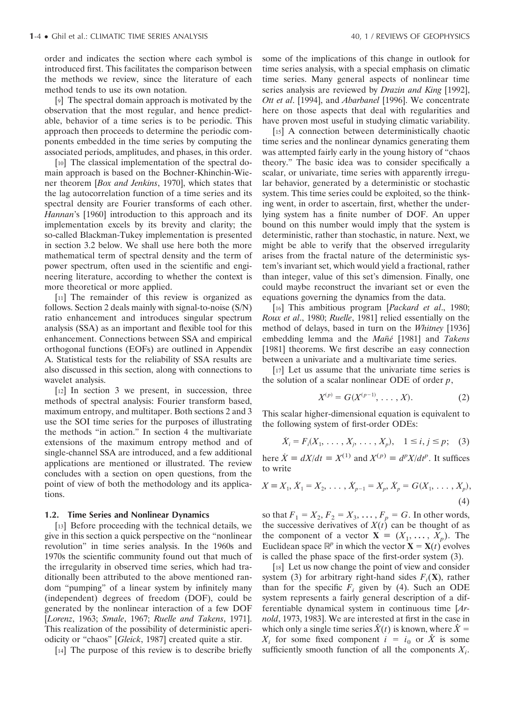order and indicates the section where each symbol is introduced first. This facilitates the comparison between the methods we review, since the literature of each method tends to use its own notation.

[9] The spectral domain approach is motivated by the observation that the most regular, and hence predictable, behavior of a time series is to be periodic. This approach then proceeds to determine the periodic components embedded in the time series by computing the associated periods, amplitudes, and phases, in this order.

[10] The classical implementation of the spectral domain approach is based on the Bochner-Khinchin-Wiener theorem [*Box and Jenkins*, 1970], which states that the lag autocorrelation function of a time series and its spectral density are Fourier transforms of each other. *Hannan*'s [1960] introduction to this approach and its implementation excels by its brevity and clarity; the so-called Blackman-Tukey implementation is presented in section 3.2 below. We shall use here both the more mathematical term of spectral density and the term of power spectrum, often used in the scientific and engineering literature, according to whether the context is more theoretical or more applied.

[11] The remainder of this review is organized as follows. Section 2 deals mainly with signal-to-noise (S/N) ratio enhancement and introduces singular spectrum analysis (SSA) as an important and flexible tool for this enhancement. Connections between SSA and empirical orthogonal functions (EOFs) are outlined in Appendix A. Statistical tests for the reliability of SSA results are also discussed in this section, along with connections to wavelet analysis.

[12] In section 3 we present, in succession, three methods of spectral analysis: Fourier transform based, maximum entropy, and multitaper. Both sections 2 and 3 use the SOI time series for the purposes of illustrating the methods "in action." In section 4 the multivariate extensions of the maximum entropy method and of single-channel SSA are introduced, and a few additional applications are mentioned or illustrated. The review concludes with a section on open questions, from the point of view of both the methodology and its applications.

#### **1.2. Time Series and Nonlinear Dynamics**

[13] Before proceeding with the technical details, we give in this section a quick perspective on the "nonlinear revolution" in time series analysis. In the 1960s and 1970s the scientific community found out that much of the irregularity in observed time series, which had traditionally been attributed to the above mentioned random "pumping" of a linear system by infinitely many (independent) degrees of freedom (DOF), could be generated by the nonlinear interaction of a few DOF [*Lorenz*, 1963; *Smale*, 1967; *Ruelle and Takens*, 1971]. This realization of the possibility of deterministic aperiodicity or "chaos" [*Gleick*, 1987] created quite a stir.

[14] The purpose of this review is to describe briefly

some of the implications of this change in outlook for time series analysis, with a special emphasis on climatic time series. Many general aspects of nonlinear time series analysis are reviewed by *Drazin and King* [1992], *Ott et al*. [1994], and *Abarbanel* [1996]. We concentrate here on those aspects that deal with regularities and have proven most useful in studying climatic variability.

[15] A connection between deterministically chaotic time series and the nonlinear dynamics generating them was attempted fairly early in the young history of "chaos theory." The basic idea was to consider specifically a scalar, or univariate, time series with apparently irregular behavior, generated by a deterministic or stochastic system. This time series could be exploited, so the thinking went, in order to ascertain, first, whether the underlying system has a finite number of DOF. An upper bound on this number would imply that the system is deterministic, rather than stochastic, in nature. Next, we might be able to verify that the observed irregularity arises from the fractal nature of the deterministic system's invariant set, which would yield a fractional, rather than integer, value of this set's dimension. Finally, one could maybe reconstruct the invariant set or even the equations governing the dynamics from the data.

[16] This ambitious program [*Packard et al*., 1980; *Roux et al*., 1980; *Ruelle*, 1981] relied essentially on the method of delays, based in turn on the *Whitney* [1936] embedding lemma and the *Mañé* [1981] and *Takens* [1981] theorems. We first describe an easy connection between a univariate and a multivariate time series.

[17] Let us assume that the univariate time series is the solution of a scalar nonlinear ODE of order *p*,

$$
X^{(p)} = G(X^{(p-1)}, \ldots, X). \tag{2}
$$

This scalar higher-dimensional equation is equivalent to the following system of first-order ODEs:

$$
\dot{X}_i = F_i(X_1, \ldots, X_j, \ldots, X_p), \quad 1 \le i, j \le p;
$$
 (3)

here  $\dot{X} \equiv dX/dt \equiv X^{(1)}$  and  $X^{(p)} \equiv d^p X/dt^p$ . It suffices to write

$$
X \equiv X_1, \, \dot{X}_1 = X_2, \, \dots, \, \dot{X}_{p-1} = X_p, \, \dot{X}_p = G(X_1, \, \dots, X_p), \tag{4}
$$

so that  $F_1 = X_2, F_2 = X_3, ..., F_p = G$ . In other words, the successive derivatives of  $X(t)$  can be thought of as the component of a vector  $X = (X_1, \ldots, X_p)$ . The Euclidean space  $\mathbb{R}^p$  in which the vector  $\mathbf{X} = \mathbf{X}(t)$  evolves is called the phase space of the first-order system (3).

[18] Let us now change the point of view and consider system (3) for arbitrary right-hand sides  $F_i(\mathbf{X})$ , rather than for the specific  $F_i$  given by (4). Such an ODE system represents a fairly general description of a differentiable dynamical system in continuous time [*Arnold*, 1973, 1983]. We are interested at first in the case in which only a single time series  $\hat{X}(t)$  is known, where  $\hat{X} =$  $X_i$  for some fixed component  $i = i_0$  or  $\hat{X}$  is some sufficiently smooth function of all the components  $X_i$ .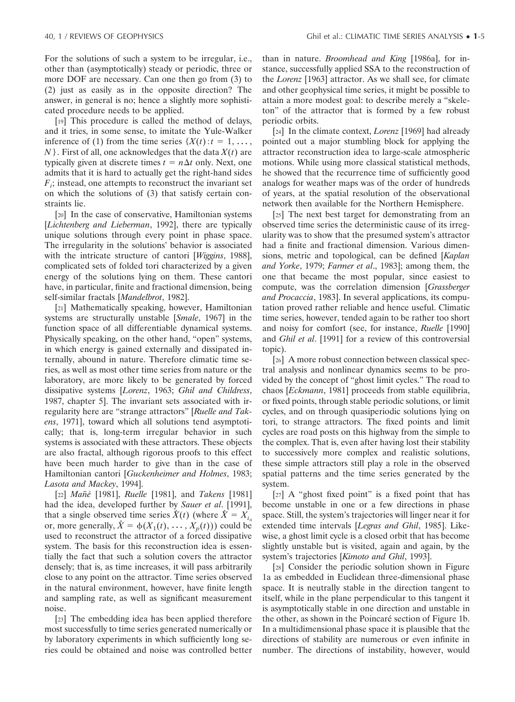For the solutions of such a system to be irregular, i.e., other than (asymptotically) steady or periodic, three or more DOF are necessary. Can one then go from (3) to (2) just as easily as in the opposite direction? The answer, in general is no; hence a slightly more sophisticated procedure needs to be applied.

[19] This procedure is called the method of delays, and it tries, in some sense, to imitate the Yule-Walker inference of (1) from the time series  $\{X(t): t = 1, \ldots,$ *N* }. First of all, one acknowledges that the data *X*(*t*) are typically given at discrete times  $t = n\Delta t$  only. Next, one admits that it is hard to actually get the right-hand sides  $F_i$ ; instead, one attempts to reconstruct the invariant set on which the solutions of (3) that satisfy certain constraints lie.

[20] In the case of conservative, Hamiltonian systems [*Lichtenberg and Lieberman*, 1992], there are typically unique solutions through every point in phase space. The irregularity in the solutions' behavior is associated with the intricate structure of cantori [*Wiggins*, 1988], complicated sets of folded tori characterized by a given energy of the solutions lying on them. These cantori have, in particular, finite and fractional dimension, being self-similar fractals [*Mandelbrot*, 1982].

[21] Mathematically speaking, however, Hamiltonian systems are structurally unstable [*Smale*, 1967] in the function space of all differentiable dynamical systems. Physically speaking, on the other hand, "open" systems, in which energy is gained externally and dissipated internally, abound in nature. Therefore climatic time series, as well as most other time series from nature or the laboratory, are more likely to be generated by forced dissipative systems [*Lorenz*, 1963; *Ghil and Childress*, 1987, chapter 5]. The invariant sets associated with irregularity here are "strange attractors" [*Ruelle and Takens*, 1971], toward which all solutions tend asymptotically; that is, long-term irregular behavior in such systems is associated with these attractors. These objects are also fractal, although rigorous proofs to this effect have been much harder to give than in the case of Hamiltonian cantori [*Guckenheimer and Holmes*, 1983; *Lasota and Mackey*, 1994].

[22] *Man*˜*´e* [1981], *Ruelle* [1981], and *Takens* [1981] had the idea, developed further by *Sauer et al*. [1991], that a single observed time series  $\hat{X}(t)$  (where  $\hat{X} = X_{i_0}$ or, more generally,  $\hat{X} = \phi(X_1(t), \dots, X_p(t))$  could be used to reconstruct the attractor of a forced dissipative system. The basis for this reconstruction idea is essentially the fact that such a solution covers the attractor densely; that is, as time increases, it will pass arbitrarily close to any point on the attractor. Time series observed in the natural environment, however, have finite length and sampling rate, as well as significant measurement noise.

[23] The embedding idea has been applied therefore most successfully to time series generated numerically or by laboratory experiments in which sufficiently long series could be obtained and noise was controlled better than in nature. *Broomhead and King* [1986a], for instance, successfully applied SSA to the reconstruction of the *Lorenz* [1963] attractor. As we shall see, for climate and other geophysical time series, it might be possible to attain a more modest goal: to describe merely a "skeleton" of the attractor that is formed by a few robust periodic orbits.

[24] In the climate context, *Lorenz* [1969] had already pointed out a major stumbling block for applying the attractor reconstruction idea to large-scale atmospheric motions. While using more classical statistical methods, he showed that the recurrence time of sufficiently good analogs for weather maps was of the order of hundreds of years, at the spatial resolution of the observational network then available for the Northern Hemisphere.

[25] The next best target for demonstrating from an observed time series the deterministic cause of its irregularity was to show that the presumed system's attractor had a finite and fractional dimension. Various dimensions, metric and topological, can be defined [*Kaplan and Yorke*, 1979; *Farmer et al*., 1983]; among them, the one that became the most popular, since easiest to compute, was the correlation dimension [*Grassberger and Procaccia*, 1983]. In several applications, its computation proved rather reliable and hence useful. Climatic time series, however, tended again to be rather too short and noisy for comfort (see, for instance, *Ruelle* [1990] and *Ghil et al*. [1991] for a review of this controversial topic).

[26] A more robust connection between classical spectral analysis and nonlinear dynamics seems to be provided by the concept of "ghost limit cycles." The road to chaos [*Eckmann*, 1981] proceeds from stable equilibria, or fixed points, through stable periodic solutions, or limit cycles, and on through quasiperiodic solutions lying on tori, to strange attractors. The fixed points and limit cycles are road posts on this highway from the simple to the complex. That is, even after having lost their stability to successively more complex and realistic solutions, these simple attractors still play a role in the observed spatial patterns and the time series generated by the system.

[27] A "ghost fixed point" is a fixed point that has become unstable in one or a few directions in phase space. Still, the system's trajectories will linger near it for extended time intervals [*Legras and Ghil*, 1985]. Likewise, a ghost limit cycle is a closed orbit that has become slightly unstable but is visited, again and again, by the system's trajectories [*Kimoto and Ghil*, 1993].

[28] Consider the periodic solution shown in Figure 1a as embedded in Euclidean three-dimensional phase space. It is neutrally stable in the direction tangent to itself, while in the plane perpendicular to this tangent it is asymptotically stable in one direction and unstable in the other, as shown in the Poincaré section of Figure 1b. In a multidimensional phase space it is plausible that the directions of stability are numerous or even infinite in number. The directions of instability, however, would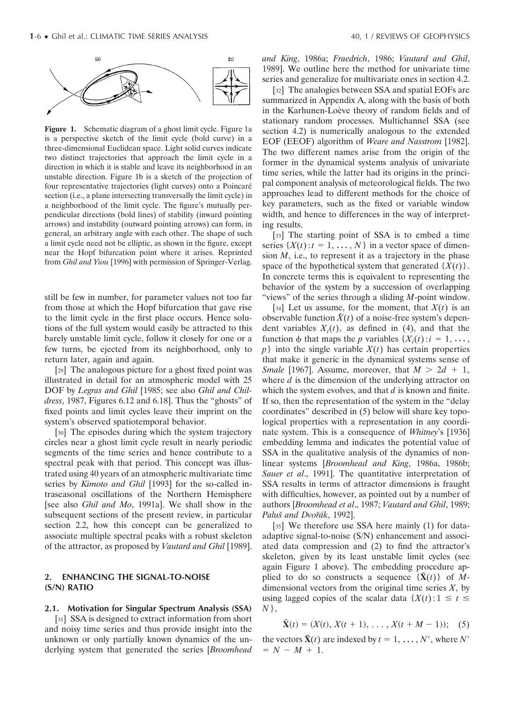

Figure 1. Schematic diagram of a ghost limit cycle. Figure 1a is a perspective sketch of the limit cycle (bold curve) in a three-dimensional Euclidean space. Light solid curves indicate two distinct trajectories that approach the limit cycle in a direction in which it is stable and leave its neighborhood in an unstable direction. Figure 1b is a sketch of the projection of four representative trajectories (light curves) onto a Poincaré section (i.e., a plane intersecting transversally the limit cycle) in a neighborhood of the limit cycle. The figure's mutually perpendicular directions (bold lines) of stability (inward pointing arrows) and instability (outward pointing arrows) can form, in general, an arbitrary angle with each other. The shape of such a limit cycle need not be elliptic, as shown in the figure, except near the Hopf bifurcation point where it arises. Reprinted from *Ghil and Yiou* [1996] with permission of Springer-Verlag.

still be few in number, for parameter values not too far from those at which the Hopf bifurcation that gave rise to the limit cycle in the first place occurs. Hence solutions of the full system would easily be attracted to this barely unstable limit cycle, follow it closely for one or a few turns, be ejected from its neighborhood, only to return later, again and again.

[29] The analogous picture for a ghost fixed point was illustrated in detail for an atmospheric model with 25 DOF by *Legras and Ghil* [1985; see also *Ghil and Childress*, 1987, Figures 6.12 and 6.18]. Thus the "ghosts" of fixed points and limit cycles leave their imprint on the system's observed spatiotemporal behavior.

[30] The episodes during which the system trajectory circles near a ghost limit cycle result in nearly periodic segments of the time series and hence contribute to a spectral peak with that period. This concept was illustrated using 40 years of an atmospheric multivariate time series by *Kimoto and Ghil* [1993] for the so-called intraseasonal oscillations of the Northern Hemisphere [see also *Ghil and Mo*, 1991a]. We shall show in the subsequent sections of the present review, in particular section 2.2, how this concept can be generalized to associate multiple spectral peaks with a robust skeleton of the attractor, as proposed by *Vautard and Ghil* [1989].

## **2. ENHANCING THE SIGNAL-TO-NOISE (S/N) RATIO**

#### **2.1. Motivation for Singular Spectrum Analysis (SSA)**

[31] SSA is designed to extract information from short and noisy time series and thus provide insight into the unknown or only partially known dynamics of the underlying system that generated the series [*Broomhead* *and King*, 1986a; *Fraedrich*, 1986; *Vautard and Ghil*, 1989]. We outline here the method for univariate time series and generalize for multivariate ones in section 4.2.

[32] The analogies between SSA and spatial EOFs are summarized in Appendix A, along with the basis of both in the Karhunen-Loève theory of random fields and of stationary random processes. Multichannel SSA (see section 4.2) is numerically analogous to the extended EOF (EEOF) algorithm of *Weare and Nasstrom* [1982]. The two different names arise from the origin of the former in the dynamical systems analysis of univariate time series, while the latter had its origins in the principal component analysis of meteorological fields. The two approaches lead to different methods for the choice of key parameters, such as the fixed or variable window width, and hence to differences in the way of interpreting results.

[33] The starting point of SSA is to embed a time series  $\{X(t): t = 1, \ldots, N\}$  in a vector space of dimension  $M$ , i.e., to represent it as a trajectory in the phase space of the hypothetical system that generated  $\{X(t)\}\.$ In concrete terms this is equivalent to representing the behavior of the system by a succession of overlapping "views" of the series through a sliding *M*-point window.

[34] Let us assume, for the moment, that  $X(t)$  is an observable function  $\hat{X}(t)$  of a noise-free system's dependent variables  $X_i(t)$ , as defined in (4), and that the function  $\phi$  that maps the *p* variables  $\{X_i(t): i = 1, \ldots, \}$  $p$ } into the single variable  $X(t)$  has certain properties that make it generic in the dynamical systems sense of *Smale* [1967]. Assume, moreover, that  $M > 2d + 1$ , where *d* is the dimension of the underlying attractor on which the system evolves, and that *d* is known and finite. If so, then the representation of the system in the "delay coordinates" described in (5) below will share key topological properties with a representation in any coordinate system. This is a consequence of *Whitney*'s [1936] embedding lemma and indicates the potential value of SSA in the qualitative analysis of the dynamics of nonlinear systems [*Broomhead and King*, 1986a, 1986b; *Sauer et al*., 1991]. The quantitative interpretation of SSA results in terms of attractor dimensions is fraught with difficulties, however, as pointed out by a number of authors [*Broomhead et al*., 1987; *Vautard and Ghil*, 1989; Paluš and Dvořák, 1992].

[35] We therefore use SSA here mainly (1) for dataadaptive signal-to-noise (S/N) enhancement and associated data compression and (2) to find the attractor's skeleton, given by its least unstable limit cycles (see again Figure 1 above). The embedding procedure applied to do so constructs a sequence  $\{\tilde{\mathbf{X}}(t)\}\)$  of *M*dimensional vectors from the original time series *X*, by using lagged copies of the scalar data  $\{X(t): 1 \le t \le t\}$ *N* },

$$
\tilde{\mathbf{X}}(t) = (X(t), X(t+1), \dots, X(t+M-1)); \quad (5)
$$

the vectors  $\tilde{\mathbf{X}}(t)$  are indexed by  $t = 1, \dots, N'$ , where  $N'$  $= N - M + 1.$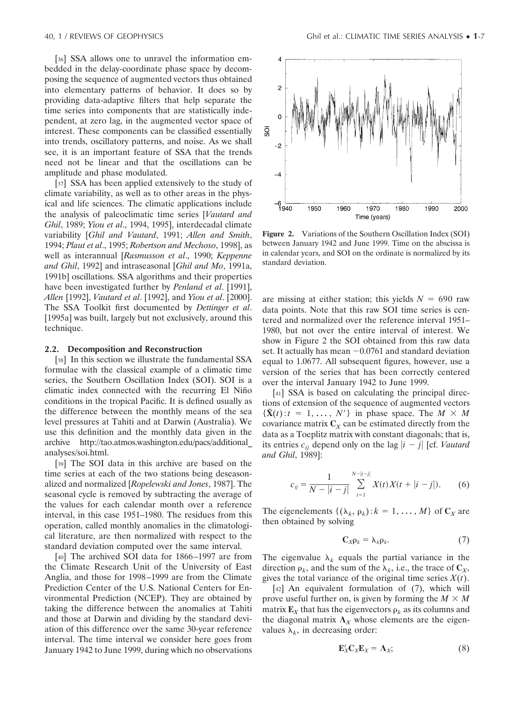[36] SSA allows one to unravel the information embedded in the delay-coordinate phase space by decomposing the sequence of augmented vectors thus obtained into elementary patterns of behavior. It does so by providing data-adaptive filters that help separate the time series into components that are statistically independent, at zero lag, in the augmented vector space of interest. These components can be classified essentially into trends, oscillatory patterns, and noise. As we shall see, it is an important feature of SSA that the trends need not be linear and that the oscillations can be amplitude and phase modulated.

[37] SSA has been applied extensively to the study of climate variability, as well as to other areas in the physical and life sciences. The climatic applications include the analysis of paleoclimatic time series [*Vautard and Ghil*, 1989; *Yiou et al*., 1994, 1995], interdecadal climate variability [*Ghil and Vautard*, 1991; *Allen and Smith*, 1994; *Plaut et al*., 1995; *Robertson and Mechoso*, 1998], as well as interannual [*Rasmusson et al*., 1990; *Keppenne and Ghil*, 1992] and intraseasonal [*Ghil and Mo*, 1991a, 1991b] oscillations. SSA algorithms and their properties have been investigated further by *Penland et al*. [1991], *Allen* [1992], *Vautard et al*. [1992], and *Yiou et al*. [2000]. The SSA Toolkit first documented by *Dettinger et al*. [1995a] was built, largely but not exclusively, around this technique.

#### **2.2. Decomposition and Reconstruction**

[38] In this section we illustrate the fundamental SSA formulae with the classical example of a climatic time series, the Southern Oscillation Index (SOI). SOI is a climatic index connected with the recurring El Niño conditions in the tropical Pacific. It is defined usually as the difference between the monthly means of the sea level pressures at Tahiti and at Darwin (Australia). We use this definition and the monthly data given in the archive http://tao.atmos.washington.edu/pacs/additional\_ analyses/soi.html.

[39] The SOI data in this archive are based on the time series at each of the two stations being deseasonalized and normalized [*Ropelewski and Jones*, 1987]. The seasonal cycle is removed by subtracting the average of the values for each calendar month over a reference interval, in this case 1951–1980. The residues from this operation, called monthly anomalies in the climatological literature, are then normalized with respect to the standard deviation computed over the same interval.

[40] The archived SOI data for 1866–1997 are from the Climate Research Unit of the University of East Anglia, and those for 1998–1999 are from the Climate Prediction Center of the U.S. National Centers for Environmental Prediction (NCEP). They are obtained by taking the difference between the anomalies at Tahiti and those at Darwin and dividing by the standard deviation of this difference over the same 30-year reference interval. The time interval we consider here goes from January 1942 to June 1999, during which no observations



**Figure 2.** Variations of the Southern Oscillation Index (SOI) between January 1942 and June 1999. Time on the abscissa is in calendar years, and SOI on the ordinate is normalized by its standard deviation.

are missing at either station; this yields  $N = 690$  raw data points. Note that this raw SOI time series is centered and normalized over the reference interval 1951– 1980, but not over the entire interval of interest. We show in Figure 2 the SOI obtained from this raw data set. It actually has mean  $-0.0761$  and standard deviation equal to 1.0677. All subsequent figures, however, use a version of the series that has been correctly centered over the interval January 1942 to June 1999.

[41] SSA is based on calculating the principal directions of extension of the sequence of augmented vectors  $\{\tilde{\mathbf{X}}(t): t = 1, \ldots, N'\}$  in phase space. The  $M \times M$ covariance matrix  $C_X$  can be estimated directly from the data as a Toeplitz matrix with constant diagonals; that is, its entries  $c_{ij}$  depend only on the lag  $|i - j|$  [cf. *Vautard and Ghil*, 1989]:

$$
c_{ij} = \frac{1}{N - |i - j|} \sum_{t=1}^{N - |i - j|} X(t) X(t + |i - j|). \tag{6}
$$

The eigenelements  $\{(\lambda_k, \rho_k): k = 1, \dots, M\}$  of  $C_X$  are then obtained by solving

$$
\mathbf{C}_X \rho_k = \lambda_k \rho_k. \tag{7}
$$

The eigenvalue  $\lambda_k$  equals the partial variance in the direction  $\rho_k$ , and the sum of the  $\lambda_k$ , i.e., the trace of  $\mathbb{C}_X$ , gives the total variance of the original time series  $X(t)$ .

[42] An equivalent formulation of (7), which will prove useful further on, is given by forming the  $M \times M$ matrix  $\mathbf{E}_X$  that has the eigenvectors  $\rho_k$  as its columns and the diagonal matrix  $\Lambda_X$  whose elements are the eigenvalues  $\lambda_k$ , in decreasing order:

$$
\mathbf{E}_X^t \mathbf{C}_X \mathbf{E}_X = \mathbf{\Lambda}_X; \tag{8}
$$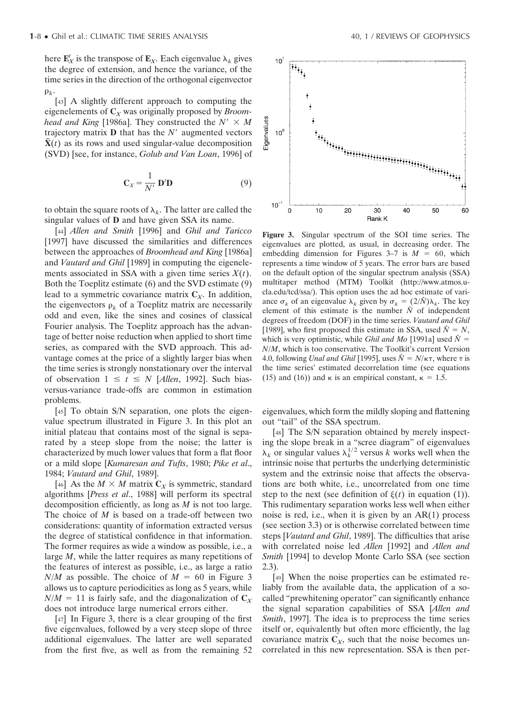here  $\mathbf{E}_X^t$  is the transpose of  $\mathbf{E}_X$ . Each eigenvalue  $\lambda_k$  gives the degree of extension, and hence the variance, of the time series in the direction of the orthogonal eigenvector  $\rho_k$ .

[43] A slightly different approach to computing the eigenelements of **C***<sup>X</sup>* was originally proposed by *Broomhead and King* [1986a]. They constructed the  $N' \times M$ trajectory matrix  $\bf{D}$  that has the  $N'$  augmented vectors  $\tilde{\mathbf{X}}(t)$  as its rows and used singular-value decomposition (SVD) [see, for instance, *Golub and Van Loan*, 1996] of

$$
\mathbf{C}_X = \frac{1}{N'} \mathbf{D}' \mathbf{D} \tag{9}
$$

to obtain the square roots of  $\lambda_k$ . The latter are called the singular values of **D** and have given SSA its name.

[44] *Allen and Smith* [1996] and *Ghil and Taricco* [1997] have discussed the similarities and differences between the approaches of *Broomhead and King* [1986a] and *Vautard and Ghil* [1989] in computing the eigenelements associated in SSA with a given time series *X*(*t*). Both the Toeplitz estimate (6) and the SVD estimate (9) lead to a symmetric covariance matrix  $C_X$ . In addition, the eigenvectors  $\rho_k$  of a Toeplitz matrix are necessarily odd and even, like the sines and cosines of classical Fourier analysis. The Toeplitz approach has the advantage of better noise reduction when applied to short time series, as compared with the SVD approach. This advantage comes at the price of a slightly larger bias when the time series is strongly nonstationary over the interval of observation  $1 \le t \le N$  [*Allen*, 1992]. Such biasversus-variance trade-offs are common in estimation problems.

[45] To obtain S/N separation, one plots the eigenvalue spectrum illustrated in Figure 3. In this plot an initial plateau that contains most of the signal is separated by a steep slope from the noise; the latter is characterized by much lower values that form a flat floor or a mild slope [*Kumaresan and Tufts*, 1980; *Pike et al*., 1984; *Vautard and Ghil*, 1989].

[46] As the  $M \times M$  matrix  $C_X$  is symmetric, standard algorithms [*Press et al*., 1988] will perform its spectral decomposition efficiently, as long as *M* is not too large. The choice of *M* is based on a trade-off between two considerations: quantity of information extracted versus the degree of statistical confidence in that information. The former requires as wide a window as possible, i.e., a large *M*, while the latter requires as many repetitions of the features of interest as possible, i.e., as large a ratio  $N/M$  as possible. The choice of  $M = 60$  in Figure 3 allows us to capture periodicities as long as 5 years, while  $N/M = 11$  is fairly safe, and the diagonalization of  $C_X$ does not introduce large numerical errors either.

[47] In Figure 3, there is a clear grouping of the first five eigenvalues, followed by a very steep slope of three additional eigenvalues. The latter are well separated from the first five, as well as from the remaining 52



**Figure 3.** Singular spectrum of the SOI time series. The eigenvalues are plotted, as usual, in decreasing order. The embedding dimension for Figures  $3-7$  is  $M = 60$ , which represents a time window of 5 years. The error bars are based on the default option of the singular spectrum analysis (SSA) multitaper method (MTM) Toolkit (http://www.atmos.ucla.edu/tcd/ssa/). This option uses the ad hoc estimate of variance  $\sigma_k$  of an eigenvalue  $\lambda_k$  given by  $\sigma_k = (2/\hat{N})\lambda_k$ . The key element of this estimate is the number  $\hat{N}$  of independent degrees of freedom (DOF) in the time series. *Vautard and Ghil* [1989], who first proposed this estimate in SSA, used  $\hat{N} = N$ , which is very optimistic, while *Ghil and Mo* [1991a] used  $\hat{N} =$ *N*/*M*, which is too conservative. The Toolkit's current Version 4.0, following *Unal and Ghil* [1995], uses  $\hat{N} = N/\kappa \tau$ , where  $\tau$  is the time series' estimated decorrelation time (see equations (15) and (16)) and  $\kappa$  is an empirical constant,  $\kappa = 1.5$ .

eigenvalues, which form the mildly sloping and flattening out "tail" of the SSA spectrum.

[48] The S/N separation obtained by merely inspecting the slope break in a "scree diagram" of eigenvalues  $\lambda_k$  or singular values  $\lambda_k^{1/2}$  versus *k* works well when the intrinsic noise that perturbs the underlying deterministic system and the extrinsic noise that affects the observations are both white, i.e., uncorrelated from one time step to the next (see definition of  $\xi(t)$  in equation (1)). This rudimentary separation works less well when either noise is red, i.e., when it is given by an  $AR(1)$  process (see section 3.3) or is otherwise correlated between time steps [*Vautard and Ghil*, 1989]. The difficulties that arise with correlated noise led *Allen* [1992] and *Allen and Smith* [1994] to develop Monte Carlo SSA (see section 2.3).

[49] When the noise properties can be estimated reliably from the available data, the application of a socalled "prewhitening operator" can significantly enhance the signal separation capabilities of SSA [*Allen and Smith*, 1997]. The idea is to preprocess the time series itself or, equivalently but often more efficiently, the lag covariance matrix  $C_X$ , such that the noise becomes uncorrelated in this new representation. SSA is then per-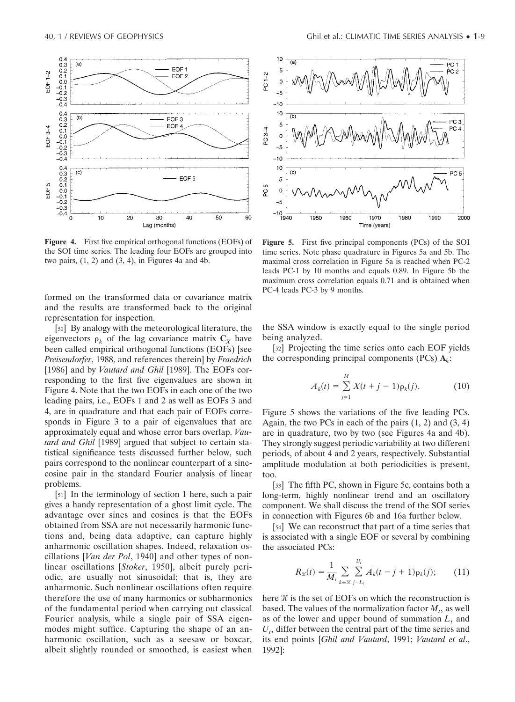

**Figure 4.** First five empirical orthogonal functions (EOFs) of the SOI time series. The leading four EOFs are grouped into two pairs,  $(1, 2)$  and  $(3, 4)$ , in Figures 4a and 4b.

formed on the transformed data or covariance matrix and the results are transformed back to the original representation for inspection.

[50] By analogy with the meteorological literature, the eigenvectors  $\rho_k$  of the lag covariance matrix  $C_X$  have been called empirical orthogonal functions (EOFs) [see *Preisendorfer*, 1988, and references therein] by *Fraedrich* [1986] and by *Vautard and Ghil* [1989]. The EOFs corresponding to the first five eigenvalues are shown in Figure 4. Note that the two EOFs in each one of the two leading pairs, i.e., EOFs 1 and 2 as well as EOFs 3 and 4, are in quadrature and that each pair of EOFs corresponds in Figure 3 to a pair of eigenvalues that are approximately equal and whose error bars overlap. *Vautard and Ghil* [1989] argued that subject to certain statistical significance tests discussed further below, such pairs correspond to the nonlinear counterpart of a sinecosine pair in the standard Fourier analysis of linear problems.

[51] In the terminology of section 1 here, such a pair gives a handy representation of a ghost limit cycle. The advantage over sines and cosines is that the EOFs obtained from SSA are not necessarily harmonic functions and, being data adaptive, can capture highly anharmonic oscillation shapes. Indeed, relaxation oscillations [*Van der Pol*, 1940] and other types of nonlinear oscillations [*Stoker*, 1950], albeit purely periodic, are usually not sinusoidal; that is, they are anharmonic. Such nonlinear oscillations often require therefore the use of many harmonics or subharmonics of the fundamental period when carrying out classical Fourier analysis, while a single pair of SSA eigenmodes might suffice. Capturing the shape of an anharmonic oscillation, such as a seesaw or boxcar, albeit slightly rounded or smoothed, is easiest when



**Figure 5.** First five principal components (PCs) of the SOI time series. Note phase quadrature in Figures 5a and 5b. The maximal cross correlation in Figure 5a is reached when PC-2 leads PC-1 by 10 months and equals 0.89. In Figure 5b the maximum cross correlation equals 0.71 and is obtained when PC-4 leads PC-3 by 9 months.

the SSA window is exactly equal to the single period being analyzed.

[52] Projecting the time series onto each EOF yields the corresponding principal components (PCs)  $A_k$ :

$$
A_k(t) = \sum_{j=1}^{M} X(t+j-1)\rho_k(j).
$$
 (10)

Figure 5 shows the variations of the five leading PCs. Again, the two PCs in each of the pairs  $(1, 2)$  and  $(3, 4)$ are in quadrature, two by two (see Figures 4a and 4b). They strongly suggest periodic variability at two different periods, of about 4 and 2 years, respectively. Substantial amplitude modulation at both periodicities is present, too.

[53] The fifth PC, shown in Figure 5c, contains both a long-term, highly nonlinear trend and an oscillatory component. We shall discuss the trend of the SOI series in connection with Figures 6b and 16a further below.

[54] We can reconstruct that part of a time series that is associated with a single EOF or several by combining the associated PCs:

$$
R_{\mathcal{K}}(t) = \frac{1}{M_t} \sum_{k \in \mathcal{K}} \sum_{j=L_t}^{U_t} A_k(t-j+1) \rho_k(j); \qquad (11)
$$

here  $\mathcal X$  is the set of EOFs on which the reconstruction is based. The values of the normalization factor  $M_t$ , as well as of the lower and upper bound of summation  $L<sub>t</sub>$  and  $U_t$ , differ between the central part of the time series and its end points [*Ghil and Vautard*, 1991; *Vautard et al*., 1992]: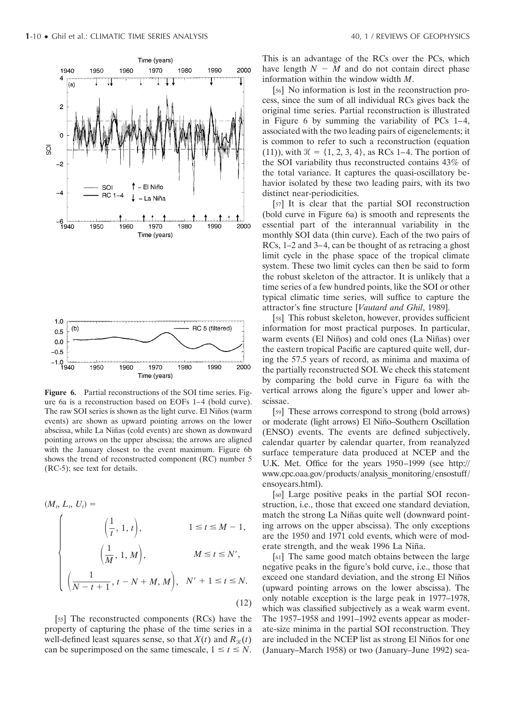

**Figure 6.** Partial reconstructions of the SOI time series. Figure 6a is a reconstruction based on EOFs 1–4 (bold curve). The raw SOI series is shown as the light curve. El Niños (warm events) are shown as upward pointing arrows on the lower abscissa, while La Niñas (cold events) are shown as downward pointing arrows on the upper abscissa; the arrows are aligned with the January closest to the event maximum. Figure 6b shows the trend of reconstructed component (RC) number 5 (RC-5); see text for details.

$$
(M_t, L_t, U_t) =
$$
\n
$$
\begin{cases}\n\left(\frac{1}{t}, 1, t\right), & 1 \le t \le M - 1, \\
\left(\frac{1}{M}, 1, M\right), & M \le t \le N', \\
\left(\frac{1}{N - t + 1}, t - N + M, M\right), & N' + 1 \le t \le N.\n\end{cases}
$$
\n(12)

[55] The reconstructed components (RCs) have the property of capturing the phase of the time series in a well-defined least squares sense, so that  $X(t)$  and  $R_{\mathcal{H}}(t)$ can be superimposed on the same timescale,  $1 \le t \le N$ .

This is an advantage of the RCs over the PCs, which have length  $N - M$  and do not contain direct phase information within the window width *M*.

[56] No information is lost in the reconstruction process, since the sum of all individual RCs gives back the original time series. Partial reconstruction is illustrated in Figure 6 by summing the variability of PCs 1–4, associated with the two leading pairs of eigenelements; it is common to refer to such a reconstruction (equation (11)), with  $\mathcal{H} = \{1, 2, 3, 4\}$ , as RCs 1–4. The portion of the SOI variability thus reconstructed contains 43% of the total variance. It captures the quasi-oscillatory behavior isolated by these two leading pairs, with its two distinct near-periodicities.

[57] It is clear that the partial SOI reconstruction (bold curve in Figure 6a) is smooth and represents the essential part of the interannual variability in the monthly SOI data (thin curve). Each of the two pairs of RCs, 1–2 and 3–4, can be thought of as retracing a ghost limit cycle in the phase space of the tropical climate system. These two limit cycles can then be said to form the robust skeleton of the attractor. It is unlikely that a time series of a few hundred points, like the SOI or other typical climatic time series, will suffice to capture the attractor's fine structure [*Vautard and Ghil*, 1989].

[58] This robust skeleton, however, provides sufficient information for most practical purposes. In particular, warm events (El Niños) and cold ones (La Niñas) over the eastern tropical Pacific are captured quite well, during the 57.5 years of record, as minima and maxima of the partially reconstructed SOI. We check this statement by comparing the bold curve in Figure 6a with the vertical arrows along the figure's upper and lower abscissae.

[59] These arrows correspond to strong (bold arrows) or moderate (light arrows) El Niño–Southern Oscillation (ENSO) events. The events are defined subjectively, calendar quarter by calendar quarter, from reanalyzed surface temperature data produced at NCEP and the U.K. Met. Office for the years 1950–1999 (see http:// www.cpc.oaa.gov/products/analysis\_monitoring/ensostuff/ ensoyears.html).

[60] Large positive peaks in the partial SOI reconstruction, i.e., those that exceed one standard deviation, match the strong La Niñas quite well (downward pointing arrows on the upper abscissa). The only exceptions are the 1950 and 1971 cold events, which were of moderate strength, and the weak 1996 La Niña.

[61] The same good match obtains between the large negative peaks in the figure's bold curve, i.e., those that exceed one standard deviation, and the strong El Niños (upward pointing arrows on the lower abscissa). The only notable exception is the large peak in 1977–1978, which was classified subjectively as a weak warm event. The 1957–1958 and 1991–1992 events appear as moderate-size minima in the partial SOI reconstruction. They are included in the NCEP list as strong El Niños for one (January–March 1958) or two (January–June 1992) sea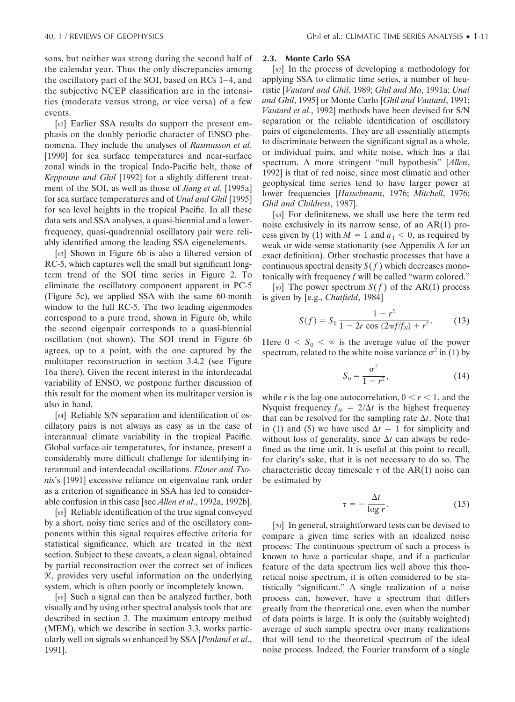sons, but neither was strong during the second half of the calendar year. Thus the only discrepancies among the oscillatory part of the SOI, based on RCs 1– 4, and the subjective NCEP classification are in the intensities (moderate versus strong, or vice versa) of a few events.

[62] Earlier SSA results do support the present emphasis on the doubly periodic character of ENSO phenomena. They include the analyses of *Rasmusson et al*. [1990] for sea surface temperatures and near-surface zonal winds in the tropical Indo-Pacific belt, those of *Keppenne and Ghil* [1992] for a slightly different treatment of the SOI, as well as those of *Jiang et al*. [1995a] for sea surface temperatures and of *Unal and Ghil* [1995] for sea level heights in the tropical Pacific. In all these data sets and SSA analyses, a quasi-biennial and a lowerfrequency, quasi-quadrennial oscillatory pair were reliably identified among the leading SSA eigenelements.

[63] Shown in Figure 6b is also a filtered version of RC-5, which captures well the small but significant longterm trend of the SOI time series in Figure 2. To eliminate the oscillatory component apparent in PC-5 (Figure 5c), we applied SSA with the same 60-month window to the full RC-5. The two leading eigenmodes correspond to a pure trend, shown in Figure 6b, while the second eigenpair corresponds to a quasi-biennial oscillation (not shown). The SOI trend in Figure 6b agrees, up to a point, with the one captured by the multitaper reconstruction in section 3.4.2 (see Figure 16a there). Given the recent interest in the interdecadal variability of ENSO, we postpone further discussion of this result for the moment when its multitaper version is also in hand.

[64] Reliable S/N separation and identification of oscillatory pairs is not always as easy as in the case of interannual climate variability in the tropical Pacific. Global surface-air temperatures, for instance, present a considerably more difficult challenge for identifying interannual and interdecadal oscillations. *Elsner and Tsonis*'s [1991] excessive reliance on eigenvalue rank order as a criterion of significance in SSA has led to considerable confusion in this case [see *Allen et al*., 1992a, 1992b].

[65] Reliable identification of the true signal conveyed by a short, noisy time series and of the oscillatory components within this signal requires effective criteria for statistical significance, which are treated in the next section. Subject to these caveats, a clean signal, obtained by partial reconstruction over the correct set of indices  $K$ , provides very useful information on the underlying system, which is often poorly or incompletely known.

[66] Such a signal can then be analyzed further, both visually and by using other spectral analysis tools that are described in section 3. The maximum entropy method (MEM), which we describe in section 3.3, works particularly well on signals so enhanced by SSA [*Penland et al*., 1991].

#### **2.3. Monte Carlo SSA**

[67] In the process of developing a methodology for applying SSA to climatic time series, a number of heuristic [*Vautard and Ghil*, 1989; *Ghil and Mo*, 1991a; *Unal and Ghil*, 1995] or Monte Carlo [*Ghil and Vautard*, 1991; *Vautard et al*., 1992] methods have been devised for S/N separation or the reliable identification of oscillatory pairs of eigenelements. They are all essentially attempts to discriminate between the significant signal as a whole, or individual pairs, and white noise, which has a flat spectrum. A more stringent "null hypothesis" [*Allen*, 1992] is that of red noise, since most climatic and other geophysical time series tend to have larger power at lower frequencies [*Hasselmann*, 1976; *Mitchell*, 1976; *Ghil and Childress*, 1987].

[68] For definiteness, we shall use here the term red noise exclusively in its narrow sense, of an AR(1) process given by (1) with  $M = 1$  and  $a_1 < 0$ , as required by weak or wide-sense stationarity (see Appendix A for an exact definition). Other stochastic processes that have a continuous spectral density  $S(f)$  which decreases monotonically with frequency *f* will be called "warm colored."

[69] The power spectrum  $S(f)$  of the AR(1) process is given by [e.g., *Chatfield*, 1984]

$$
S(f) = S_0 \frac{1 - r^2}{1 - 2r \cos(2\pi f/f_N) + r^2}.
$$
 (13)

Here  $0 < S_0 < \infty$  is the average value of the power spectrum, related to the white noise variance  $\sigma^2$  in (1) by

$$
S_0 = \frac{\sigma^2}{1 - r^2},\tag{14}
$$

while *r* is the lag-one autocorrelation,  $0 < r < 1$ , and the Nyquist frequency  $f_N = 2/\Delta t$  is the highest frequency that can be resolved for the sampling rate  $\Delta t$ . Note that in (1) and (5) we have used  $\Delta t = 1$  for simplicity and without loss of generality, since  $\Delta t$  can always be redefined as the time unit. It is useful at this point to recall, for clarity's sake, that it is not necessary to do so. The characteristic decay timescale  $\tau$  of the AR(1) noise can be estimated by

$$
\tau = -\frac{\Delta t}{\log r}.\tag{15}
$$

[70] In general, straightforward tests can be devised to compare a given time series with an idealized noise process: The continuous spectrum of such a process is known to have a particular shape, and if a particular feature of the data spectrum lies well above this theoretical noise spectrum, it is often considered to be statistically "significant." A single realization of a noise process can, however, have a spectrum that differs greatly from the theoretical one, even when the number of data points is large. It is only the (suitably weighted) average of such sample spectra over many realizations that will tend to the theoretical spectrum of the ideal noise process. Indeed, the Fourier transform of a single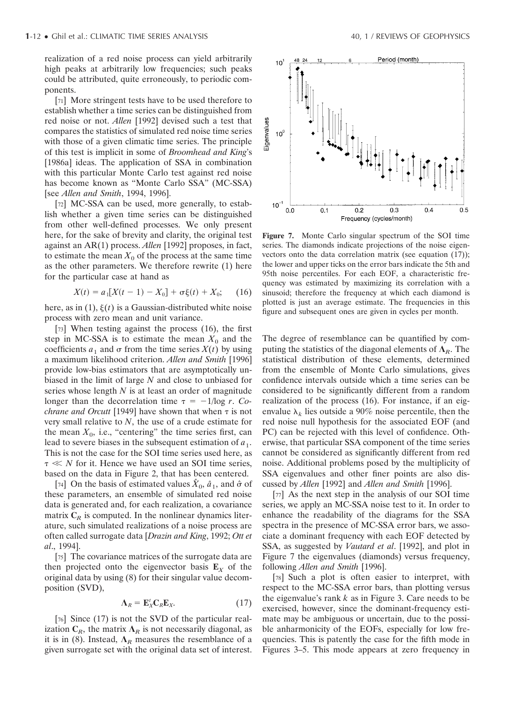realization of a red noise process can yield arbitrarily high peaks at arbitrarily low frequencies; such peaks could be attributed, quite erroneously, to periodic components.

[71] More stringent tests have to be used therefore to establish whether a time series can be distinguished from red noise or not. *Allen* [1992] devised such a test that compares the statistics of simulated red noise time series with those of a given climatic time series. The principle of this test is implicit in some of *Broomhead and King*'s [1986a] ideas. The application of SSA in combination with this particular Monte Carlo test against red noise has become known as "Monte Carlo SSA" (MC-SSA) [see *Allen and Smith*, 1994, 1996].

[72] MC-SSA can be used, more generally, to establish whether a given time series can be distinguished from other well-defined processes. We only present here, for the sake of brevity and clarity, the original test against an AR(1) process. *Allen* [1992] proposes, in fact, to estimate the mean  $X_0$  of the process at the same time as the other parameters. We therefore rewrite (1) here for the particular case at hand as

$$
X(t) = a_1[X(t-1) - X_0] + \sigma \xi(t) + X_0; \quad (16)
$$

here, as in  $(1)$ ,  $\xi(t)$  is a Gaussian-distributed white noise process with zero mean and unit variance.

[73] When testing against the process (16), the first step in MC-SSA is to estimate the mean  $X_0$  and the coefficients  $a_1$  and  $\sigma$  from the time series  $X(t)$  by using a maximum likelihood criterion. *Allen and Smith* [1996] provide low-bias estimators that are asymptotically unbiased in the limit of large *N* and close to unbiased for series whose length *N* is at least an order of magnitude longer than the decorrelation time  $\tau = -1/\log r$ . *Cochrane and Orcutt* [1949] have shown that when  $\tau$  is not very small relative to *N*, the use of a crude estimate for the mean  $X_0$ , i.e., "centering" the time series first, can lead to severe biases in the subsequent estimation of  $a_1$ . This is not the case for the SOI time series used here, as  $\tau \ll N$  for it. Hence we have used an SOI time series, based on the data in Figure 2, that has been centered.

[74] On the basis of estimated values  $\hat{X}_0$ ,  $\hat{a}_1$ , and  $\hat{\sigma}$  of these parameters, an ensemble of simulated red noise data is generated and, for each realization, a covariance matrix  $C_R$  is computed. In the nonlinear dynamics literature, such simulated realizations of a noise process are often called surrogate data [*Drazin and King*, 1992; *Ott et al*., 1994].

[75] The covariance matrices of the surrogate data are then projected onto the eigenvector basis  $\mathbf{E}_X$  of the original data by using (8) for their singular value decomposition (SVD),

$$
\Lambda_R = \mathbf{E}_X^t \mathbf{C}_R \mathbf{E}_X. \tag{17}
$$

[76] Since (17) is not the SVD of the particular realization  $C_R$ , the matrix  $\Lambda_R$  is not necessarily diagonal, as it is in (8). Instead,  $\Lambda_R$  measures the resemblance of a given surrogate set with the original data set of interest.



**Figure 7.** Monte Carlo singular spectrum of the SOI time series. The diamonds indicate projections of the noise eigenvectors onto the data correlation matrix (see equation (17)); the lower and upper ticks on the error bars indicate the 5th and 95th noise percentiles. For each EOF, a characteristic frequency was estimated by maximizing its correlation with a sinusoid; therefore the frequency at which each diamond is plotted is just an average estimate. The frequencies in this figure and subsequent ones are given in cycles per month.

The degree of resemblance can be quantified by computing the statistics of the diagonal elements of  $\Lambda_R$ . The statistical distribution of these elements, determined from the ensemble of Monte Carlo simulations, gives confidence intervals outside which a time series can be considered to be significantly different from a random realization of the process (16). For instance, if an eigenvalue  $\lambda_k$  lies outside a 90% noise percentile, then the red noise null hypothesis for the associated EOF (and PC) can be rejected with this level of confidence. Otherwise, that particular SSA component of the time series cannot be considered as significantly different from red noise. Additional problems posed by the multiplicity of SSA eigenvalues and other finer points are also discussed by *Allen* [1992] and *Allen and Smith* [1996].

[77] As the next step in the analysis of our SOI time series, we apply an MC-SSA noise test to it. In order to enhance the readability of the diagrams for the SSA spectra in the presence of MC-SSA error bars, we associate a dominant frequency with each EOF detected by SSA, as suggested by *Vautard et al*. [1992], and plot in Figure 7 the eigenvalues (diamonds) versus frequency, following *Allen and Smith* [1996].

[78] Such a plot is often easier to interpret, with respect to the MC-SSA error bars, than plotting versus the eigenvalue's rank *k* as in Figure 3. Care needs to be exercised, however, since the dominant-frequency estimate may be ambiguous or uncertain, due to the possible anharmonicity of the EOFs, especially for low frequencies. This is patently the case for the fifth mode in Figures 3–5. This mode appears at zero frequency in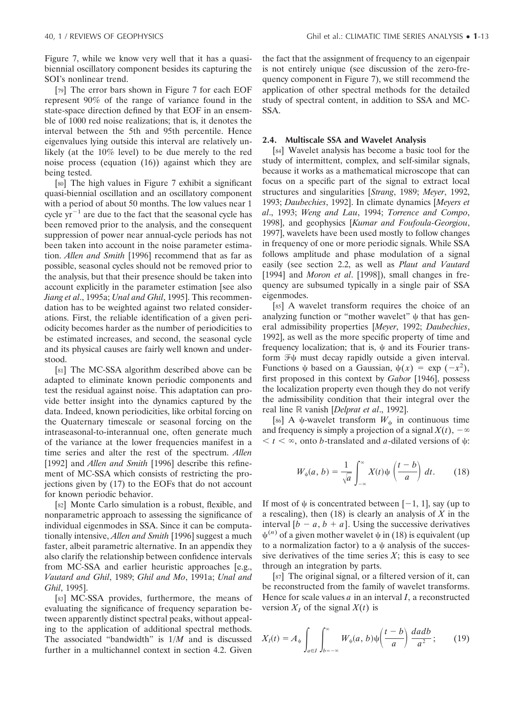Figure 7, while we know very well that it has a quasibiennial oscillatory component besides its capturing the SOI's nonlinear trend.

[79] The error bars shown in Figure 7 for each EOF represent 90% of the range of variance found in the state-space direction defined by that EOF in an ensemble of 1000 red noise realizations; that is, it denotes the interval between the 5th and 95th percentile. Hence eigenvalues lying outside this interval are relatively unlikely (at the 10% level) to be due merely to the red noise process (equation (16)) against which they are being tested.

[80] The high values in Figure 7 exhibit a significant quasi-biennial oscillation and an oscillatory component with a period of about 50 months. The low values near 1 cycle  $yr^{-1}$  are due to the fact that the seasonal cycle has been removed prior to the analysis, and the consequent suppression of power near annual-cycle periods has not been taken into account in the noise parameter estimation. *Allen and Smith* [1996] recommend that as far as possible, seasonal cycles should not be removed prior to the analysis, but that their presence should be taken into account explicitly in the parameter estimation [see also *Jiang et al*., 1995a; *Unal and Ghil*, 1995]. This recommendation has to be weighted against two related considerations. First, the reliable identification of a given periodicity becomes harder as the number of periodicities to be estimated increases, and second, the seasonal cycle and its physical causes are fairly well known and understood.

[81] The MC-SSA algorithm described above can be adapted to eliminate known periodic components and test the residual against noise. This adaptation can provide better insight into the dynamics captured by the data. Indeed, known periodicities, like orbital forcing on the Quaternary timescale or seasonal forcing on the intraseasonal-to-interannual one, often generate much of the variance at the lower frequencies manifest in a time series and alter the rest of the spectrum. *Allen* [1992] and *Allen and Smith* [1996] describe this refinement of MC-SSA which consists of restricting the projections given by (17) to the EOFs that do not account for known periodic behavior.

[82] Monte Carlo simulation is a robust, flexible, and nonparametric approach to assessing the significance of individual eigenmodes in SSA. Since it can be computationally intensive, *Allen and Smith* [1996] suggest a much faster, albeit parametric alternative. In an appendix they also clarify the relationship between confidence intervals from MC-SSA and earlier heuristic approaches [e.g., *Vautard and Ghil*, 1989; *Ghil and Mo*, 1991a; *Unal and Ghil*, 1995].

[83] MC-SSA provides, furthermore, the means of evaluating the significance of frequency separation between apparently distinct spectral peaks, without appealing to the application of additional spectral methods. The associated "bandwidth" is 1/*M* and is discussed further in a multichannel context in section 4.2. Given the fact that the assignment of frequency to an eigenpair is not entirely unique (see discussion of the zero-frequency component in Figure 7), we still recommend the application of other spectral methods for the detailed study of spectral content, in addition to SSA and MC-SSA.

#### **2.4. Multiscale SSA and Wavelet Analysis**

[84] Wavelet analysis has become a basic tool for the study of intermittent, complex, and self-similar signals, because it works as a mathematical microscope that can focus on a specific part of the signal to extract local structures and singularities [*Strang*, 1989; *Meyer*, 1992, 1993; *Daubechies*, 1992]. In climate dynamics [*Meyers et al*., 1993; *Weng and Lau*, 1994; *Torrence and Compo*, 1998], and geophysics [*Kumar and Foufoula-Georgiou*, 1997], wavelets have been used mostly to follow changes in frequency of one or more periodic signals. While SSA follows amplitude and phase modulation of a signal easily (see section 2.2, as well as *Plaut and Vautard* [1994] and *Moron et al.* [1998]), small changes in frequency are subsumed typically in a single pair of SSA eigenmodes.

[85] A wavelet transform requires the choice of an analyzing function or "mother wavelet"  $\psi$  that has general admissibility properties [*Meyer*, 1992; *Daubechies*, 1992], as well as the more specific property of time and frequency localization; that is,  $\psi$  and its Fourier transform  $\mathcal{F}\psi$  must decay rapidly outside a given interval. Functions  $\psi$  based on a Gaussian,  $\psi(x) = \exp(-x^2)$ , first proposed in this context by *Gabor* [1946], possess the localization property even though they do not verify the admissibility condition that their integral over the real line R vanish [*Delprat et al.*, 1992].

[86] A  $\psi$ -wavelet transform  $W_{\psi}$  in continuous time and frequency is simply a projection of a signal  $X(t)$ ,  $-\infty$  $t < \infty$ , onto *b*-translated and *a*-dilated versions of  $\psi$ :

$$
W_{\psi}(a, b) = \frac{1}{\sqrt{a}} \int_{-\infty}^{\infty} X(t) \psi\left(\frac{t-b}{a}\right) dt. \qquad (18)
$$

If most of  $\psi$  is concentrated between [-1, 1], say (up to a rescaling), then (18) is clearly an analysis of *X* in the interval  $[b - a, b + a]$ . Using the successive derivatives  $\psi^{(n)}$  of a given mother wavelet  $\psi$  in (18) is equivalent (up to a normalization factor) to a  $\psi$  analysis of the successive derivatives of the time series  $X$ ; this is easy to see through an integration by parts.

[87] The original signal, or a filtered version of it, can be reconstructed from the family of wavelet transforms. Hence for scale values *a* in an interval *I*, a reconstructed version  $X_I$  of the signal  $X(t)$  is

$$
X_{I}(t) = A_{\psi} \int_{a \in I} \int_{b = -\infty}^{\infty} W_{\psi}(a, b) \psi\left(\frac{t - b}{a}\right) \frac{da db}{a^{2}};
$$
 (19)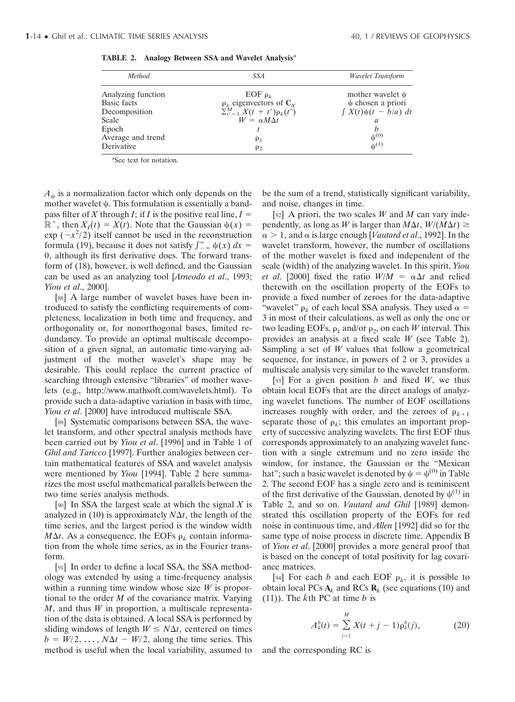| Method                                                             | SSA                                                                                                                 | <b>Wavelet Transform</b>                                                          |
|--------------------------------------------------------------------|---------------------------------------------------------------------------------------------------------------------|-----------------------------------------------------------------------------------|
| Analyzing function<br><b>Basic</b> facts<br>Decomposition<br>Scale | EOF $\rho_k$<br>$\rho_k$ eigenvectors of $C_X$<br>$\Sigma_{t'=1}^M X(t + t') \rho_k(t')$<br>$W = \alpha M \Delta t$ | mother wavelet $\psi$<br>$\psi$ chosen a priori<br>$\int X(t)\psi(t-b/a) dt$<br>a |
| Epoch<br>Average and trend<br>Derivative                           | $\rho_1$<br>$\rho_2$                                                                                                | h<br>$\psi^{(0)}$<br>$\mathbf{u}^{(1)}$                                           |

| TABLE 2. Analogy Between SSA and Wavelet Analysis <sup>a</sup> |  |  |  |  |  |  |  |
|----------------------------------------------------------------|--|--|--|--|--|--|--|
|----------------------------------------------------------------|--|--|--|--|--|--|--|

a See text for notation.

 $A_{\psi}$  is a normalization factor which only depends on the mother wavelet  $\psi$ . This formulation is essentially a bandpass filter of *X* through *I*; if *I* is the positive real line,  $I =$  $\mathbb{R}^+$ , then  $X_I(t) = X(t)$ . Note that the Gaussian  $\psi(x) =$  $\exp(-x^2/2)$  itself cannot be used in the reconstruction formula (19), because it does not satisfy  $\int_{-\infty}^{\infty} \psi(x) dx =$ 0, although its first derivative does. The forward transform of (18), however, is well defined, and the Gaussian can be used as an analyzing tool [*Arneodo et al*., 1993; *Yiou et al*., 2000].

[88] A large number of wavelet bases have been introduced to satisfy the conflicting requirements of completeness, localization in both time and frequency, and orthogonality or, for nonorthogonal bases, limited redundancy. To provide an optimal multiscale decomposition of a given signal, an automatic time-varying adjustment of the mother wavelet's shape may be desirable. This could replace the current practice of searching through extensive "libraries" of mother wavelets (e.g., http://www.mathsoft.com/wavelets.html). To provide such a data-adaptive variation in basis with time, *Yiou et al*. [2000] have introduced multiscale SSA.

[89] Systematic comparisons between SSA, the wavelet transform, and other spectral analysis methods have been carried out by *Yiou et al*. [1996] and in Table 1 of *Ghil and Taricco* [1997]. Further analogies between certain mathematical features of SSA and wavelet analysis were mentioned by *Yiou* [1994]. Table 2 here summarizes the most useful mathematical parallels between the two time series analysis methods.

[90] In SSA the largest scale at which the signal *X* is analyzed in (10) is approximately  $N\Delta t$ , the length of the time series, and the largest period is the window width  $M\Delta t$ . As a consequence, the EOFs  $\rho_k$  contain information from the whole time series, as in the Fourier transform.

[91] In order to define a local SSA, the SSA methodology was extended by using a time-frequency analysis within a running time window whose size *W* is proportional to the order *M* of the covariance matrix. Varying *M*, and thus *W* in proportion, a multiscale representation of the data is obtained. A local SSA is performed by sliding windows of length  $W \leq N\Delta t$ , centered on times  $b = W/2, \dots, N\Delta t - W/2$ , along the time series. This method is useful when the local variability, assumed to be the sum of a trend, statistically significant variability, and noise, changes in time.

[92] A priori, the two scales *W* and *M* can vary independently, as long as *W* is larger than  $M\Delta t$ ,  $W/(M\Delta t) \ge$  $\alpha > 1$ , and  $\alpha$  is large enough [*Vautard et al.*, 1992]. In the wavelet transform, however, the number of oscillations of the mother wavelet is fixed and independent of the scale (width) of the analyzing wavelet. In this spirit, *Yiou et al.* [2000] fixed the ratio  $W/M = \alpha \Delta t$  and relied therewith on the oscillation property of the EOFs to provide a fixed number of zeroes for the data-adaptive "wavelet"  $\rho_k$  of each local SSA analysis. They used  $\alpha =$ 3 in most of their calculations, as well as only the one or two leading EOFs,  $\rho_1$  and/or  $\rho_2$ , on each *W* interval. This provides an analysis at a fixed scale *W* (see Table 2). Sampling a set of *W* values that follow a geometrical sequence, for instance, in powers of 2 or 3, provides a multiscale analysis very similar to the wavelet transform.

[93] For a given position *b* and fixed *W*, we thus obtain local EOFs that are the direct analogs of analyzing wavelet functions. The number of EOF oscillations increases roughly with order, and the zeroes of  $\rho_{k+1}$ separate those of  $\rho_k$ ; this emulates an important property of successive analyzing wavelets. The first EOF thus corresponds approximately to an analyzing wavelet function with a single extremum and no zero inside the window, for instance, the Gaussian or the "Mexican hat"; such a basic wavelet is denoted by  $\psi = \psi^{(0)}$  in Table 2. The second EOF has a single zero and is reminiscent of the first derivative of the Gaussian, denoted by  $\psi^{(1)}$  in Table 2, and so on. *Vautard and Ghil* [1989] demonstrated this oscillation property of the EOFs for red noise in continuous time, and *Allen* [1992] did so for the same type of noise process in discrete time. Appendix B of *Yiou et al*. [2000] provides a more general proof that is based on the concept of total positivity for lag covariance matrices.

[94] For each *b* and each EOF  $\rho_k$ , it is possible to obtain local PCs  $A_k$  and RCs  $R_k$  (see equations (10) and (11)). The *k*th PC at time *b* is

$$
A_k^b(t) = \sum_{j=1}^M X(t+j-1)\rho_k^b(j),
$$
 (20)

and the corresponding RC is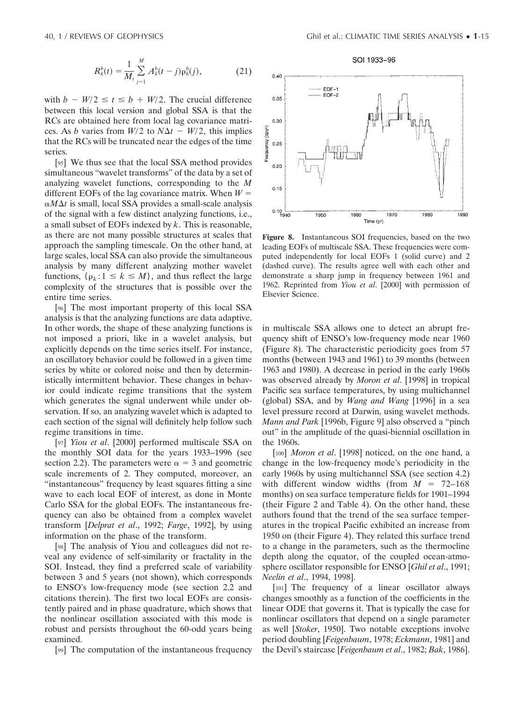$$
R_k^b(t) = \frac{1}{M_t} \sum_{j=1}^M A_k^b(t-j) \rho_k^b(j), \qquad (21)
$$

with  $b - W/2 \le t \le b + W/2$ . The crucial difference between this local version and global SSA is that the RCs are obtained here from local lag covariance matrices. As *b* varies from  $W/2$  to  $N\Delta t - W/2$ , this implies that the RCs will be truncated near the edges of the time series.

[95] We thus see that the local SSA method provides simultaneous "wavelet transforms" of the data by a set of analyzing wavelet functions, corresponding to the *M* different EOFs of the lag covariance matrix. When  $W =$  $\alpha M \Delta t$  is small, local SSA provides a small-scale analysis of the signal with a few distinct analyzing functions, i.e., a small subset of EOFs indexed by *k*. This is reasonable, as there are not many possible structures at scales that approach the sampling timescale. On the other hand, at large scales, local SSA can also provide the simultaneous analysis by many different analyzing mother wavelet functions,  $\{\rho_k: 1 \leq k \leq M\}$ , and thus reflect the large complexity of the structures that is possible over the entire time series.

[96] The most important property of this local SSA analysis is that the analyzing functions are data adaptive. In other words, the shape of these analyzing functions is not imposed a priori, like in a wavelet analysis, but explicitly depends on the time series itself. For instance, an oscillatory behavior could be followed in a given time series by white or colored noise and then by deterministically intermittent behavior. These changes in behavior could indicate regime transitions that the system which generates the signal underwent while under observation. If so, an analyzing wavelet which is adapted to each section of the signal will definitely help follow such regime transitions in time.

[97] *Yiou et al*. [2000] performed multiscale SSA on the monthly SOI data for the years 1933–1996 (see section 2.2). The parameters were  $\alpha = 3$  and geometric scale increments of 2. They computed, moreover, an "instantaneous" frequency by least squares fitting a sine wave to each local EOF of interest, as done in Monte Carlo SSA for the global EOFs. The instantaneous frequency can also be obtained from a complex wavelet transform [*Delprat et al*., 1992; *Farge*, 1992], by using information on the phase of the transform.

[98] The analysis of Yiou and colleagues did not reveal any evidence of self-similarity or fractality in the SOI. Instead, they find a preferred scale of variability between 3 and 5 years (not shown), which corresponds to ENSO's low-frequency mode (see section 2.2 and citations therein). The first two local EOFs are consistently paired and in phase quadrature, which shows that the nonlinear oscillation associated with this mode is robust and persists throughout the 60-odd years being examined.

[99] The computation of the instantaneous frequency



**Figure 8.** Instantaneous SOI frequencies, based on the two leading EOFs of multiscale SSA. These frequencies were computed independently for local EOFs 1 (solid curve) and 2 (dashed curve). The results agree well with each other and demonstrate a sharp jump in frequency between 1961 and 1962. Reprinted from *Yiou et al*. [2000] with permission of Elsevier Science.

in multiscale SSA allows one to detect an abrupt frequency shift of ENSO's low-frequency mode near 1960 (Figure 8). The characteristic periodicity goes from 57 months (between 1943 and 1961) to 39 months (between 1963 and 1980). A decrease in period in the early 1960s was observed already by *Moron et al*. [1998] in tropical Pacific sea surface temperatures, by using multichannel (global) SSA, and by *Wang and Wang* [1996] in a sea level pressure record at Darwin, using wavelet methods. *Mann and Park* [1996b, Figure 9] also observed a "pinch out" in the amplitude of the quasi-biennial oscillation in the 1960s.

[100] *Moron et al*. [1998] noticed, on the one hand, a change in the low-frequency mode's periodicity in the early 1960s by using multichannel SSA (see section 4.2) with different window widths (from  $M = 72{\text -}168$ ) months) on sea surface temperature fields for 1901–1994 (their Figure 2 and Table 4). On the other hand, these authors found that the trend of the sea surface temperatures in the tropical Pacific exhibited an increase from 1950 on (their Figure 4). They related this surface trend to a change in the parameters, such as the thermocline depth along the equator, of the coupled ocean-atmosphere oscillator responsible for ENSO [*Ghil et al*., 1991; *Neelin et al*., 1994, 1998].

[101] The frequency of a linear oscillator always changes smoothly as a function of the coefficients in the linear ODE that governs it. That is typically the case for nonlinear oscillators that depend on a single parameter as well [*Stoker*, 1950]. Two notable exceptions involve period doubling [*Feigenbaum*, 1978; *Eckmann*, 1981] and the Devil's staircase [*Feigenbaum et al*., 1982; *Bak*, 1986].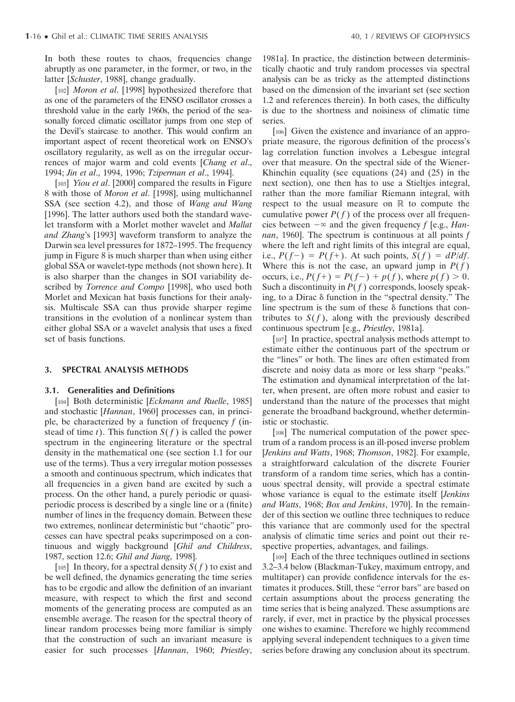In both these routes to chaos, frequencies change abruptly as one parameter, in the former, or two, in the latter [*Schuster*, 1988], change gradually.

[102] *Moron et al*. [1998] hypothesized therefore that as one of the parameters of the ENSO oscillator crosses a threshold value in the early 1960s, the period of the seasonally forced climatic oscillator jumps from one step of the Devil's staircase to another. This would confirm an important aspect of recent theoretical work on ENSO's oscillatory regularity, as well as on the irregular occurrences of major warm and cold events [*Chang et al*., 1994; *Jin et al*., 1994, 1996; *Tziperman et al*., 1994].

[103] *Yiou et al*. [2000] compared the results in Figure 8 with those of *Moron et al*. [1998], using multichannel SSA (see section 4.2), and those of *Wang and Wang* [1996]. The latter authors used both the standard wavelet transform with a Morlet mother wavelet and *Mallat and Zhang*'s [1993] waveform transform to analyze the Darwin sea level pressures for 1872–1995. The frequency jump in Figure 8 is much sharper than when using either global SSA or wavelet-type methods (not shown here). It is also sharper than the changes in SOI variability described by *Torrence and Compo* [1998], who used both Morlet and Mexican hat basis functions for their analysis. Multiscale SSA can thus provide sharper regime transitions in the evolution of a nonlinear system than either global SSA or a wavelet analysis that uses a fixed set of basis functions.

#### **3. SPECTRAL ANALYSIS METHODS**

#### **3.1. Generalities and Definitions**

[104] Both deterministic [*Eckmann and Ruelle*, 1985] and stochastic [*Hannan*, 1960] processes can, in principle, be characterized by a function of frequency *f* (instead of time *t*). This function  $S(f)$  is called the power spectrum in the engineering literature or the spectral density in the mathematical one (see section 1.1 for our use of the terms). Thus a very irregular motion possesses a smooth and continuous spectrum, which indicates that all frequencies in a given band are excited by such a process. On the other hand, a purely periodic or quasiperiodic process is described by a single line or a (finite) number of lines in the frequency domain. Between these two extremes, nonlinear deterministic but "chaotic" processes can have spectral peaks superimposed on a continuous and wiggly background [*Ghil and Childress*, 1987, section 12.6; *Ghil and Jiang*, 1998].

[105] In theory, for a spectral density  $S(f)$  to exist and be well defined, the dynamics generating the time series has to be ergodic and allow the definition of an invariant measure, with respect to which the first and second moments of the generating process are computed as an ensemble average. The reason for the spectral theory of linear random processes being more familiar is simply that the construction of such an invariant measure is easier for such processes [*Hannan*, 1960; *Priestley*, 1981a]. In practice, the distinction between deterministically chaotic and truly random processes via spectral analysis can be as tricky as the attempted distinctions based on the dimension of the invariant set (see section 1.2 and references therein). In both cases, the difficulty is due to the shortness and noisiness of climatic time series.

[106] Given the existence and invariance of an appropriate measure, the rigorous definition of the process's lag correlation function involves a Lebesgue integral over that measure. On the spectral side of the Wiener-Khinchin equality (see equations (24) and (25) in the next section), one then has to use a Stieltjes integral, rather than the more familiar Riemann integral, with respect to the usual measure on  $\mathbb R$  to compute the cumulative power  $P(f)$  of the process over all frequencies between  $-\infty$  and the given frequency *f* [e.g., *Hannan*, 1960]. The spectrum is continuous at all points *f* where the left and right limits of this integral are equal, i.e.,  $P(f-)=P(f+)$ . At such points,  $S(f) = dP/df$ . Where this is not the case, an upward jump in  $P(f)$ occurs, i.e.,  $P(f^+) = P(f^-) + p(f)$ , where  $p(f) > 0$ . Such a discontinuity in  $P(f)$  corresponds, loosely speaking, to a Dirac  $\delta$  function in the "spectral density." The line spectrum is the sum of these  $\delta$  functions that contributes to  $S(f)$ , along with the previously described continuous spectrum [e.g., *Priestley*, 1981a].

[107] In practice, spectral analysis methods attempt to estimate either the continuous part of the spectrum or the "lines" or both. The lines are often estimated from discrete and noisy data as more or less sharp "peaks." The estimation and dynamical interpretation of the latter, when present, are often more robust and easier to understand than the nature of the processes that might generate the broadband background, whether deterministic or stochastic.

[108] The numerical computation of the power spectrum of a random process is an ill-posed inverse problem [*Jenkins and Watts*, 1968; *Thomson*, 1982]. For example, a straightforward calculation of the discrete Fourier transform of a random time series, which has a continuous spectral density, will provide a spectral estimate whose variance is equal to the estimate itself [*Jenkins and Watts*, 1968; *Box and Jenkins*, 1970]. In the remainder of this section we outline three techniques to reduce this variance that are commonly used for the spectral analysis of climatic time series and point out their respective properties, advantages, and failings.

[109] Each of the three techniques outlined in sections 3.2–3.4 below (Blackman-Tukey, maximum entropy, and multitaper) can provide confidence intervals for the estimates it produces. Still, these "error bars" are based on certain assumptions about the process generating the time series that is being analyzed. These assumptions are rarely, if ever, met in practice by the physical processes one wishes to examine. Therefore we highly recommend applying several independent techniques to a given time series before drawing any conclusion about its spectrum.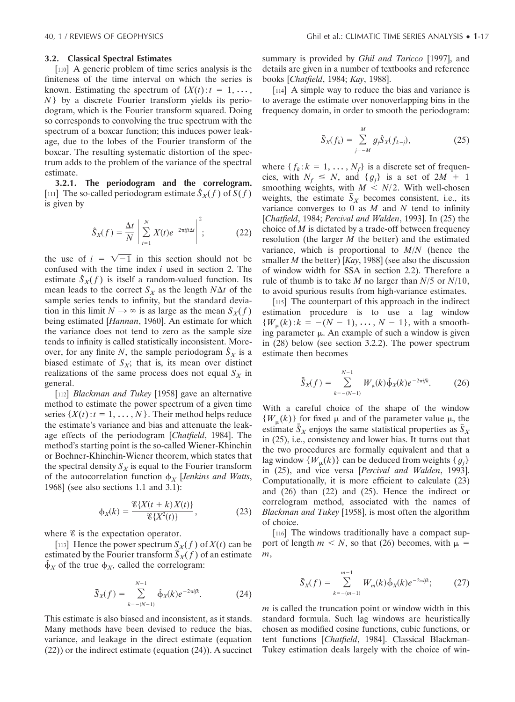#### **3.2. Classical Spectral Estimates**

[110] A generic problem of time series analysis is the finiteness of the time interval on which the series is known. Estimating the spectrum of  $\{X(t): t = 1, \ldots, \}$ *N* } by a discrete Fourier transform yields its periodogram, which is the Fourier transform squared. Doing so corresponds to convolving the true spectrum with the spectrum of a boxcar function; this induces power leakage, due to the lobes of the Fourier transform of the boxcar. The resulting systematic distortion of the spectrum adds to the problem of the variance of the spectral estimate.

**3.2.1. The periodogram and the correlogram.** [111] The so-called periodogram estimate  $\hat{S}_X(f)$  of  $S(f)$ is given by

$$
\hat{S}_X(f) = \frac{\Delta t}{N} \left| \sum_{t=1}^N X(t) e^{-2\pi i f t \Delta t} \right|^2; \tag{22}
$$

the use of  $i = \sqrt{-1}$  in this section should not be confused with the time index *i* used in section 2. The estimate  $\hat{S}_X(f)$  is itself a random-valued function. Its mean leads to the correct  $S_X$  as the length  $N\Delta t$  of the sample series tends to infinity, but the standard deviation in this limit  $N \to \infty$  is as large as the mean  $S_X(f)$ being estimated [*Hannan*, 1960]. An estimate for which the variance does not tend to zero as the sample size tends to infinity is called statistically inconsistent. Moreover, for any finite *N*, the sample periodogram  $\hat{S}_X$  is a biased estimate of  $S_X$ ; that is, its mean over distinct realizations of the same process does not equal  $S_X$  in general.

[112] *Blackman and Tukey* [1958] gave an alternative method to estimate the power spectrum of a given time series  $\{X(t): t = 1, \ldots, N\}$ . Their method helps reduce the estimate's variance and bias and attenuate the leakage effects of the periodogram [*Chatfield*, 1984]. The method's starting point is the so-called Wiener-Khinchin or Bochner-Khinchin-Wiener theorem, which states that the spectral density  $S_X$  is equal to the Fourier transform of the autocorrelation function  $\phi_X$  [*Jenkins and Watts*, 1968] (see also sections 1.1 and 3.1):

$$
\phi_X(k) = \frac{\mathcal{E}\{X(t+k)X(t)\}}{\mathcal{E}\{X^2(t)\}},
$$
\n(23)

where  $\mathscr E$  is the expectation operator.

[113] Hence the power spectrum  $S_X(f)$  of  $X(t)$  can be estimated by the Fourier transform  $S_X(f)$  of an estimate  $\hat{\phi}_X$  of the true  $\phi_X$ , called the correlogram:

$$
\tilde{S}_X(f) = \sum_{k=-(N-1)}^{N-1} \hat{\Phi}_X(k) e^{-2\pi i j k}.
$$
 (24)

This estimate is also biased and inconsistent, as it stands. Many methods have been devised to reduce the bias, variance, and leakage in the direct estimate (equation (22)) or the indirect estimate (equation (24)). A succinct

summary is provided by *Ghil and Taricco* [1997], and details are given in a number of textbooks and reference books [*Chatfield*, 1984; *Kay*, 1988].

[114] A simple way to reduce the bias and variance is to average the estimate over nonoverlapping bins in the frequency domain, in order to smooth the periodogram:

$$
\bar{S}_X(f_k) = \sum_{j=-M}^{M} g_j \hat{S}_X(f_{k-j}),
$$
\n(25)

where  $\{f_k: k = 1, \ldots, N_f\}$  is a discrete set of frequencies, with  $N_f \leq N$ , and  $\{g_j\}$  is a set of  $2M + 1$ smoothing weights, with  $M \le N/2$ . With well-chosen weights, the estimate  $\bar{S}_X$  becomes consistent, i.e., its variance converges to 0 as *M* and *N* tend to infinity [*Chatfield*, 1984; *Percival and Walden*, 1993]. In (25) the choice of *M* is dictated by a trade-off between frequency resolution (the larger *M* the better) and the estimated variance, which is proportional to *M*/*N* (hence the smaller *M* the better) [*Kay*, 1988] (see also the discussion of window width for SSA in section 2.2). Therefore a rule of thumb is to take *M* no larger than *N*/5 or *N*/10, to avoid spurious results from high-variance estimates.

[115] The counterpart of this approach in the indirect estimation procedure is to use a lag window  ${W_{\mu}(k): k = -(N-1), \ldots, N-1}$ , with a smoothing parameter  $\mu$ . An example of such a window is given in (28) below (see section 3.2.2). The power spectrum estimate then becomes

$$
\bar{\bar{S}}_X(f) = \sum_{k=-(N-1)}^{N-1} W_{\mu}(k)\hat{\phi}_X(k)e^{-2\pi i f k}.
$$
 (26)

With a careful choice of the shape of the window  $\{W_{\mu}(k)\}\$  for fixed  $\mu$  and of the parameter value  $\mu$ , the estimate  $\bar{S}_X$  enjoys the same statistical properties as  $\bar{S}_X$ in (25), i.e., consistency and lower bias. It turns out that the two procedures are formally equivalent and that a lag window  $\{W_{\mu}(k)\}\)$  can be deduced from weights  $\{g_j\}$ in (25), and vice versa [*Percival and Walden*, 1993]. Computationally, it is more efficient to calculate (23) and (26) than (22) and (25). Hence the indirect or correlogram method, associated with the names of *Blackman and Tukey* [1958], is most often the algorithm of choice.

[116] The windows traditionally have a compact support of length  $m < N$ , so that (26) becomes, with  $\mu =$ *m*,

$$
\tilde{S}_X(f) = \sum_{k=-(m-1)}^{m-1} W_m(k) \hat{\phi}_X(k) e^{-2\pi i f k};
$$
 (27)

*m* is called the truncation point or window width in this standard formula. Such lag windows are heuristically chosen as modified cosine functions, cubic functions, or tent functions [*Chatfield*, 1984]. Classical Blackman-Tukey estimation deals largely with the choice of win-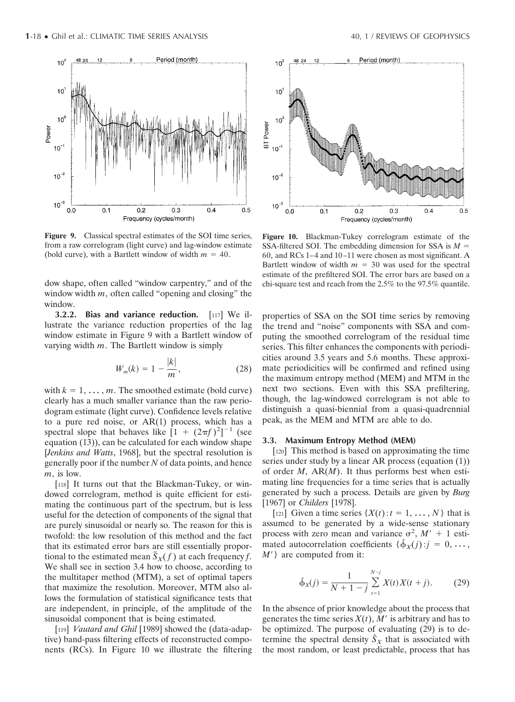

**Figure 9.** Classical spectral estimates of the SOI time series, from a raw correlogram (light curve) and lag-window estimate (bold curve), with a Bartlett window of width  $m = 40$ .

dow shape, often called "window carpentry," and of the window width *m*, often called "opening and closing" the window.

**3.2.2. Bias and variance reduction.** [117] We illustrate the variance reduction properties of the lag window estimate in Figure 9 with a Bartlett window of varying width *m*. The Bartlett window is simply

$$
W_m(k) = 1 - \frac{|k|}{m},
$$
 (28)

with  $k = 1, \ldots, m$ . The smoothed estimate (bold curve) clearly has a much smaller variance than the raw periodogram estimate (light curve). Confidence levels relative to a pure red noise, or AR(1) process, which has a spectral slope that behaves like  $\left[1 + (2\pi f)^2\right]^{-1}$  (see equation (13)), can be calculated for each window shape [*Jenkins and Watts*, 1968], but the spectral resolution is generally poor if the number *N* of data points, and hence *m*, is low.

[118] It turns out that the Blackman-Tukey, or windowed correlogram, method is quite efficient for estimating the continuous part of the spectrum, but is less useful for the detection of components of the signal that are purely sinusoidal or nearly so. The reason for this is twofold: the low resolution of this method and the fact that its estimated error bars are still essentially proportional to the estimated mean  $\tilde{S}_X(f)$  at each frequency *f*. We shall see in section 3.4 how to choose, according to the multitaper method (MTM), a set of optimal tapers that maximize the resolution. Moreover, MTM also allows the formulation of statistical significance tests that are independent, in principle, of the amplitude of the sinusoidal component that is being estimated.

[119] *Vautard and Ghil* [1989] showed the (data-adaptive) band-pass filtering effects of reconstructed components (RCs). In Figure 10 we illustrate the filtering



**Figure 10.** Blackman-Tukey correlogram estimate of the SSA-filtered SOI. The embedding dimension for SSA is *M* 60, and RCs 1–4 and 10–11 were chosen as most significant. A Bartlett window of width  $m = 30$  was used for the spectral estimate of the prefiltered SOI. The error bars are based on a chi-square test and reach from the 2.5% to the 97.5% quantile.

properties of SSA on the SOI time series by removing the trend and "noise" components with SSA and computing the smoothed correlogram of the residual time series. This filter enhances the components with periodicities around 3.5 years and 5.6 months. These approximate periodicities will be confirmed and refined using the maximum entropy method (MEM) and MTM in the next two sections. Even with this SSA prefiltering, though, the lag-windowed correlogram is not able to distinguish a quasi-biennial from a quasi-quadrennial peak, as the MEM and MTM are able to do.

#### **3.3. Maximum Entropy Method (MEM)**

[120] This method is based on approximating the time series under study by a linear AR process (equation (1)) of order *M*, AR(*M*). It thus performs best when estimating line frequencies for a time series that is actually generated by such a process. Details are given by *Burg* [1967] or *Childers* [1978].

[121] Given a time series  $\{X(t): t = 1, \ldots, N\}$  that is assumed to be generated by a wide-sense stationary process with zero mean and variance  $\sigma^2$ ,  $M' + 1$  estimated autocorrelation coefficients  $\{\hat{\phi}_X(j) : j = 0, \ldots, \}$ *M*<sup> $\prime$ </sup>} are computed from it:

$$
\hat{\Phi}_X(j) = \frac{1}{N+1-j} \sum_{t=1}^{N-j} X(t) X(t+j). \tag{29}
$$

In the absence of prior knowledge about the process that generates the time series  $X(t)$ , M' is arbitrary and has to be optimized. The purpose of evaluating (29) is to determine the spectral density  $\hat{S}_X$  that is associated with the most random, or least predictable, process that has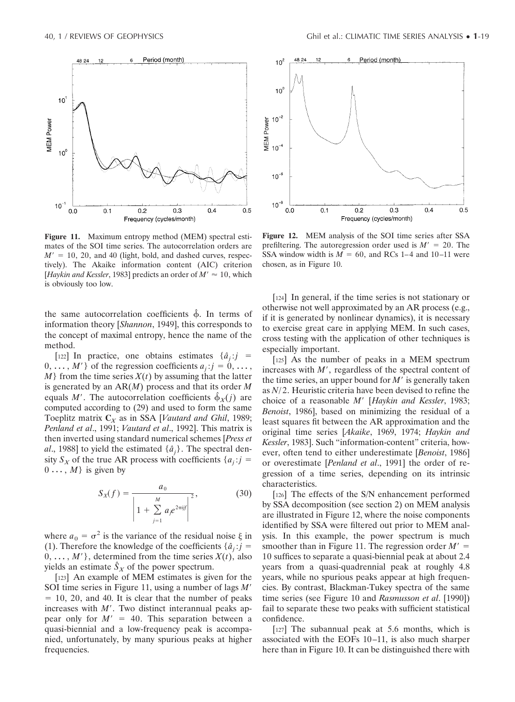48 24  $12$ 

 $10$ 

 $10^{\circ}$ 

 $10^{-7}$ 

 $0.0$ 

 $0.1$ 

MEM Power



Frequency (cycles/month)

 $0.2$ 

 $0.3$ 

 $0.4$ 

 $0.5$ 

Period (month)

the same autocorrelation coefficients  $\hat{\phi}$ . In terms of information theory [*Shannon*, 1949], this corresponds to the concept of maximal entropy, hence the name of the method.

[122] In practice, one obtains estimates  $\{\hat{a}_j : j = j\}$  $0, \ldots, M'$  of the regression coefficients  $a_j : j = 0, \ldots,$ *M*} from the time series *X*(*t*) by assuming that the latter is generated by an AR(*M*) process and that its order *M* equals *M'*. The autocorrelation coefficients  $\hat{\phi}_X(j)$  are computed according to (29) and used to form the same Toeplitz matrix **C***<sup>X</sup>* as in SSA [*Vautard and Ghil*, 1989; *Penland et al*., 1991; *Vautard et al*., 1992]. This matrix is then inverted using standard numerical schemes [*Press et al.*, 1988] to yield the estimated  $\{\hat{a}_j\}$ . The spectral density  $S_X$  of the true AR process with coefficients  $\{a_j : j = j\}$  $0 \ldots, M$  is given by

$$
S_X(f) = \frac{a_0}{\left| 1 + \sum_{j=1}^{M} a_j e^{2\pi i j f} \right|^2},
$$
 (30)

where  $a_0 = \sigma^2$  is the variance of the residual noise  $\xi$  in (1). Therefore the knowledge of the coefficients  $\{\hat{a}_j : j = j\}$  $0, \ldots, M'$ , determined from the time series  $X(t)$ , also yields an estimate  $\hat{S}_X$  of the power spectrum.

[123] An example of MEM estimates is given for the SOI time series in Figure 11, using a number of lags *M*-  $= 10, 20,$  and 40. It is clear that the number of peaks increases with  $M'$ . Two distinct interannual peaks appear only for  $M' = 40$ . This separation between a quasi-biennial and a low-frequency peak is accompanied, unfortunately, by many spurious peaks at higher frequencies.



**Figure 12.** MEM analysis of the SOI time series after SSA prefiltering. The autoregression order used is  $M' = 20$ . The SSA window width is  $M = 60$ , and RCs 1–4 and 10–11 were chosen, as in Figure 10.

[124] In general, if the time series is not stationary or otherwise not well approximated by an AR process (e.g., if it is generated by nonlinear dynamics), it is necessary to exercise great care in applying MEM. In such cases, cross testing with the application of other techniques is especially important.

[125] As the number of peaks in a MEM spectrum increases with *M*<sup>'</sup>, regardless of the spectral content of the time series, an upper bound for  $M'$  is generally taken as *N*/ 2. Heuristic criteria have been devised to refine the choice of a reasonable *M*- [*Haykin and Kessler*, 1983; *Benoist*, 1986], based on minimizing the residual of a least squares fit between the AR approximation and the original time series [*Akaike*, 1969, 1974; *Haykin and Kessler*, 1983]. Such "information-content" criteria, however, often tend to either underestimate [*Benoist*, 1986] or overestimate [*Penland et al*., 1991] the order of regression of a time series, depending on its intrinsic characteristics.

[126] The effects of the S/N enhancement performed by SSA decomposition (see section 2) on MEM analysis are illustrated in Figure 12, where the noise components identified by SSA were filtered out prior to MEM analysis. In this example, the power spectrum is much smoother than in Figure 11. The regression order  $M' =$ 10 suffices to separate a quasi-biennial peak at about 2.4 years from a quasi-quadrennial peak at roughly 4.8 years, while no spurious peaks appear at high frequencies. By contrast, Blackman-Tukey spectra of the same time series (see Figure 10 and *Rasmusson et al*. [1990]) fail to separate these two peaks with sufficient statistical confidence.

[127] The subannual peak at 5.6 months, which is associated with the EOFs 10–11, is also much sharper here than in Figure 10. It can be distinguished there with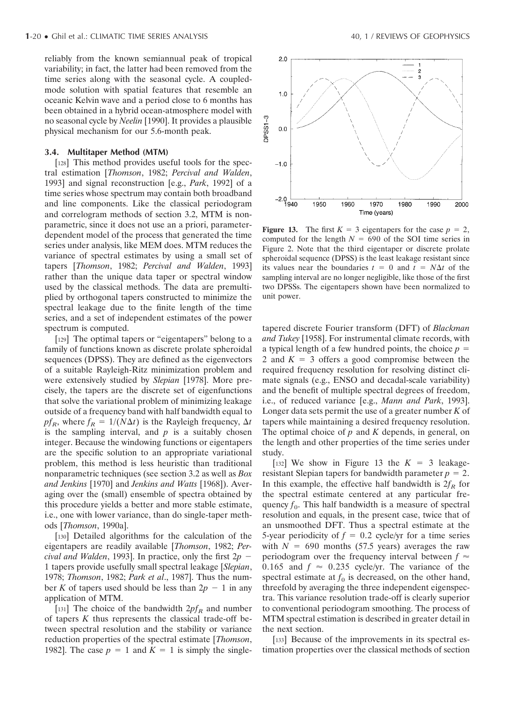reliably from the known semiannual peak of tropical variability; in fact, the latter had been removed from the time series along with the seasonal cycle. A coupledmode solution with spatial features that resemble an oceanic Kelvin wave and a period close to 6 months has been obtained in a hybrid ocean-atmosphere model with no seasonal cycle by *Neelin* [1990]. It provides a plausible physical mechanism for our 5.6-month peak.

#### **3.4. Multitaper Method (MTM)**

[128] This method provides useful tools for the spectral estimation [*Thomson*, 1982; *Percival and Walden*, 1993] and signal reconstruction [e.g., *Park*, 1992] of a time series whose spectrum may contain both broadband and line components. Like the classical periodogram and correlogram methods of section 3.2, MTM is nonparametric, since it does not use an a priori, parameterdependent model of the process that generated the time series under analysis, like MEM does. MTM reduces the variance of spectral estimates by using a small set of tapers [*Thomson*, 1982; *Percival and Walden*, 1993] rather than the unique data taper or spectral window used by the classical methods. The data are premultiplied by orthogonal tapers constructed to minimize the spectral leakage due to the finite length of the time series, and a set of independent estimates of the power spectrum is computed.

[129] The optimal tapers or "eigentapers" belong to a family of functions known as discrete prolate spheroidal sequences (DPSS). They are defined as the eigenvectors of a suitable Rayleigh-Ritz minimization problem and were extensively studied by *Slepian* [1978]. More precisely, the tapers are the discrete set of eigenfunctions that solve the variational problem of minimizing leakage outside of a frequency band with half bandwidth equal to  $pf_R$ , where  $f_R = 1/(N\Delta t)$  is the Rayleigh frequency,  $\Delta t$ is the sampling interval, and  $p$  is a suitably chosen integer. Because the windowing functions or eigentapers are the specific solution to an appropriate variational problem, this method is less heuristic than traditional nonparametric techniques (see section 3.2 as well as *Box and Jenkins* [1970] and *Jenkins and Watts* [1968]). Averaging over the (small) ensemble of spectra obtained by this procedure yields a better and more stable estimate, i.e., one with lower variance, than do single-taper methods [*Thomson*, 1990a].

[130] Detailed algorithms for the calculation of the eigentapers are readily available [*Thomson*, 1982; *Percival and Walden*, 1993]. In practice, only the first 2*p* 1 tapers provide usefully small spectral leakage [*Slepian*, 1978; *Thomson*, 1982; *Park et al*., 1987]. Thus the number K of tapers used should be less than  $2p - 1$  in any application of MTM.

[131] The choice of the bandwidth  $2pf_R$  and number of tapers *K* thus represents the classical trade-off between spectral resolution and the stability or variance reduction properties of the spectral estimate [*Thomson*, 1982]. The case  $p = 1$  and  $K = 1$  is simply the single-



**Figure 13.** The first  $K = 3$  eigentapers for the case  $p = 2$ , computed for the length  $N = 690$  of the SOI time series in Figure 2. Note that the third eigentaper or discrete prolate spheroidal sequence (DPSS) is the least leakage resistant since its values near the boundaries  $t = 0$  and  $t = N\Delta t$  of the sampling interval are no longer negligible, like those of the first two DPSSs. The eigentapers shown have been normalized to unit power.

tapered discrete Fourier transform (DFT) of *Blackman and Tukey* [1958]. For instrumental climate records, with a typical length of a few hundred points, the choice *p* 2 and  $K = 3$  offers a good compromise between the required frequency resolution for resolving distinct climate signals (e.g., ENSO and decadal-scale variability) and the benefit of multiple spectral degrees of freedom, i.e., of reduced variance [e.g., *Mann and Park*, 1993]. Longer data sets permit the use of a greater number *K* of tapers while maintaining a desired frequency resolution. The optimal choice of *p* and *K* depends, in general, on the length and other properties of the time series under study.

[132] We show in Figure 13 the  $K = 3$  leakageresistant Slepian tapers for bandwidth parameter  $p = 2$ . In this example, the effective half bandwidth is  $2f_R$  for the spectral estimate centered at any particular frequency  $f_0$ . This half bandwidth is a measure of spectral resolution and equals, in the present case, twice that of an unsmoothed DFT. Thus a spectral estimate at the 5-year periodicity of  $f = 0.2$  cycle/yr for a time series with  $N = 690$  months (57.5 years) averages the raw periodogram over the frequency interval between  $f \approx$ 0.165 and  $f \approx 0.235$  cycle/yr. The variance of the spectral estimate at  $f_0$  is decreased, on the other hand, threefold by averaging the three independent eigenspectra. This variance resolution trade-off is clearly superior to conventional periodogram smoothing. The process of MTM spectral estimation is described in greater detail in the next section.

[133] Because of the improvements in its spectral estimation properties over the classical methods of section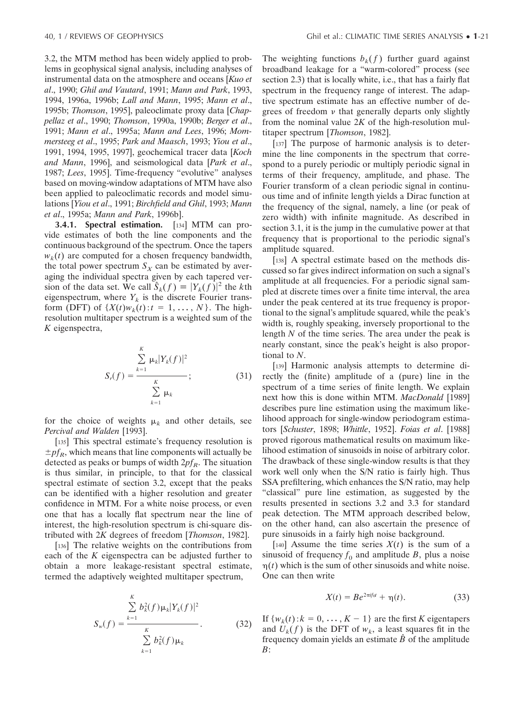3.2, the MTM method has been widely applied to problems in geophysical signal analysis, including analyses of instrumental data on the atmosphere and oceans [*Kuo et al*., 1990; *Ghil and Vautard*, 1991; *Mann and Park*, 1993, 1994, 1996a, 1996b; *Lall and Mann*, 1995; *Mann et al*., 1995b; *Thomson*, 1995], paleoclimate proxy data [*Chappellaz et al*., 1990; *Thomson*, 1990a, 1990b; *Berger et al*., 1991; *Mann et al*., 1995a; *Mann and Lees*, 1996; *Mommersteeg et al*., 1995; *Park and Maasch*, 1993; *Yiou et al*., 1991, 1994, 1995, 1997], geochemical tracer data [*Koch and Mann*, 1996], and seismological data [*Park et al*., 1987; *Lees*, 1995]. Time-frequency "evolutive" analyses based on moving-window adaptations of MTM have also been applied to paleoclimatic records and model simulations [*Yiou et al*., 1991; *Birchfield and Ghil*, 1993; *Mann et al*., 1995a; *Mann and Park*, 1996b].

**3.4.1. Spectral estimation.** [134] MTM can provide estimates of both the line components and the continuous background of the spectrum. Once the tapers  $w_k(t)$  are computed for a chosen frequency bandwidth, the total power spectrum  $S_X$  can be estimated by averaging the individual spectra given by each tapered version of the data set. We call  $\hat{S}_k(f) = |Y_k(f)|^2$  the *k*th eigenspectrum, where  $Y_k$  is the discrete Fourier transform (DFT) of  $\{X(t)w_k(t): t = 1, \ldots, N\}$ . The highresolution multitaper spectrum is a weighted sum of the *K* eigenspectra,

$$
S_r(f) = \frac{\sum_{k=1}^{K} \mu_k |Y_k(f)|^2}{\sum_{k=1}^{K} \mu_k};
$$
 (31)

for the choice of weights  $\mu_k$  and other details, see *Percival and Walden* [1993].

[135] This spectral estimate's frequency resolution is  $\pm p f_R$ , which means that line components will actually be detected as peaks or bumps of width  $2pf_R$ . The situation is thus similar, in principle, to that for the classical spectral estimate of section 3.2, except that the peaks can be identified with a higher resolution and greater confidence in MTM. For a white noise process, or even one that has a locally flat spectrum near the line of interest, the high-resolution spectrum is chi-square distributed with 2*K* degrees of freedom [*Thomson*, 1982].

[136] The relative weights on the contributions from each of the *K* eigenspectra can be adjusted further to obtain a more leakage-resistant spectral estimate, termed the adaptively weighted multitaper spectrum,

$$
S_w(f) = \frac{\sum_{k=1}^{K} b_k^2(f) \mu_k |Y_k(f)|^2}{\sum_{k=1}^{K} b_k^2(f) \mu_k}.
$$
 (32)

The weighting functions  $b_k(f)$  further guard against broadband leakage for a "warm-colored" process (see section 2.3) that is locally white, i.e., that has a fairly flat spectrum in the frequency range of interest. The adaptive spectrum estimate has an effective number of degrees of freedom  $\nu$  that generally departs only slightly from the nominal value 2*K* of the high-resolution multitaper spectrum [*Thomson*, 1982].

[137] The purpose of harmonic analysis is to determine the line components in the spectrum that correspond to a purely periodic or multiply periodic signal in terms of their frequency, amplitude, and phase. The Fourier transform of a clean periodic signal in continuous time and of infinite length yields a Dirac function at the frequency of the signal, namely, a line (or peak of zero width) with infinite magnitude. As described in section 3.1, it is the jump in the cumulative power at that frequency that is proportional to the periodic signal's amplitude squared.

[138] A spectral estimate based on the methods discussed so far gives indirect information on such a signal's amplitude at all frequencies. For a periodic signal sampled at discrete times over a finite time interval, the area under the peak centered at its true frequency is proportional to the signal's amplitude squared, while the peak's width is, roughly speaking, inversely proportional to the length *N* of the time series. The area under the peak is nearly constant, since the peak's height is also proportional to *N*.

[139] Harmonic analysis attempts to determine directly the (finite) amplitude of a (pure) line in the spectrum of a time series of finite length. We explain next how this is done within MTM. *MacDonald* [1989] describes pure line estimation using the maximum likelihood approach for single-window periodogram estimators [*Schuster*, 1898; *Whittle*, 1952]. *Foias et al*. [1988] proved rigorous mathematical results on maximum likelihood estimation of sinusoids in noise of arbitrary color. The drawback of these single-window results is that they work well only when the S/N ratio is fairly high. Thus SSA prefiltering, which enhances the S/N ratio, may help "classical" pure line estimation, as suggested by the results presented in sections 3.2 and 3.3 for standard peak detection. The MTM approach described below, on the other hand, can also ascertain the presence of pure sinusoids in a fairly high noise background.

[140] Assume the time series  $X(t)$  is the sum of a sinusoid of frequency  $f_0$  and amplitude *B*, plus a noise  $\eta(t)$  which is the sum of other sinusoids and white noise. One can then write

$$
X(t) = Be^{2\pi i f_0 t} + \eta(t). \tag{33}
$$

If  $\{w_k(t): k = 0, \ldots, K - 1\}$  are the first *K* eigentapers and  $U_k(f)$  is the DFT of  $w_k$ , a least squares fit in the frequency domain yields an estimate *Bˆ* of the amplitude *B*: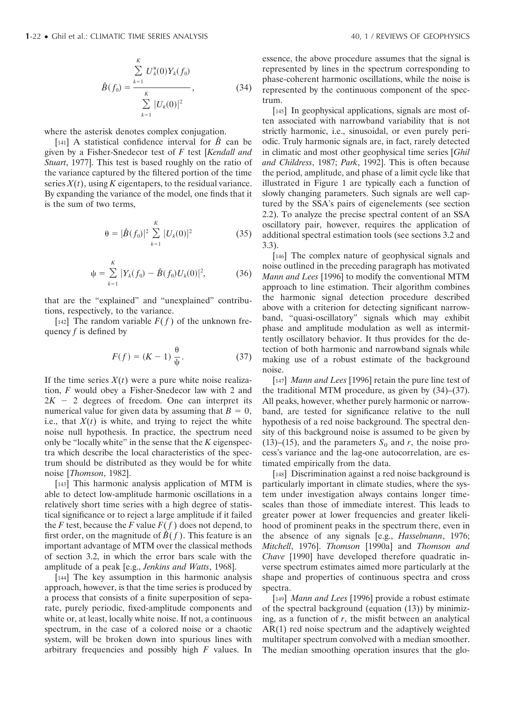$$
\hat{B}(f_0) = \frac{\sum_{k=1}^{K} U_k^*(0)Y_k(f_0)}{\sum_{k=1}^{K} |U_k(0)|^2},
$$
\n(34)

where the asterisk denotes complex conjugation.

[141] A statistical confidence interval for *Bˆ* can be given by a Fisher-Snedecor test of *F* test [*Kendall and Stuart*, 1977]. This test is based roughly on the ratio of the variance captured by the filtered portion of the time series  $X(t)$ , using  $K$  eigentapers, to the residual variance. By expanding the variance of the model, one finds that it is the sum of two terms,

$$
\theta = |\hat{B}(f_0)|^2 \sum_{k=1}^K |U_k(0)|^2 \tag{35}
$$

$$
\psi = \sum_{k=1}^{K} |Y_k(f_0) - \hat{B}(f_0)U_k(0)|^2, \tag{36}
$$

that are the "explained" and "unexplained" contributions, respectively, to the variance.

[142] The random variable  $F(f)$  of the unknown frequency *f* is defined by

$$
F(f) = (K - 1) \frac{\theta}{\psi}.
$$
 (37)

If the time series  $X(t)$  were a pure white noise realization, *F* would obey a Fisher-Snedecor law with 2 and  $2K - 2$  degrees of freedom. One can interpret its numerical value for given data by assuming that  $B = 0$ , i.e., that  $X(t)$  is white, and trying to reject the white noise null hypothesis. In practice, the spectrum need only be "locally white" in the sense that the *K* eigenspectra which describe the local characteristics of the spectrum should be distributed as they would be for white noise [*Thomson*, 1982].

[143] This harmonic analysis application of MTM is able to detect low-amplitude harmonic oscillations in a relatively short time series with a high degree of statistical significance or to reject a large amplitude if it failed the *F* test, because the *F* value  $F(f)$  does not depend, to first order, on the magnitude of  $B(f)$ . This feature is an important advantage of MTM over the classical methods of section 3.2, in which the error bars scale with the amplitude of a peak [e.g., *Jenkins and Watts*, 1968].

[144] The key assumption in this harmonic analysis approach, however, is that the time series is produced by a process that consists of a finite superposition of separate, purely periodic, fixed-amplitude components and white or, at least, locally white noise. If not, a continuous spectrum, in the case of a colored noise or a chaotic system, will be broken down into spurious lines with arbitrary frequencies and possibly high *F* values. In essence, the above procedure assumes that the signal is represented by lines in the spectrum corresponding to phase-coherent harmonic oscillations, while the noise is represented by the continuous component of the spectrum.

[145] In geophysical applications, signals are most often associated with narrowband variability that is not strictly harmonic, i.e., sinusoidal, or even purely periodic. Truly harmonic signals are, in fact, rarely detected in climatic and most other geophysical time series [*Ghil and Childress*, 1987; *Park*, 1992]. This is often because the period, amplitude, and phase of a limit cycle like that illustrated in Figure 1 are typically each a function of slowly changing parameters. Such signals are well captured by the SSA's pairs of eigenelements (see section 2.2). To analyze the precise spectral content of an SSA oscillatory pair, however, requires the application of additional spectral estimation tools (see sections 3.2 and 3.3).

[146] The complex nature of geophysical signals and noise outlined in the preceding paragraph has motivated *Mann and Lees* [1996] to modify the conventional MTM approach to line estimation. Their algorithm combines the harmonic signal detection procedure described above with a criterion for detecting significant narrowband, "quasi-oscillatory" signals which may exhibit phase and amplitude modulation as well as intermittently oscillatory behavior. It thus provides for the detection of both harmonic and narrowband signals while making use of a robust estimate of the background noise.

[147] *Mann and Lees* [1996] retain the pure line test of the traditional MTM procedure, as given by (34)–(37). All peaks, however, whether purely harmonic or narrowband, are tested for significance relative to the null hypothesis of a red noise background. The spectral density of this background noise is assumed to be given by (13)–(15), and the parameters  $S_0$  and *r*, the noise process's variance and the lag-one autocorrelation, are estimated empirically from the data.

[148] Discrimination against a red noise background is particularly important in climate studies, where the system under investigation always contains longer timescales than those of immediate interest. This leads to greater power at lower frequencies and greater likelihood of prominent peaks in the spectrum there, even in the absence of any signals [e.g., *Hasselmann*, 1976; *Mitchell*, 1976]. *Thomson* [1990a] and *Thomson and Chave* [1990] have developed therefore quadratic inverse spectrum estimates aimed more particularly at the shape and properties of continuous spectra and cross spectra.

[149] *Mann and Lees* [1996] provide a robust estimate of the spectral background (equation (13)) by minimizing, as a function of *r*, the misfit between an analytical AR(1) red noise spectrum and the adaptively weighted multitaper spectrum convolved with a median smoother. The median smoothing operation insures that the glo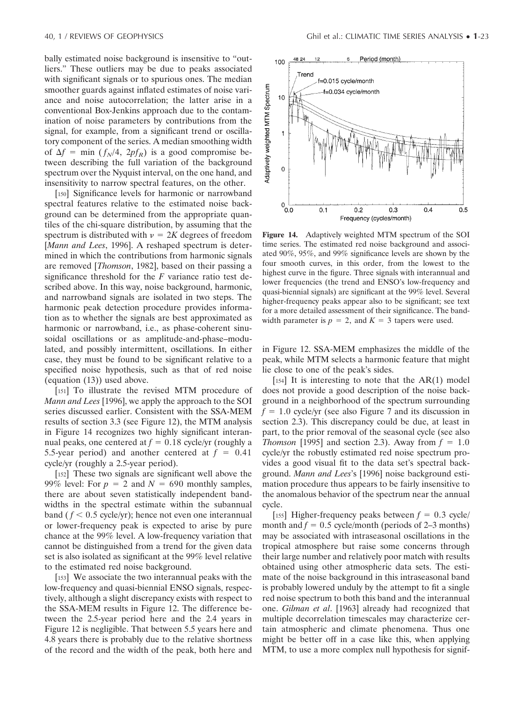bally estimated noise background is insensitive to "outliers." These outliers may be due to peaks associated with significant signals or to spurious ones. The median smoother guards against inflated estimates of noise variance and noise autocorrelation; the latter arise in a conventional Box-Jenkins approach due to the contamination of noise parameters by contributions from the signal, for example, from a significant trend or oscillatory component of the series. A median smoothing width of  $\Delta f = \min (f_N/4, 2pf_R)$  is a good compromise between describing the full variation of the background spectrum over the Nyquist interval, on the one hand, and insensitivity to narrow spectral features, on the other.

[150] Significance levels for harmonic or narrowband spectral features relative to the estimated noise background can be determined from the appropriate quantiles of the chi-square distribution, by assuming that the spectrum is distributed with  $v = 2K$  degrees of freedom [*Mann and Lees*, 1996]. A reshaped spectrum is determined in which the contributions from harmonic signals are removed [*Thomson*, 1982], based on their passing a significance threshold for the *F* variance ratio test described above. In this way, noise background, harmonic, and narrowband signals are isolated in two steps. The harmonic peak detection procedure provides information as to whether the signals are best approximated as harmonic or narrowband, i.e., as phase-coherent sinusoidal oscillations or as amplitude-and-phase–modulated, and possibly intermittent, oscillations. In either case, they must be found to be significant relative to a specified noise hypothesis, such as that of red noise (equation (13)) used above.

[151] To illustrate the revised MTM procedure of *Mann and Lees* [1996], we apply the approach to the SOI series discussed earlier. Consistent with the SSA-MEM results of section 3.3 (see Figure 12), the MTM analysis in Figure 14 recognizes two highly significant interannual peaks, one centered at  $f = 0.18$  cycle/yr (roughly a 5.5-year period) and another centered at  $f = 0.41$ cycle/yr (roughly a 2.5-year period).

[152] These two signals are significant well above the 99% level: For  $p = 2$  and  $N = 690$  monthly samples, there are about seven statistically independent bandwidths in the spectral estimate within the subannual band ( $f < 0.5$  cycle/yr); hence not even one interannual or lower-frequency peak is expected to arise by pure chance at the 99% level. A low-frequency variation that cannot be distinguished from a trend for the given data set is also isolated as significant at the 99% level relative to the estimated red noise background.

[153] We associate the two interannual peaks with the low-frequency and quasi-biennial ENSO signals, respectively, although a slight discrepancy exists with respect to the SSA-MEM results in Figure 12. The difference between the 2.5-year period here and the 2.4 years in Figure 12 is negligible. That between 5.5 years here and 4.8 years there is probably due to the relative shortness of the record and the width of the peak, both here and



**Figure 14.** Adaptively weighted MTM spectrum of the SOI time series. The estimated red noise background and associated 90%, 95%, and 99% significance levels are shown by the four smooth curves, in this order, from the lowest to the highest curve in the figure. Three signals with interannual and lower frequencies (the trend and ENSO's low-frequency and quasi-biennial signals) are significant at the 99% level. Several higher-frequency peaks appear also to be significant; see text for a more detailed assessment of their significance. The bandwidth parameter is  $p = 2$ , and  $K = 3$  tapers were used.

in Figure 12. SSA-MEM emphasizes the middle of the peak, while MTM selects a harmonic feature that might lie close to one of the peak's sides.

[ $154$ ] It is interesting to note that the AR(1) model does not provide a good description of the noise background in a neighborhood of the spectrum surrounding  $f = 1.0$  cycle/yr (see also Figure 7 and its discussion in section 2.3). This discrepancy could be due, at least in part, to the prior removal of the seasonal cycle (see also *Thomson* [1995] and section 2.3). Away from  $f = 1.0$ cycle/yr the robustly estimated red noise spectrum provides a good visual fit to the data set's spectral background. *Mann and Lees*'s [1996] noise background estimation procedure thus appears to be fairly insensitive to the anomalous behavior of the spectrum near the annual cycle.

[155] Higher-frequency peaks between  $f = 0.3$  cycle/ month and  $f = 0.5$  cycle/month (periods of 2–3 months) may be associated with intraseasonal oscillations in the tropical atmosphere but raise some concerns through their large number and relatively poor match with results obtained using other atmospheric data sets. The estimate of the noise background in this intraseasonal band is probably lowered unduly by the attempt to fit a single red noise spectrum to both this band and the interannual one. *Gilman et al*. [1963] already had recognized that multiple decorrelation timescales may characterize certain atmospheric and climate phenomena. Thus one might be better off in a case like this, when applying MTM, to use a more complex null hypothesis for signif-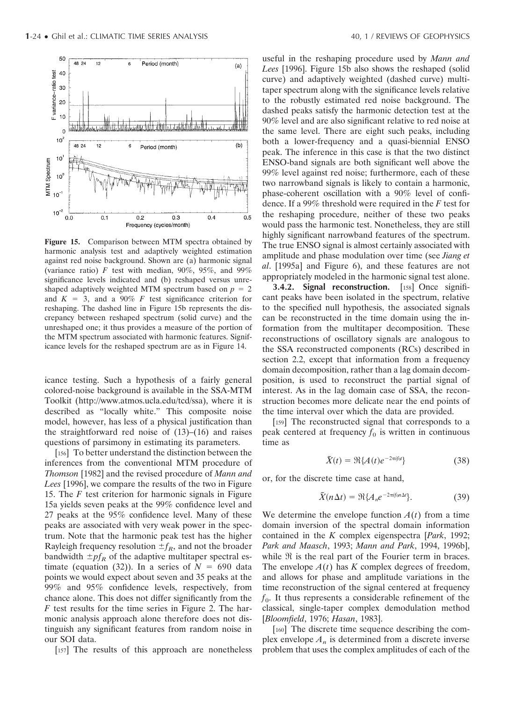

**Figure 15.** Comparison between MTM spectra obtained by harmonic analysis test and adaptively weighted estimation against red noise background. Shown are (a) harmonic signal (variance ratio)  $F$  test with median, 90%, 95%, and 99% significance levels indicated and (b) reshaped versus unreshaped adaptively weighted MTM spectrum based on  $p = 2$ and  $K = 3$ , and a 90% *F* test significance criterion for reshaping. The dashed line in Figure 15b represents the discrepancy between reshaped spectrum (solid curve) and the unreshaped one; it thus provides a measure of the portion of the MTM spectrum associated with harmonic features. Significance levels for the reshaped spectrum are as in Figure 14.

icance testing. Such a hypothesis of a fairly general colored-noise background is available in the SSA-MTM Toolkit (http://www.atmos.ucla.edu/tcd/ssa), where it is described as "locally white." This composite noise model, however, has less of a physical justification than the straightforward red noise of (13)–(16) and raises questions of parsimony in estimating its parameters.

[156] To better understand the distinction between the inferences from the conventional MTM procedure of *Thomson* [1982] and the revised procedure of *Mann and Lees* [1996], we compare the results of the two in Figure 15. The *F* test criterion for harmonic signals in Figure 15a yields seven peaks at the 99% confidence level and 27 peaks at the 95% confidence level. Many of these peaks are associated with very weak power in the spectrum. Note that the harmonic peak test has the higher Rayleigh frequency resolution  $\pm f_R$ , and not the broader bandwidth  $\pm pf_R$  of the adaptive multitaper spectral estimate (equation (32)). In a series of  $N = 690$  data points we would expect about seven and 35 peaks at the 99% and 95% confidence levels, respectively, from chance alone. This does not differ significantly from the *F* test results for the time series in Figure 2. The harmonic analysis approach alone therefore does not distinguish any significant features from random noise in our SOI data.

[157] The results of this approach are nonetheless

useful in the reshaping procedure used by *Mann and Lees* [1996]. Figure 15b also shows the reshaped (solid curve) and adaptively weighted (dashed curve) multitaper spectrum along with the significance levels relative to the robustly estimated red noise background. The dashed peaks satisfy the harmonic detection test at the 90% level and are also significant relative to red noise at the same level. There are eight such peaks, including both a lower-frequency and a quasi-biennial ENSO peak. The inference in this case is that the two distinct ENSO-band signals are both significant well above the 99% level against red noise; furthermore, each of these two narrowband signals is likely to contain a harmonic, phase-coherent oscillation with a 90% level of confidence. If a 99% threshold were required in the *F* test for the reshaping procedure, neither of these two peaks would pass the harmonic test. Nonetheless, they are still highly significant narrowband features of the spectrum. The true ENSO signal is almost certainly associated with amplitude and phase modulation over time (see *Jiang et al*. [1995a] and Figure 6), and these features are not appropriately modeled in the harmonic signal test alone.

**3.4.2. Signal reconstruction.** [158] Once significant peaks have been isolated in the spectrum, relative to the specified null hypothesis, the associated signals can be reconstructed in the time domain using the information from the multitaper decomposition. These reconstructions of oscillatory signals are analogous to the SSA reconstructed components (RCs) described in section 2.2, except that information from a frequency domain decomposition, rather than a lag domain decomposition, is used to reconstruct the partial signal of interest. As in the lag domain case of SSA, the reconstruction becomes more delicate near the end points of the time interval over which the data are provided.

[159] The reconstructed signal that corresponds to a peak centered at frequency  $f_0$  is written in continuous time as

$$
\tilde{X}(t) = \Re{A(t)e^{-2\pi i f_0 t}}
$$
\n(38)

or, for the discrete time case at hand,

$$
\tilde{X}(n\Delta t) = \Re\{A_n e^{-2\pi i f_0 n \Delta t}\}.
$$
 (39)

We determine the envelope function  $A(t)$  from a time domain inversion of the spectral domain information contained in the *K* complex eigenspectra [*Park*, 1992; *Park and Maasch*, 1993; *Mann and Park*, 1994, 1996b], while  $\Re$  is the real part of the Fourier term in braces. The envelope  $A(t)$  has  $K$  complex degrees of freedom, and allows for phase and amplitude variations in the time reconstruction of the signal centered at frequency  $f_0$ . It thus represents a considerable refinement of the classical, single-taper complex demodulation method [*Bloomfield*, 1976; *Hasan*, 1983].

[160] The discrete time sequence describing the complex envelope  $A_n$  is determined from a discrete inverse problem that uses the complex amplitudes of each of the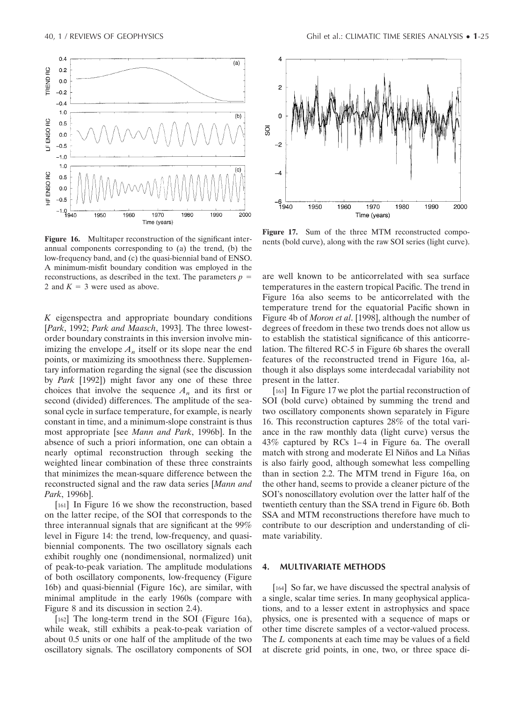

Figure 16. Multitaper reconstruction of the significant interannual components corresponding to (a) the trend, (b) the low-frequency band, and (c) the quasi-biennial band of ENSO. A minimum-misfit boundary condition was employed in the reconstructions, as described in the text. The parameters  $p =$ 2 and  $K = 3$  were used as above.

*K* eigenspectra and appropriate boundary conditions [*Park*, 1992; *Park and Maasch*, 1993]. The three lowestorder boundary constraints in this inversion involve minimizing the envelope  $A_n$  itself or its slope near the end points, or maximizing its smoothness there. Supplementary information regarding the signal (see the discussion by *Park* [1992]) might favor any one of these three choices that involve the sequence  $A_n$  and its first or second (divided) differences. The amplitude of the seasonal cycle in surface temperature, for example, is nearly constant in time, and a minimum-slope constraint is thus most appropriate [see *Mann and Park*, 1996b]. In the absence of such a priori information, one can obtain a nearly optimal reconstruction through seeking the weighted linear combination of these three constraints that minimizes the mean-square difference between the reconstructed signal and the raw data series [*Mann and Park*, 1996b].

[161] In Figure 16 we show the reconstruction, based on the latter recipe, of the SOI that corresponds to the three interannual signals that are significant at the 99% level in Figure 14: the trend, low-frequency, and quasibiennial components. The two oscillatory signals each exhibit roughly one (nondimensional, normalized) unit of peak-to-peak variation. The amplitude modulations of both oscillatory components, low-frequency (Figure 16b) and quasi-biennial (Figure 16c), are similar, with minimal amplitude in the early 1960s (compare with Figure 8 and its discussion in section 2.4).

[162] The long-term trend in the SOI (Figure 16a), while weak, still exhibits a peak-to-peak variation of about 0.5 units or one half of the amplitude of the two oscillatory signals. The oscillatory components of SOI



**Figure 17.** Sum of the three MTM reconstructed components (bold curve), along with the raw SOI series (light curve).

are well known to be anticorrelated with sea surface temperatures in the eastern tropical Pacific. The trend in Figure 16a also seems to be anticorrelated with the temperature trend for the equatorial Pacific shown in Figure 4b of *Moron et al*. [1998], although the number of degrees of freedom in these two trends does not allow us to establish the statistical significance of this anticorrelation. The filtered RC-5 in Figure 6b shares the overall features of the reconstructed trend in Figure 16a, although it also displays some interdecadal variability not present in the latter.

[163] In Figure 17 we plot the partial reconstruction of SOI (bold curve) obtained by summing the trend and two oscillatory components shown separately in Figure 16. This reconstruction captures 28% of the total variance in the raw monthly data (light curve) versus the 43% captured by RCs 1–4 in Figure 6a. The overall match with strong and moderate El Niños and La Niñas is also fairly good, although somewhat less compelling than in section 2.2. The MTM trend in Figure 16a, on the other hand, seems to provide a cleaner picture of the SOI's nonoscillatory evolution over the latter half of the twentieth century than the SSA trend in Figure 6b. Both SSA and MTM reconstructions therefore have much to contribute to our description and understanding of climate variability.

## **4. MULTIVARIATE METHODS**

[164] So far, we have discussed the spectral analysis of a single, scalar time series. In many geophysical applications, and to a lesser extent in astrophysics and space physics, one is presented with a sequence of maps or other time discrete samples of a vector-valued process. The *L* components at each time may be values of a field at discrete grid points, in one, two, or three space di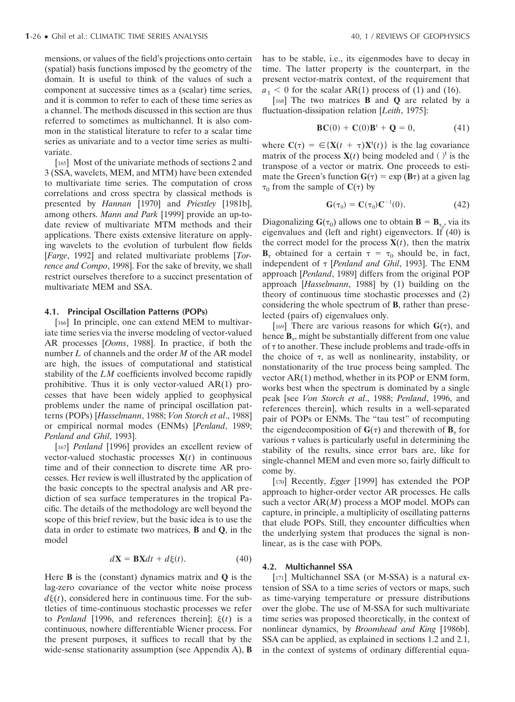mensions, or values of the field's projections onto certain (spatial) basis functions imposed by the geometry of the domain. It is useful to think of the values of such a component at successive times as a (scalar) time series, and it is common to refer to each of these time series as a channel. The methods discussed in this section are thus referred to sometimes as multichannel. It is also common in the statistical literature to refer to a scalar time series as univariate and to a vector time series as multivariate.

[165] Most of the univariate methods of sections 2 and 3 (SSA, wavelets, MEM, and MTM) have been extended to multivariate time series. The computation of cross correlations and cross spectra by classical methods is presented by *Hannan* [1970] and *Priestley* [1981b], among others. *Mann and Park* [1999] provide an up-todate review of multivariate MTM methods and their applications. There exists extensive literature on applying wavelets to the evolution of turbulent flow fields [*Farge*, 1992] and related multivariate problems [*Torrence and Compo*, 1998]. For the sake of brevity, we shall restrict ourselves therefore to a succinct presentation of multivariate MEM and SSA.

#### **4.1. Principal Oscillation Patterns (POPs)**

[166] In principle, one can extend MEM to multivariate time series via the inverse modeling of vector-valued AR processes [*Ooms*, 1988]. In practice, if both the number *L* of channels and the order *M* of the AR model are high, the issues of computational and statistical stability of the *LM* coefficients involved become rapidly prohibitive. Thus it is only vector-valued AR(1) processes that have been widely applied to geophysical problems under the name of principal oscillation patterns (POPs) [*Hasselmann*, 1988; *Von Storch et al*., 1988] or empirical normal modes (ENMs) [*Penland*, 1989; *Penland and Ghil*, 1993].

[167] *Penland* [1996] provides an excellent review of vector-valued stochastic processes  $X(t)$  in continuous time and of their connection to discrete time AR processes. Her review is well illustrated by the application of the basic concepts to the spectral analysis and AR prediction of sea surface temperatures in the tropical Pacific. The details of the methodology are well beyond the scope of this brief review, but the basic idea is to use the data in order to estimate two matrices, **B** and **Q**, in the model

$$
d\mathbf{X} = \mathbf{B}\mathbf{X}dt + d\xi(t). \tag{40}
$$

Here **B** is the (constant) dynamics matrix and **Q** is the lag-zero covariance of the vector white noise process  $d\xi(t)$ , considered here in continuous time. For the subtleties of time-continuous stochastic processes we refer to *Penland* [1996, and references therein];  $\xi(t)$  is a continuous, nowhere differentiable Wiener process. For the present purposes, it suffices to recall that by the wide-sense stationarity assumption (see Appendix A), **B**

has to be stable, i.e., its eigenmodes have to decay in time. The latter property is the counterpart, in the present vector-matrix context, of the requirement that  $a_1 < 0$  for the scalar AR(1) process of (1) and (16).

[168] The two matrices **B** and **Q** are related by a fluctuation-dissipation relation [*Leith*, 1975]:

$$
\mathbf{BC}(0) + \mathbf{C}(0)\mathbf{B}^{\mathrm{t}} + \mathbf{Q} = 0,\tag{41}
$$

where  $\mathbf{C}(\tau) = \epsilon \{ \mathbf{X}(t + \tau) \mathbf{X}^t(t) \}$  is the lag covariance matrix of the process  $X(t)$  being modeled and  $()^t$  is the transpose of a vector or matrix. One proceeds to estimate the Green's function  $G(\tau) = \exp(B\tau)$  at a given lag  $\tau_0$  from the sample of  $C(\tau)$  by

$$
\mathbf{G}(\tau_0) = \mathbf{C}(\tau_0) \mathbf{C}^{-1}(0). \tag{42}
$$

Diagonalizing  $\mathbf{G}(\tau_0)$  allows one to obtain  $\mathbf{B} = \mathbf{B}_{\tau_0}$ , via its eigenvalues and (left and right) eigenvectors. If (40) is the correct model for the process  $X(t)$ , then the matrix  $\mathbf{B}_{\tau}$  obtained for a certain  $\tau = \tau_0$  should be, in fact, independent of [*Penland and Ghil*, 1993]. The ENM approach [*Penland*, 1989] differs from the original POP approach [*Hasselmann*, 1988] by (1) building on the theory of continuous time stochastic processes and (2) considering the whole spectrum of **B**, rather than preselected (pairs of) eigenvalues only.

[169] There are various reasons for which  $G(\tau)$ , and hence **B**<sub>r</sub>, might be substantially different from one value of  $\tau$  to another. These include problems and trade-offs in the choice of  $\tau$ , as well as nonlinearity, instability, or nonstationarity of the true process being sampled. The vector AR(1) method, whether in its POP or ENM form, works best when the spectrum is dominated by a single peak [see *Von Storch et al*., 1988; *Penland*, 1996, and references therein], which results in a well-separated pair of POPs or ENMs. The "tau test" of recomputing the eigendecomposition of  $G(\tau)$  and therewith of  $B_{\tau}$  for various  $\tau$  values is particularly useful in determining the stability of the results, since error bars are, like for single-channel MEM and even more so, fairly difficult to come by.

[170] Recently, *Egger* [1999] has extended the POP approach to higher-order vector AR processes. He calls such a vector AR(*M*) process a MOP model. MOPs can capture, in principle, a multiplicity of oscillating patterns that elude POPs. Still, they encounter difficulties when the underlying system that produces the signal is nonlinear, as is the case with POPs.

### **4.2. Multichannel SSA**

[171] Multichannel SSA (or M-SSA) is a natural extension of SSA to a time series of vectors or maps, such as time-varying temperature or pressure distributions over the globe. The use of M-SSA for such multivariate time series was proposed theoretically, in the context of nonlinear dynamics, by *Broomhead and King* [1986b]. SSA can be applied, as explained in sections 1.2 and 2.1, in the context of systems of ordinary differential equa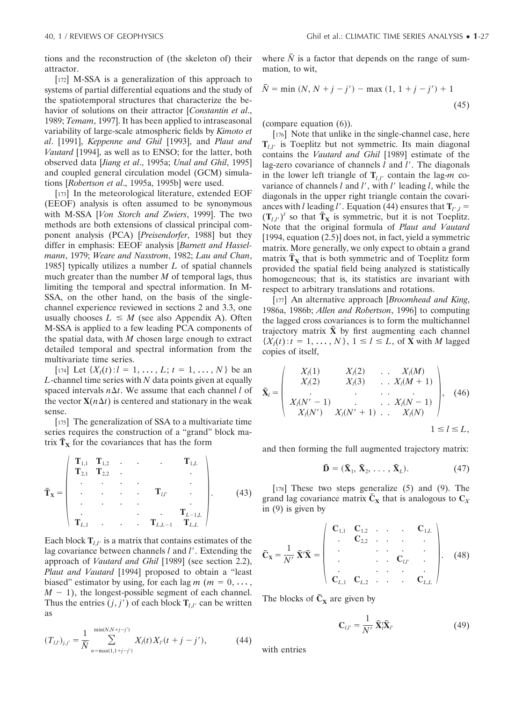tions and the reconstruction of (the skeleton of) their attractor.

[172] M-SSA is a generalization of this approach to systems of partial differential equations and the study of the spatiotemporal structures that characterize the behavior of solutions on their attractor [*Constantin et al*., 1989; *Temam*, 1997]. It has been applied to intraseasonal variability of large-scale atmospheric fields by *Kimoto et al*. [1991], *Keppenne and Ghil* [1993], and *Plaut and Vautard* [1994], as well as to ENSO; for the latter, both observed data [*Jiang et al*., 1995a; *Unal and Ghil*, 1995] and coupled general circulation model (GCM) simulations [*Robertson et al*., 1995a, 1995b] were used.

[173] In the meteorological literature, extended EOF (EEOF) analysis is often assumed to be synonymous with M-SSA [*Von Storch and Zwiers*, 1999]. The two methods are both extensions of classical principal component analysis (PCA) [*Preisendorfer*, 1988] but they differ in emphasis: EEOF analysis [*Barnett and Hasselmann*, 1979; *Weare and Nasstrom*, 1982; *Lau and Chan*, 1985] typically utilizes a number *L* of spatial channels much greater than the number *M* of temporal lags, thus limiting the temporal and spectral information. In M-SSA, on the other hand, on the basis of the singlechannel experience reviewed in sections 2 and 3.3, one usually chooses  $L \leq M$  (see also Appendix A). Often M-SSA is applied to a few leading PCA components of the spatial data, with *M* chosen large enough to extract detailed temporal and spectral information from the multivariate time series.

[174] Let  $\{X_l(t): l = 1, \ldots, L; t = 1, \ldots, N\}$  be an *L*-channel time series with *N* data points given at equally spaced intervals  $n \Delta t$ . We assume that each channel *l* of the vector  $X(n\Delta t)$  is centered and stationary in the weak sense.

[175] The generalization of SSA to a multivariate time series requires the construction of a "grand" block matrix  $\tilde{T}_X$  for the covariances that has the form

$$
\widetilde{\mathbf{T}}_{\mathbf{x}} = \begin{pmatrix}\n\mathbf{T}_{1,1} & \mathbf{T}_{1,2} & \cdots & \mathbf{T}_{1,L} \\
\mathbf{T}_{2,1} & \mathbf{T}_{2,2} & \cdots & \mathbf{T}_{L'} & \cdots \\
\vdots & \vdots & \ddots & \vdots & \ddots \\
\mathbf{T}_{L,1} & \cdots & \mathbf{T}_{L,L-1} & \mathbf{T}_{L,L}\n\end{pmatrix}.
$$
\n(43)

Each block  $\mathbf{T}_{l,l'}$  is a matrix that contains estimates of the lag covariance between channels *l* and *l'*. Extending the approach of *Vautard and Ghil* [1989] (see section 2.2), *Plaut and Vautard* [1994] proposed to obtain a "least biased" estimator by using, for each lag  $m$  ( $m = 0, ...,$  $M - 1$ ), the longest-possible segment of each channel. Thus the entries  $(j, j')$  of each block  $\mathbf{T}_{l,l'}$  can be written as

$$
(T_{l,l'})_{j,j'} = \frac{1}{\tilde{N}} \sum_{n=\max(1,1+j-j')}^{\min(N,N+j-j')} X_l(t) X_{l'}(t+j-j'), \qquad (44)
$$

where  $\tilde{N}$  is a factor that depends on the range of summation, to wit,

$$
\tilde{N} = \min (N, N + j - j') - \max (1, 1 + j - j') + 1
$$
\n(45)

(compare equation (6)).

[176] Note that unlike in the single-channel case, here  $\mathbf{T}_{l,l'}$  is Toeplitz but not symmetric. Its main diagonal contains the *Vautard and Ghil* [1989] estimate of the lag-zero covariance of channels *l* and *l'*. The diagonals in the lower left triangle of  $\mathbf{T}_{l,l'}$  contain the lag-*m* covariance of channels *l* and *l'*, with *l'* leading *l*, while the diagonals in the upper right triangle contain the covariances with *l* leading *l'*. Equation (44) ensures that  $\mathbf{T}_{l',l}$  =  $(\mathbf{T}_{l,l'})^t$  so that  $\mathbf{T}_{\mathbf{X}}$  is symmetric, but it is not Toeplitz. Note that the original formula of *Plaut and Vautard* [1994, equation (2.5)] does not, in fact, yield a symmetric matrix. More generally, we only expect to obtain a grand  $\frac{1}{\sqrt{2}}$  that is both symmetric and of Toeplitz form provided the spatial field being analyzed is statistically homogeneous; that is, its statistics are invariant with respect to arbitrary translations and rotations.

[177] An alternative approach [*Broomhead and King*, 1986a, 1986b; *Allen and Robertson*, 1996] to computing the lagged cross covariances is to form the multichannel trajectory matrix  $\tilde{\mathbf{X}}$  by first augmenting each channel  $\{X_l(t): t = 1, \ldots, N\}, 1 \le l \le L$ , of **X** with *M* lagged copies of itself,

$$
\tilde{\mathbf{X}}_l = \begin{pmatrix} X_l(1) & X_l(2) & \dots & X_l(M) \\ X_l(2) & X_l(3) & \dots & X_l(M+1) \\ \vdots & \vdots & \ddots & \vdots \\ X_l(N'-1) & \dots & X_l(N-1) \\ X_l(N') & X_l(N'+1) & \dots & X_l(N) \end{pmatrix}, \quad (46)
$$
  
1 \le l \le L,

and then forming the full augmented trajectory matrix:

$$
\widetilde{\mathbf{D}} = (\widetilde{\mathbf{X}}_1, \widetilde{\mathbf{X}}_2, \dots, \widetilde{\mathbf{X}}_L). \tag{47}
$$

[178] These two steps generalize (5) and (9). The grand lag covariance matrix  $\tilde{C}_X$  that is analogous to  $C_X$ in (9) is given by

$$
\tilde{\mathbf{C}}_{\mathbf{x}} = \frac{1}{N'} \tilde{\mathbf{X}}' \tilde{\mathbf{X}} = \begin{pmatrix} \mathbf{C}_{1,1} & \mathbf{C}_{1,2} & \cdots & \mathbf{C}_{1,L} \\ \vdots & \vdots & \ddots & \vdots \\ \vdots & \vdots & \ddots & \vdots \\ \mathbf{C}_{L,1} & \mathbf{C}_{L,2} & \cdots & \mathbf{C}_{L,L} \end{pmatrix} . \tag{48}
$$

The blocks of  $\tilde{C}_X$  are given by

$$
\mathbf{C}_{l,l'} = \frac{1}{N'} \; \tilde{\mathbf{X}}_l' \tilde{\mathbf{X}}_{l'} \tag{49}
$$

with entries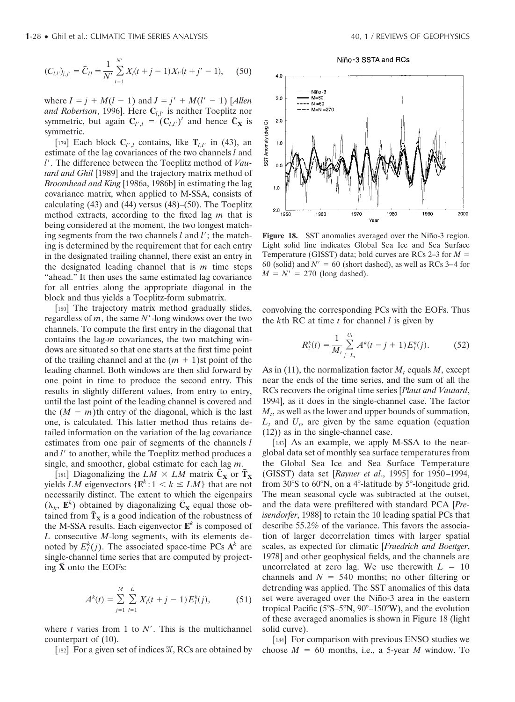$$
(C_{l,l'})_{j,j'} = \tilde{C}_{ll} = \frac{1}{N'} \sum_{t=1}^{N'} X_l(t+j-1)X_{l'}(t+j'-1), \quad (50)
$$

where  $I = j + M(l - 1)$  and  $J = j' + M(l' - 1)$  [Allen *and Robertson*, 1996]. Here **C***l*,*l*- is neither Toeplitz nor symmetric, but again  $C_{l',l} = (C_{l,l'})^t$  and hence  $\tilde{C}_X$  is symmetric.

[179] Each block  $C_{l',l}$  contains, like  $T_{l,l'}$  in (43), an estimate of the lag covariances of the two channels *l* and *l*-. The difference between the Toeplitz method of *Vautard and Ghil* [1989] and the trajectory matrix method of *Broomhead and King* [1986a, 1986b] in estimating the lag covariance matrix, when applied to M-SSA, consists of calculating  $(43)$  and  $(44)$  versus  $(48)$ – $(50)$ . The Toeplitz method extracts, according to the fixed lag *m* that is being considered at the moment, the two longest matching segments from the two channels *l* and *l*'; the matching is determined by the requirement that for each entry in the designated trailing channel, there exist an entry in the designated leading channel that is *m* time steps "ahead." It then uses the same estimated lag covariance for all entries along the appropriate diagonal in the block and thus yields a Toeplitz-form submatrix.

[180] The trajectory matrix method gradually slides, regardless of *m*, the same *N'*-long windows over the two channels. To compute the first entry in the diagonal that contains the lag-*m* covariances, the two matching windows are situated so that one starts at the first time point of the trailing channel and at the  $(m + 1)$ st point of the leading channel. Both windows are then slid forward by one point in time to produce the second entry. This results in slightly different values, from entry to entry, until the last point of the leading channel is covered and the  $(M - m)$ th entry of the diagonal, which is the last one, is calculated. This latter method thus retains detailed information on the variation of the lag covariance estimates from one pair of segments of the channels *l* and *l*<sup> $\prime$ </sup> to another, while the Toeplitz method produces a single, and smoother, global estimate for each lag *m*.

[181] Diagonalizing the  $LM \times LM$  matrix  $\tilde{C}_X$  or  $\tilde{T}_X$ yields *LM* eigenvectors  $\{E^k: 1 \le k \le LM\}$  that are not necessarily distinct. The extent to which the eigenpairs  $(\lambda_k, \mathbf{E}^k)$  obtained by diagonalizing  $\tilde{\mathbf{C}}_{\mathbf{X}}$  equal those obtained from  $\tilde{T}_X$  is a good indication of the robustness of the M-SSA results. Each eigenvector  $\mathbf{E}^k$  is composed of *L* consecutive *M*-long segments, with its elements denoted by  $E_l^k(j)$ . The associated space-time PCs  $A^k$  are single-channel time series that are computed by project- $\sin \tilde{\mathbf{x}}$  onto the EOFs:

$$
A^{k}(t) = \sum_{j=1}^{M} \sum_{l=1}^{L} X_{l}(t+j-1) E_{l}^{k}(j), \qquad (51)
$$

where  $t$  varies from 1 to  $N'$ . This is the multichannel counterpart of (10).

[182] For a given set of indices  $K$ , RCs are obtained by

Niño-3 SSTA and RCs



Figure 18. SST anomalies averaged over the Niño-3 region. Light solid line indicates Global Sea Ice and Sea Surface Temperature (GISST) data; bold curves are RCs 2–3 for *M* 60 (solid) and  $N' = 60$  (short dashed), as well as RCs 3–4 for  $M = N' = 270$  (long dashed).

convolving the corresponding PCs with the EOFs. Thus the *k*th RC at time *t* for channel *l* is given by

$$
R_l^k(t) = \frac{1}{M_t} \sum_{j=L_t}^{U_t} A^k(t-j+1) E_l^k(j).
$$
 (52)

As in (11), the normalization factor  $M_t$  equals  $M$ , except near the ends of the time series, and the sum of all the RCs recovers the original time series [*Plaut and Vautard*, 1994], as it does in the single-channel case. The factor  $M_t$ , as well as the lower and upper bounds of summation,  $L_t$  and  $U_t$ , are given by the same equation (equation (12)) as in the single-channel case.

[183] As an example, we apply M-SSA to the nearglobal data set of monthly sea surface temperatures from the Global Sea Ice and Sea Surface Temperature (GISST) data set [*Rayner et al*., 1995] for 1950–1994, from  $30^{\circ}$ S to  $60^{\circ}$ N, on a 4 $^{\circ}$ -latitude by  $5^{\circ}$ -longitude grid. The mean seasonal cycle was subtracted at the outset, and the data were prefiltered with standard PCA [*Preisendorfer*, 1988] to retain the 10 leading spatial PCs that describe 55.2% of the variance. This favors the association of larger decorrelation times with larger spatial scales, as expected for climatic [*Fraedrich and Boettger*, 1978] and other geophysical fields, and the channels are uncorrelated at zero lag. We use therewith  $L = 10$ channels and  $N = 540$  months; no other filtering or detrending was applied. The SST anomalies of this data set were averaged over the Niño-3 area in the eastern tropical Pacific ( $5^{\circ}$ S– $5^{\circ}$ N,  $90^{\circ}$ – $150^{\circ}$ W), and the evolution of these averaged anomalies is shown in Figure 18 (light solid curve).

[184] For comparison with previous ENSO studies we choose  $M = 60$  months, i.e., a 5-year *M* window. To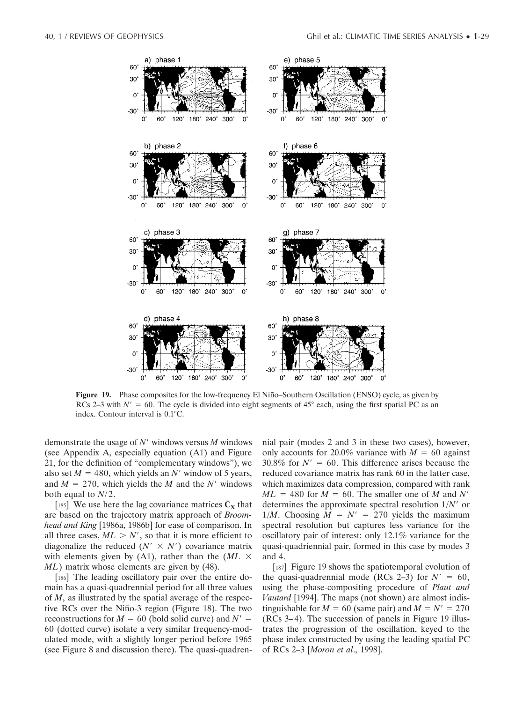

**Figure 19.** Phase composites for the low-frequency El Niño–Southern Oscillation (ENSO) cycle, as given by RCs 2–3 with  $N' = 60$ . The cycle is divided into eight segments of 45° each, using the first spatial PC as an index. Contour interval is  $0.1^{\circ}$ C.

demonstrate the usage of *N*- windows versus *M* windows (see Appendix A, especially equation (A1) and Figure 21, for the definition of "complementary windows"), we also set  $M = 480$ , which yields an N' window of 5 years, and  $M = 270$ , which yields the *M* and the *N*<sup> $\prime$ </sup> windows both equal to *N*/2.

[185] We use here the lag covariance matrices  $\tilde{C}_X$  that are based on the trajectory matrix approach of *Broomhead and King* [1986a, 1986b] for ease of comparison. In all three cases,  $ML > N'$ , so that it is more efficient to diagonalize the reduced  $(N' \times N')$  covariance matrix with elements given by (A1), rather than the  $(ML \times$ *ML*) matrix whose elements are given by (48).

[186] The leading oscillatory pair over the entire domain has a quasi-quadrennial period for all three values of *M*, as illustrated by the spatial average of the respective RCs over the Niño-3 region (Figure 18). The two reconstructions for  $M = 60$  (bold solid curve) and  $N' =$ 60 (dotted curve) isolate a very similar frequency-modulated mode, with a slightly longer period before 1965 (see Figure 8 and discussion there). The quasi-quadrennial pair (modes 2 and 3 in these two cases), however, only accounts for 20.0% variance with  $M = 60$  against  $30.8\%$  for  $N' = 60$ . This difference arises because the reduced covariance matrix has rank 60 in the latter case, which maximizes data compression, compared with rank  $ML = 480$  for  $M = 60$ . The smaller one of *M* and *N'* determines the approximate spectral resolution 1/*N*- or  $1/M$ . Choosing  $M = N' = 270$  yields the maximum spectral resolution but captures less variance for the oscillatory pair of interest: only 12.1% variance for the quasi-quadriennial pair, formed in this case by modes 3 and 4.

[187] Figure 19 shows the spatiotemporal evolution of the quasi-quadrennial mode (RCs 2–3) for  $N' = 60$ , using the phase-compositing procedure of *Plaut and Vautard* [1994]. The maps (not shown) are almost indistinguishable for  $M = 60$  (same pair) and  $M = N' = 270$ (RCs 3–4). The succession of panels in Figure 19 illustrates the progression of the oscillation, keyed to the phase index constructed by using the leading spatial PC of RCs 2–3 [*Moron et al*., 1998].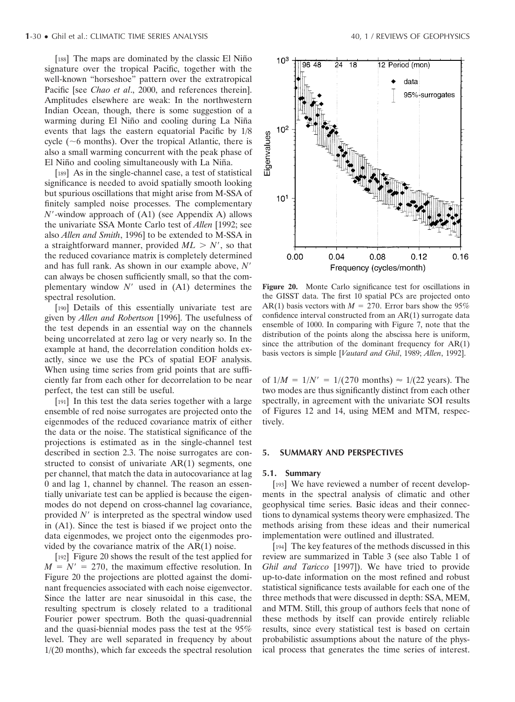[188] The maps are dominated by the classic El Niño signature over the tropical Pacific, together with the well-known "horseshoe" pattern over the extratropical Pacific [see *Chao et al*., 2000, and references therein]. Amplitudes elsewhere are weak: In the northwestern Indian Ocean, though, there is some suggestion of a warming during El Niño and cooling during La Niña events that lags the eastern equatorial Pacific by 1/8 cycle ( $\sim$ 6 months). Over the tropical Atlantic, there is also a small warming concurrent with the peak phase of El Niño and cooling simultaneously with La Niña.

[189] As in the single-channel case, a test of statistical significance is needed to avoid spatially smooth looking but spurious oscillations that might arise from M-SSA of finitely sampled noise processes. The complementary *N*--window approach of (A1) (see Appendix A) allows the univariate SSA Monte Carlo test of *Allen* [1992; see also *Allen and Smith*, 1996] to be extended to M-SSA in a straightforward manner, provided  $ML > N'$ , so that the reduced covariance matrix is completely determined and has full rank. As shown in our example above, *N* can always be chosen sufficiently small, so that the complementary window  $N'$  used in  $(A1)$  determines the spectral resolution.

[190] Details of this essentially univariate test are given by *Allen and Robertson* [1996]. The usefulness of the test depends in an essential way on the channels being uncorrelated at zero lag or very nearly so. In the example at hand, the decorrelation condition holds exactly, since we use the PCs of spatial EOF analysis. When using time series from grid points that are sufficiently far from each other for decorrelation to be near perfect, the test can still be useful.

[191] In this test the data series together with a large ensemble of red noise surrogates are projected onto the eigenmodes of the reduced covariance matrix of either the data or the noise. The statistical significance of the projections is estimated as in the single-channel test described in section 2.3. The noise surrogates are constructed to consist of univariate AR(1) segments, one per channel, that match the data in autocovariance at lag 0 and lag 1, channel by channel. The reason an essentially univariate test can be applied is because the eigenmodes do not depend on cross-channel lag covariance, provided  $N'$  is interpreted as the spectral window used in (A1). Since the test is biased if we project onto the data eigenmodes, we project onto the eigenmodes provided by the covariance matrix of the AR(1) noise.

[192] Figure 20 shows the result of the test applied for  $M = N' = 270$ , the maximum effective resolution. In Figure 20 the projections are plotted against the dominant frequencies associated with each noise eigenvector. Since the latter are near sinusoidal in this case, the resulting spectrum is closely related to a traditional Fourier power spectrum. Both the quasi-quadrennial and the quasi-biennial modes pass the test at the 95% level. They are well separated in frequency by about 1/(20 months), which far exceeds the spectral resolution



**Figure 20.** Monte Carlo significance test for oscillations in the GISST data. The first 10 spatial PCs are projected onto AR(1) basis vectors with  $M = 270$ . Error bars show the 95% confidence interval constructed from an AR(1) surrogate data ensemble of 1000. In comparing with Figure 7, note that the distribution of the points along the abscissa here is uniform, since the attribution of the dominant frequency for  $AR(1)$ basis vectors is simple [*Vautard and Ghil*, 1989; *Allen*, 1992].

of  $1/M = 1/N' = 1/(270 \text{ months}) \approx 1/(22 \text{ years})$ . The two modes are thus significantly distinct from each other spectrally, in agreement with the univariate SOI results of Figures 12 and 14, using MEM and MTM, respectively.

### **5. SUMMARY AND PERSPECTIVES**

#### **5.1. Summary**

[193] We have reviewed a number of recent developments in the spectral analysis of climatic and other geophysical time series. Basic ideas and their connections to dynamical systems theory were emphasized. The methods arising from these ideas and their numerical implementation were outlined and illustrated.

[194] The key features of the methods discussed in this review are summarized in Table 3 (see also Table 1 of *Ghil and Taricco* [1997]). We have tried to provide up-to-date information on the most refined and robust statistical significance tests available for each one of the three methods that were discussed in depth: SSA, MEM, and MTM. Still, this group of authors feels that none of these methods by itself can provide entirely reliable results, since every statistical test is based on certain probabilistic assumptions about the nature of the physical process that generates the time series of interest.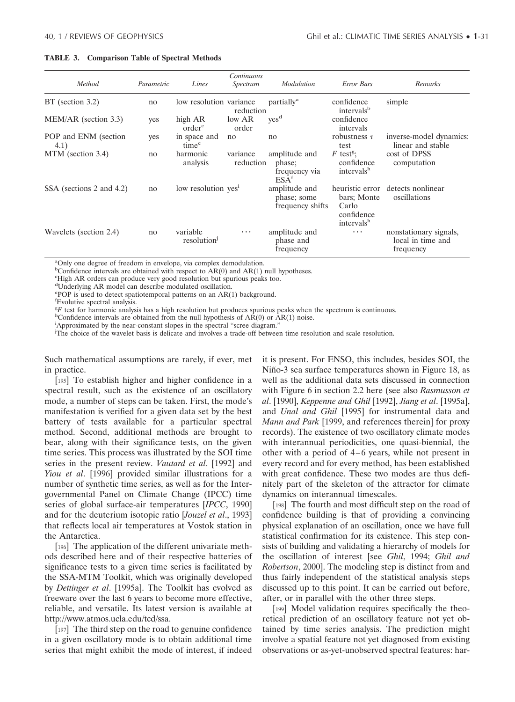#### **TABLE 3. Comparison Table of Spectral Methods**

|                              |            |                                     | Continuous            |                                                              |                                                                 |                                                          |
|------------------------------|------------|-------------------------------------|-----------------------|--------------------------------------------------------------|-----------------------------------------------------------------|----------------------------------------------------------|
| Method                       | Parametric | Lines                               | Spectrum              | Modulation                                                   | <b>Error Bars</b>                                               | Remarks                                                  |
| $BT$ (section 3.2)           | no         | low resolution variance             | reduction             | partially <sup>a</sup>                                       | confidence<br>intervals <sup>b</sup>                            | simple                                                   |
| MEM/AR (section 3.3)         | yes        | high AR<br>order <sup>c</sup>       | low AR<br>order       | yes <sup>d</sup>                                             | confidence<br>intervals                                         |                                                          |
| POP and ENM (section<br>4.1) | yes        | in space and<br>time <sup>e</sup>   | no                    | no                                                           | robustness $\tau$<br>test                                       | inverse-model dynamics:<br>linear and stable             |
| MTM (section 3.4)            | no         | harmonic<br>analysis                | variance<br>reduction | amplitude and<br>phase;<br>frequency via<br>ESA <sup>t</sup> | $F$ test <sup>g</sup> :<br>confidence<br>intervals <sup>h</sup> | cost of DPSS<br>computation                              |
| SSA (sections 2 and 4.2)     | no         | low resolution yes <sup>1</sup>     |                       | amplitude and<br>phase; some<br>frequency shifts             | bars; Monte<br>Carlo<br>confidence<br>intervals <sup>h</sup>    | heuristic error detects nonlinear<br>oscillations        |
| Wavelets (section 2.4)       | no         | variable<br>resolution <sup>1</sup> | $\cdots$              | amplitude and<br>phase and<br>frequency                      | $\cdots$                                                        | nonstationary signals,<br>local in time and<br>frequency |

a Only one degree of freedom in envelope, via complex demodulation.

 $b_{\text{Confidence}}$  intervals are obtained with respect to  $AR(0)$  and  $AR(1)$  null hypotheses.<br>Flight AR orders can produce very good resolution but spurious peaks too.

High AR orders can produce very good resolution but spurious peaks too.

d Underlying AR model can describe modulated oscillation.

e POP is used to detect spatiotemporal patterns on an AR(1) background.

f Evolutive spectral analysis.

<sup>g</sup>F test for harmonic analysis has a high resolution but produces spurious peaks when the spectrum is continuous.<br><sup>h</sup>Confidence intervals are obtained from the null hypothesis of AR(0) or AR(1) noise.

<sup>h</sup>Confidence intervals are obtained from the null hypothesis of  $AR(0)$  or  $AR(1)$  noise.

Approximated by the near-constant slopes in the spectral "scree diagram."

<sup>j</sup>The choice of the wavelet basis is delicate and involves a trade-off between time resolution and scale resolution.

Such mathematical assumptions are rarely, if ever, met in practice.

[195] To establish higher and higher confidence in a spectral result, such as the existence of an oscillatory mode, a number of steps can be taken. First, the mode's manifestation is verified for a given data set by the best battery of tests available for a particular spectral method. Second, additional methods are brought to bear, along with their significance tests, on the given time series. This process was illustrated by the SOI time series in the present review. *Vautard et al*. [1992] and *Yiou et al*. [1996] provided similar illustrations for a number of synthetic time series, as well as for the Intergovernmental Panel on Climate Change (IPCC) time series of global surface-air temperatures [*IPCC*, 1990] and for the deuterium isotopic ratio [*Jouzel et al*., 1993] that reflects local air temperatures at Vostok station in the Antarctica.

[196] The application of the different univariate methods described here and of their respective batteries of significance tests to a given time series is facilitated by the SSA-MTM Toolkit, which was originally developed by *Dettinger et al*. [1995a]. The Toolkit has evolved as freeware over the last 6 years to become more effective, reliable, and versatile. Its latest version is available at http://www.atmos.ucla.edu/tcd/ssa.

[197] The third step on the road to genuine confidence in a given oscillatory mode is to obtain additional time series that might exhibit the mode of interest, if indeed it is present. For ENSO, this includes, besides SOI, the Niño-3 sea surface temperatures shown in Figure 18, as well as the additional data sets discussed in connection with Figure 6 in section 2.2 here (see also *Rasmusson et al*. [1990], *Keppenne and Ghil* [1992], *Jiang et al*. [1995a], and *Unal and Ghil* [1995] for instrumental data and *Mann and Park* [1999, and references therein] for proxy records). The existence of two oscillatory climate modes with interannual periodicities, one quasi-biennial, the other with a period of 4–6 years, while not present in every record and for every method, has been established with great confidence. These two modes are thus definitely part of the skeleton of the attractor for climate dynamics on interannual timescales.

[198] The fourth and most difficult step on the road of confidence building is that of providing a convincing physical explanation of an oscillation, once we have full statistical confirmation for its existence. This step consists of building and validating a hierarchy of models for the oscillation of interest [see *Ghil*, 1994; *Ghil and Robertson*, 2000]. The modeling step is distinct from and thus fairly independent of the statistical analysis steps discussed up to this point. It can be carried out before, after, or in parallel with the other three steps.

[199] Model validation requires specifically the theoretical prediction of an oscillatory feature not yet obtained by time series analysis. The prediction might involve a spatial feature not yet diagnosed from existing observations or as-yet-unobserved spectral features: har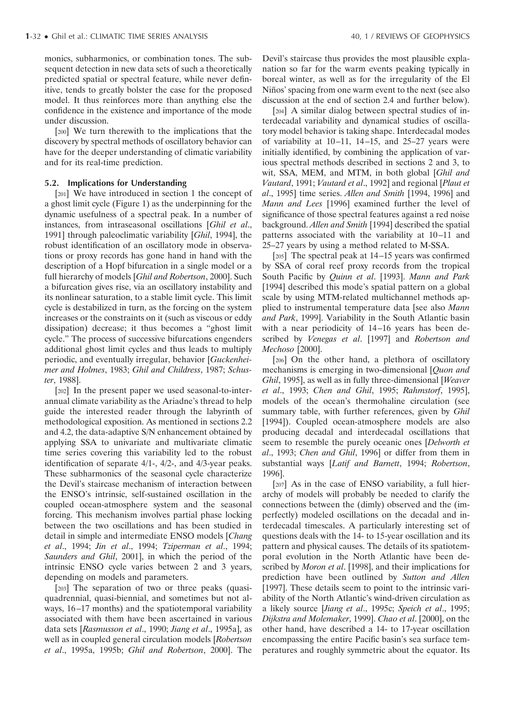monics, subharmonics, or combination tones. The subsequent detection in new data sets of such a theoretically predicted spatial or spectral feature, while never definitive, tends to greatly bolster the case for the proposed model. It thus reinforces more than anything else the confidence in the existence and importance of the mode under discussion.

[200] We turn therewith to the implications that the discovery by spectral methods of oscillatory behavior can have for the deeper understanding of climatic variability and for its real-time prediction.

## **5.2. Implications for Understanding**

[201] We have introduced in section 1 the concept of a ghost limit cycle (Figure 1) as the underpinning for the dynamic usefulness of a spectral peak. In a number of instances, from intraseasonal oscillations [*Ghil et al*., 1991] through paleoclimatic variability [*Ghil*, 1994], the robust identification of an oscillatory mode in observations or proxy records has gone hand in hand with the description of a Hopf bifurcation in a single model or a full hierarchy of models [*Ghil and Robertson*, 2000]. Such a bifurcation gives rise, via an oscillatory instability and its nonlinear saturation, to a stable limit cycle. This limit cycle is destabilized in turn, as the forcing on the system increases or the constraints on it (such as viscous or eddy dissipation) decrease; it thus becomes a "ghost limit cycle." The process of successive bifurcations engenders additional ghost limit cycles and thus leads to multiply periodic, and eventually irregular, behavior [*Guckenheimer and Holmes*, 1983; *Ghil and Childress*, 1987; *Schuster*, 1988].

[202] In the present paper we used seasonal-to-interannual climate variability as the Ariadne's thread to help guide the interested reader through the labyrinth of methodological exposition. As mentioned in sections 2.2 and 4.2, the data-adaptive S/N enhancement obtained by applying SSA to univariate and multivariate climatic time series covering this variability led to the robust identification of separate 4/1-, 4/2-, and 4/3-year peaks. These subharmonics of the seasonal cycle characterize the Devil's staircase mechanism of interaction between the ENSO's intrinsic, self-sustained oscillation in the coupled ocean-atmosphere system and the seasonal forcing. This mechanism involves partial phase locking between the two oscillations and has been studied in detail in simple and intermediate ENSO models [*Chang et al*., 1994; *Jin et al*., 1994; *Tziperman et al*., 1994; *Saunders and Ghil*, 2001], in which the period of the intrinsic ENSO cycle varies between 2 and 3 years, depending on models and parameters.

[203] The separation of two or three peaks (quasiquadrennial, quasi-biennial, and sometimes but not always, 16–17 months) and the spatiotemporal variability associated with them have been ascertained in various data sets [*Rasmusson et al*., 1990; *Jiang et al*., 1995a], as well as in coupled general circulation models [*Robertson et al*., 1995a, 1995b; *Ghil and Robertson*, 2000]. The Devil's staircase thus provides the most plausible explanation so far for the warm events peaking typically in boreal winter, as well as for the irregularity of the El Niños' spacing from one warm event to the next (see also discussion at the end of section 2.4 and further below).

[204] A similar dialog between spectral studies of interdecadal variability and dynamical studies of oscillatory model behavior is taking shape. Interdecadal modes of variability at 10–11, 14–15, and 25–27 years were initially identified, by combining the application of various spectral methods described in sections 2 and 3, to wit, SSA, MEM, and MTM, in both global [*Ghil and Vautard*, 1991; *Vautard et al*., 1992] and regional [*Plaut et al*., 1995] time series. *Allen and Smith* [1994, 1996] and *Mann and Lees* [1996] examined further the level of significance of those spectral features against a red noise background. *Allen and Smith* [1994] described the spatial patterns associated with the variability at 10–11 and 25–27 years by using a method related to M-SSA.

[205] The spectral peak at 14–15 years was confirmed by SSA of coral reef proxy records from the tropical South Pacific by *Quinn et al*. [1993]. *Mann and Park* [1994] described this mode's spatial pattern on a global scale by using MTM-related multichannel methods applied to instrumental temperature data [see also *Mann and Park*, 1999]. Variability in the South Atlantic basin with a near periodicity of 14–16 years has been described by *Venegas et al*. [1997] and *Robertson and Mechoso* [2000].

[206] On the other hand, a plethora of oscillatory mechanisms is emerging in two-dimensional [*Quon and Ghil*, 1995], as well as in fully three-dimensional [*Weaver et al*., 1993; *Chen and Ghil*, 1995; *Rahmstorf*, 1995], models of the ocean's thermohaline circulation (see summary table, with further references, given by *Ghil* [1994]). Coupled ocean-atmosphere models are also producing decadal and interdecadal oscillations that seem to resemble the purely oceanic ones [*Delworth et al*., 1993; *Chen and Ghil*, 1996] or differ from them in substantial ways [*Latif and Barnett*, 1994; *Robertson*, 1996].

[207] As in the case of ENSO variability, a full hierarchy of models will probably be needed to clarify the connections between the (dimly) observed and the (imperfectly) modeled oscillations on the decadal and interdecadal timescales. A particularly interesting set of questions deals with the 14- to 15-year oscillation and its pattern and physical causes. The details of its spatiotemporal evolution in the North Atlantic have been described by *Moron et al*. [1998], and their implications for prediction have been outlined by *Sutton and Allen* [1997]. These details seem to point to the intrinsic variability of the North Atlantic's wind-driven circulation as a likely source [*Jiang et al*., 1995c; *Speich et al*., 1995; *Dijkstra and Molemaker*, 1999]. *Chao et al*. [2000], on the other hand, have described a 14- to 17-year oscillation encompassing the entire Pacific basin's sea surface temperatures and roughly symmetric about the equator. Its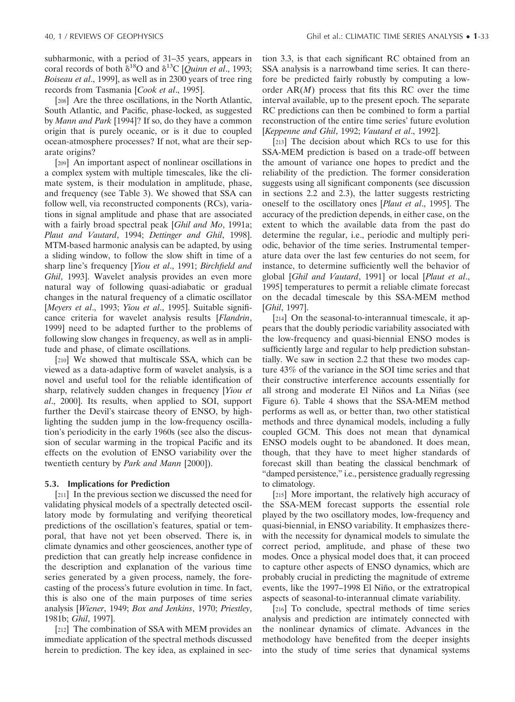subharmonic, with a period of 31–35 years, appears in coral records of both  $\delta^{18}O$  and  $\delta^{13}C$  [*Quinn et al.*, 1993; *Boiseau et al*., 1999], as well as in 2300 years of tree ring records from Tasmania [*Cook et al*., 1995].

[208] Are the three oscillations, in the North Atlantic, South Atlantic, and Pacific, phase-locked, as suggested by *Mann and Park* [1994]? If so, do they have a common origin that is purely oceanic, or is it due to coupled ocean-atmosphere processes? If not, what are their separate origins?

[209] An important aspect of nonlinear oscillations in a complex system with multiple timescales, like the climate system, is their modulation in amplitude, phase, and frequency (see Table 3). We showed that SSA can follow well, via reconstructed components (RCs), variations in signal amplitude and phase that are associated with a fairly broad spectral peak [*Ghil and Mo*, 1991a; *Plaut and Vautard*, 1994; *Dettinger and Ghil*, 1998]. MTM-based harmonic analysis can be adapted, by using a sliding window, to follow the slow shift in time of a sharp line's frequency [*Yiou et al*., 1991; *Birchfield and Ghil*, 1993]. Wavelet analysis provides an even more natural way of following quasi-adiabatic or gradual changes in the natural frequency of a climatic oscillator [*Meyers et al*., 1993; *Yiou et al*., 1995]. Suitable significance criteria for wavelet analysis results [*Flandrin*, 1999] need to be adapted further to the problems of following slow changes in frequency, as well as in amplitude and phase, of climate oscillations.

[210] We showed that multiscale SSA, which can be viewed as a data-adaptive form of wavelet analysis, is a novel and useful tool for the reliable identification of sharp, relatively sudden changes in frequency [*Yiou et al*., 2000]. Its results, when applied to SOI, support further the Devil's staircase theory of ENSO, by highlighting the sudden jump in the low-frequency oscillation's periodicity in the early 1960s (see also the discussion of secular warming in the tropical Pacific and its effects on the evolution of ENSO variability over the twentieth century by *Park and Mann* [2000]).

## **5.3. Implications for Prediction**

[211] In the previous section we discussed the need for validating physical models of a spectrally detected oscillatory mode by formulating and verifying theoretical predictions of the oscillation's features, spatial or temporal, that have not yet been observed. There is, in climate dynamics and other geosciences, another type of prediction that can greatly help increase confidence in the description and explanation of the various time series generated by a given process, namely, the forecasting of the process's future evolution in time. In fact, this is also one of the main purposes of time series analysis [*Wiener*, 1949; *Box and Jenkins*, 1970; *Priestley*, 1981b; *Ghil*, 1997].

[212] The combination of SSA with MEM provides an immediate application of the spectral methods discussed herein to prediction. The key idea, as explained in section 3.3, is that each significant RC obtained from an SSA analysis is a narrowband time series. It can therefore be predicted fairly robustly by computing a loworder AR(*M*) process that fits this RC over the time interval available, up to the present epoch. The separate RC predictions can then be combined to form a partial reconstruction of the entire time series' future evolution [*Keppenne and Ghil*, 1992; *Vautard et al*., 1992].

[213] The decision about which RCs to use for this SSA-MEM prediction is based on a trade-off between the amount of variance one hopes to predict and the reliability of the prediction. The former consideration suggests using all significant components (see discussion in sections 2.2 and 2.3), the latter suggests restricting oneself to the oscillatory ones [*Plaut et al*., 1995]. The accuracy of the prediction depends, in either case, on the extent to which the available data from the past do determine the regular, i.e., periodic and multiply periodic, behavior of the time series. Instrumental temperature data over the last few centuries do not seem, for instance, to determine sufficiently well the behavior of global [*Ghil and Vautard*, 1991] or local [*Plaut et al*., 1995] temperatures to permit a reliable climate forecast on the decadal timescale by this SSA-MEM method [*Ghil*, 1997].

[214] On the seasonal-to-interannual timescale, it appears that the doubly periodic variability associated with the low-frequency and quasi-biennial ENSO modes is sufficiently large and regular to help prediction substantially. We saw in section 2.2 that these two modes capture 43% of the variance in the SOI time series and that their constructive interference accounts essentially for all strong and moderate El Niños and La Niñas (see Figure 6). Table 4 shows that the SSA-MEM method performs as well as, or better than, two other statistical methods and three dynamical models, including a fully coupled GCM. This does not mean that dynamical ENSO models ought to be abandoned. It does mean, though, that they have to meet higher standards of forecast skill than beating the classical benchmark of "damped persistence," i.e., persistence gradually regressing to climatology.

[215] More important, the relatively high accuracy of the SSA-MEM forecast supports the essential role played by the two oscillatory modes, low-frequency and quasi-biennial, in ENSO variability. It emphasizes therewith the necessity for dynamical models to simulate the correct period, amplitude, and phase of these two modes. Once a physical model does that, it can proceed to capture other aspects of ENSO dynamics, which are probably crucial in predicting the magnitude of extreme events, like the 1997–1998 El Niño, or the extratropical aspects of seasonal-to-interannual climate variability.

[216] To conclude, spectral methods of time series analysis and prediction are intimately connected with the nonlinear dynamics of climate. Advances in the methodology have benefited from the deeper insights into the study of time series that dynamical systems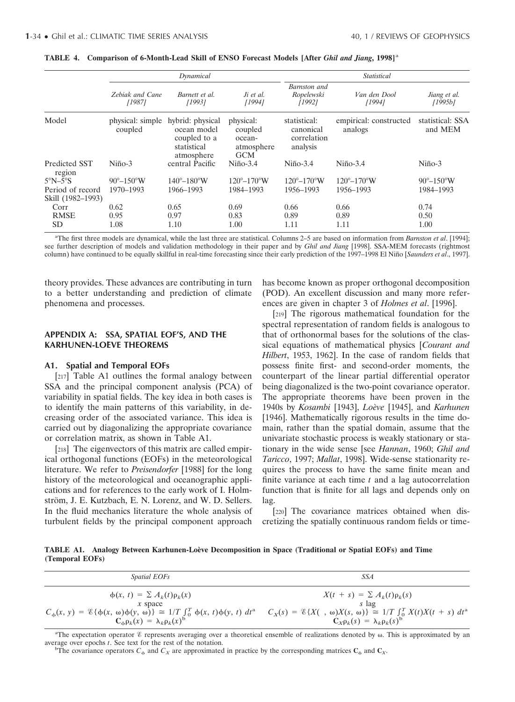|                                       | Dynamical                    |                                                                              |                                                            | <b>Statistical</b>                                   |                                    |                              |  |
|---------------------------------------|------------------------------|------------------------------------------------------------------------------|------------------------------------------------------------|------------------------------------------------------|------------------------------------|------------------------------|--|
|                                       | Zebiak and Cane<br>[1987]    | Barnett et al.<br>[1993]                                                     | Ji et al.<br>[1994]                                        | Barnston and<br>Ropelewski<br>[1992]                 | Van den Dool<br>[1994]             | Jiang et al.<br>[1995b]      |  |
| Model                                 | physical: simple<br>coupled  | hybrid: physical<br>ocean model<br>coupled to a<br>statistical<br>atmosphere | physical:<br>coupled<br>ocean-<br>atmosphere<br><b>GCM</b> | statistical:<br>canonical<br>correlation<br>analysis | empirical: constructed<br>analogs  | statistical: SSA<br>and MEM  |  |
| Predicted SST<br>region               | $Ni\overline{n}$ o-3         | central Pacific                                                              | $Ni\overline{0}$ -3.4                                      | $Ni\overline{no}$ -3.4                               | $Ni\overline{p}$ <sub>0</sub> -3.4 | $Ni\bar{p}o-3$               |  |
| $5^{\circ}N - 5^{\circ}S$             | $90^{\circ} - 150^{\circ}$ W | $140^{\circ}-180^{\circ}$ W                                                  | $120^{\circ} - 170^{\circ}$ W                              | $120^{\circ} - 170^{\circ}$ W                        | $120^{\circ} - 170^{\circ}$ W      | $90^{\circ} - 150^{\circ}$ W |  |
| Period of record<br>Skill (1982-1993) | 1970-1993                    | 1966-1993                                                                    | 1984-1993                                                  | 1956-1993                                            | 1956-1993                          | 1984-1993                    |  |
| Corr                                  | 0.62                         | 0.65                                                                         | 0.69                                                       | 0.66                                                 | 0.66                               | 0.74                         |  |
| <b>RMSE</b>                           | 0.95                         | 0.97                                                                         | 0.83                                                       | 0.89                                                 | 0.89                               | 0.50                         |  |
| <b>SD</b>                             | 1.08                         | 1.10                                                                         | 1.00                                                       | 1.11                                                 | 1.11                               | 1.00                         |  |

| TABLE 4. Comparison of 6-Month-Lead Skill of ENSO Forecast Models [After <i>Ghil and Jiang</i> , 1998] <sup>a</sup> |  |
|---------------------------------------------------------------------------------------------------------------------|--|
|---------------------------------------------------------------------------------------------------------------------|--|

a The first three models are dynamical, while the last three are statistical. Columns 2–5 are based on information from *Barnston et al*. [1994]; see further description of models and validation methodology in their paper and by *Ghil and Jiang* [1998]. SSA-MEM forecasts (rightmost column) have continued to be equally skillful in real-time forecasting since their early prediction of the 1997–1998 El Niño [*Saunders et al.*, 1997].

theory provides. These advances are contributing in turn to a better understanding and prediction of climate phenomena and processes.

## **APPENDIX A: SSA, SPATIAL EOF'S, AND THE KARHUNEN-LOEVE THEOREMS**

#### **A1. Spatial and Temporal EOFs**

[217] Table A1 outlines the formal analogy between SSA and the principal component analysis (PCA) of variability in spatial fields. The key idea in both cases is to identify the main patterns of this variability, in decreasing order of the associated variance. This idea is carried out by diagonalizing the appropriate covariance or correlation matrix, as shown in Table A1.

[218] The eigenvectors of this matrix are called empirical orthogonal functions (EOFs) in the meteorological literature. We refer to *Preisendorfer* [1988] for the long history of the meteorological and oceanographic applications and for references to the early work of I. Holmström, J. E. Kutzbach, E. N. Lorenz, and W. D. Sellers. In the fluid mechanics literature the whole analysis of turbulent fields by the principal component approach

has become known as proper orthogonal decomposition (POD). An excellent discussion and many more references are given in chapter 3 of *Holmes et al*. [1996].

[219] The rigorous mathematical foundation for the spectral representation of random fields is analogous to that of orthonormal bases for the solutions of the classical equations of mathematical physics [*Courant and Hilbert*, 1953, 1962]. In the case of random fields that possess finite first- and second-order moments, the counterpart of the linear partial differential operator being diagonalized is the two-point covariance operator. The appropriate theorems have been proven in the 1940s by *Kosambi* [1943], *Loe`ve* [1945], and *Karhunen* [1946]. Mathematically rigorous results in the time domain, rather than the spatial domain, assume that the univariate stochastic process is weakly stationary or stationary in the wide sense [see *Hannan*, 1960; *Ghil and Taricco*, 1997; *Mallat*, 1998]. Wide-sense stationarity requires the process to have the same finite mean and finite variance at each time *t* and a lag autocorrelation function that is finite for all lags and depends only on lag.

[220] The covariance matrices obtained when discretizing the spatially continuous random fields or time-

**TABLE A1. Analogy Between Karhunen-Loe`ve Decomposition in Space (Traditional or Spatial EOFs) and Time (Temporal EOFs)**

| <i>Spatial EOFs</i>                                                                                                                                                                                                                                                                                                  | SSA                                                                                            |
|----------------------------------------------------------------------------------------------------------------------------------------------------------------------------------------------------------------------------------------------------------------------------------------------------------------------|------------------------------------------------------------------------------------------------|
| $\phi(x, t) = \sum A_k(t) \rho_k(x)$<br>$x$ space<br>$C_{\phi}(x, y) = \mathcal{E}\{\phi(x, \omega)\phi(y, \omega)\}\cong 1/T \int_0^T \phi(x, t)\phi(y, t) dt^a$ $C_X(s) = \mathcal{E}\{X(\phi, \omega)X(s, \omega)\}\cong 1/T \int_0^T X(t)X(t + s) dt^a$<br>$\mathbf{C}_{\phi} \rho_k(x) = \lambda_k \rho_k(x)^b$ | $X(t + s) = \sum A_k(t) \rho_k(s)$<br>s lag<br>$C_{X}\rho_{k}(s) = \lambda_{k}\rho_{k}(s)^{b}$ |

<sup>a</sup>The expectation operator *&* represents averaging over a theoretical ensemble of realizations denoted by  $\omega$ . This is approximated by an average over epochs *<sup>t</sup>*. See text for the rest of the notation. <sup>b</sup>

<sup>b</sup>The covariance operators  $C_{\phi}$  and  $C_{\chi}$  are approximated in practice by the corresponding matrices  $C_{\phi}$  and  $C_{\chi}$ .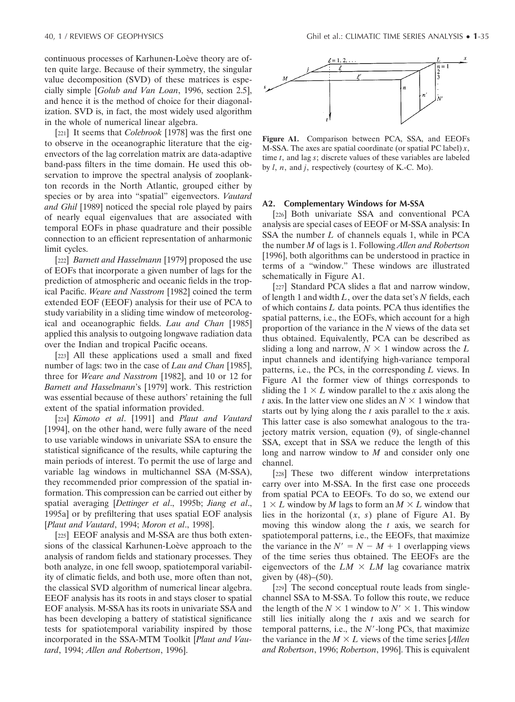continuous processes of Karhunen-Loève theory are often quite large. Because of their symmetry, the singular value decomposition (SVD) of these matrices is especially simple [*Golub and Van Loan*, 1996, section 2.5], and hence it is the method of choice for their diagonalization. SVD is, in fact, the most widely used algorithm in the whole of numerical linear algebra.

[221] It seems that *Colebrook* [1978] was the first one to observe in the oceanographic literature that the eigenvectors of the lag correlation matrix are data-adaptive band-pass filters in the time domain. He used this observation to improve the spectral analysis of zooplankton records in the North Atlantic, grouped either by species or by area into "spatial" eigenvectors. *Vautard and Ghil* [1989] noticed the special role played by pairs of nearly equal eigenvalues that are associated with temporal EOFs in phase quadrature and their possible connection to an efficient representation of anharmonic limit cycles.

[222] *Barnett and Hasselmann* [1979] proposed the use of EOFs that incorporate a given number of lags for the prediction of atmospheric and oceanic fields in the tropical Pacific. *Weare and Nasstrom* [1982] coined the term extended EOF (EEOF) analysis for their use of PCA to study variability in a sliding time window of meteorological and oceanographic fields. *Lau and Chan* [1985] applied this analysis to outgoing longwave radiation data over the Indian and tropical Pacific oceans.

[223] All these applications used a small and fixed number of lags: two in the case of *Lau and Chan* [1985], three for *Weare and Nasstrom* [1982], and 10 or 12 for *Barnett and Hasselmann*'s [1979] work. This restriction was essential because of these authors' retaining the full extent of the spatial information provided.

[224] *Kimoto et al*. [1991] and *Plaut and Vautard* [1994], on the other hand, were fully aware of the need to use variable windows in univariate SSA to ensure the statistical significance of the results, while capturing the main periods of interest. To permit the use of large and variable lag windows in multichannel SSA (M-SSA), they recommended prior compression of the spatial information. This compression can be carried out either by spatial averaging [*Dettinger et al*., 1995b; *Jiang et al*., 1995a] or by prefiltering that uses spatial EOF analysis [*Plaut and Vautard*, 1994; *Moron et al*., 1998].

[225] EEOF analysis and M-SSA are thus both extensions of the classical Karhunen-Loève approach to the analysis of random fields and stationary processes. They both analyze, in one fell swoop, spatiotemporal variability of climatic fields, and both use, more often than not, the classical SVD algorithm of numerical linear algebra. EEOF analysis has its roots in and stays closer to spatial EOF analysis. M-SSA has its roots in univariate SSA and has been developing a battery of statistical significance tests for spatiotemporal variability inspired by those incorporated in the SSA-MTM Toolkit [*Plaut and Vautard*, 1994; *Allen and Robertson*, 1996].



**Figure A1.** Comparison between PCA, SSA, and EEOFs M-SSA. The axes are spatial coordinate (or spatial PC label) *x*, time *t*, and lag *s*; discrete values of these variables are labeled by *l*, *n*, and *j*, respectively (courtesy of K.-C. Mo).

#### **A2. Complementary Windows for M-SSA**

[226] Both univariate SSA and conventional PCA analysis are special cases of EEOF or M-SSA analysis: In SSA the number *L* of channels equals 1, while in PCA the number *M* of lags is 1. Following *Allen and Robertson* [1996], both algorithms can be understood in practice in terms of a "window." These windows are illustrated schematically in Figure A1.

[227] Standard PCA slides a flat and narrow window, of length 1 and width *L*, over the data set's *N* fields, each of which contains *L* data points. PCA thus identifies the spatial patterns, i.e., the EOFs, which account for a high proportion of the variance in the *N* views of the data set thus obtained. Equivalently, PCA can be described as sliding a long and narrow,  $N \times 1$  window across the L input channels and identifying high-variance temporal patterns, i.e., the PCs, in the corresponding *L* views. In Figure A1 the former view of things corresponds to sliding the  $1 \times L$  window parallel to the *x* axis along the *t* axis. In the latter view one slides an  $N \times 1$  window that starts out by lying along the *t* axis parallel to the *x* axis. This latter case is also somewhat analogous to the trajectory matrix version, equation (9), of single-channel SSA, except that in SSA we reduce the length of this long and narrow window to *M* and consider only one channel.

[228] These two different window interpretations carry over into M-SSA. In the first case one proceeds from spatial PCA to EEOFs. To do so, we extend our  $1 \times L$  window by *M* lags to form an  $M \times L$  window that lies in the horizontal  $(x, s)$  plane of Figure A1. By moving this window along the *t* axis, we search for spatiotemporal patterns, i.e., the EEOFs, that maximize the variance in the  $N' = N - M + 1$  overlapping views of the time series thus obtained. The EEOFs are the eigenvectors of the  $LM \times LM$  lag covariance matrix given by  $(48)–(50)$ .

[229] The second conceptual route leads from singlechannel SSA to M-SSA. To follow this route, we reduce the length of the  $N \times 1$  window to  $N' \times 1$ . This window still lies initially along the *t* axis and we search for temporal patterns, i.e., the *N*--long PCs, that maximize the variance in the  $M \times L$  views of the time series [*Allen and Robertson*, 1996; *Robertson*, 1996]. This is equivalent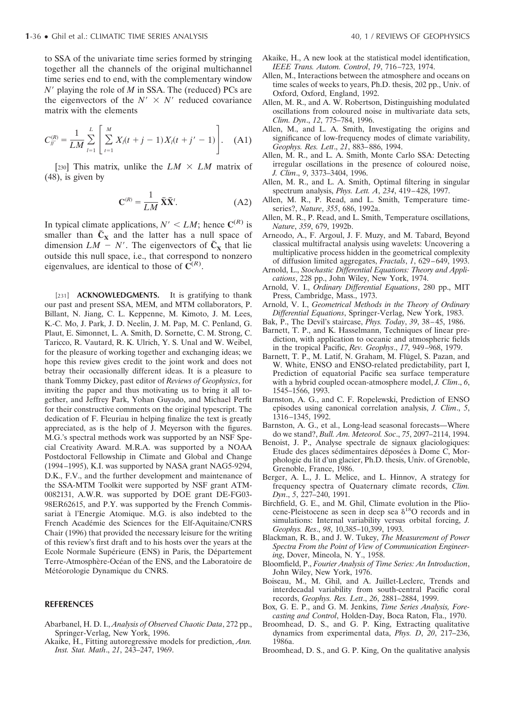to SSA of the univariate time series formed by stringing together all the channels of the original multichannel time series end to end, with the complementary window *N*<sup>'</sup> playing the role of *M* in SSA. The (reduced) PCs are the eigenvectors of the  $N' \times N'$  reduced covariance matrix with the elements

$$
C_{jj'}^{(R)} = \frac{1}{LM} \sum_{l=1}^{L} \left[ \sum_{t=1}^{M} X_l(t+j-1) X_l(t+j'-1) \right]. \quad (A1)
$$

[230] This matrix, unlike the  $LM \times LM$  matrix of (48), is given by

$$
\mathbf{C}^{(R)} = \frac{1}{LM} \tilde{\mathbf{X}} \tilde{\mathbf{X}}^t.
$$
 (A2)

In typical climate applications,  $N' \le LM$ ; hence  $\mathbb{C}^{(R)}$  is smaller than  $\tilde{C}_X$  and the latter has a null space of dimension  $LM - N'$ . The eigenvectors of  $\tilde{C}_X$  that lie outside this null space, i.e., that correspond to nonzero eigenvalues, are identical to those of  $\tilde{C}^{(R)}$ .

[231] **ACKNOWLEDGMENTS.** It is gratifying to thank our past and present SSA, MEM, and MTM collaborators, P. Billant, N. Jiang, C. L. Keppenne, M. Kimoto, J. M. Lees, K.-C. Mo, J. Park, J. D. Neelin, J. M. Pap, M. C. Penland, G. Plaut, E. Simonnet, L. A. Smith, D. Sornette, C. M. Strong, C. Taricco, R. Vautard, R. K. Ulrich, Y. S. Unal and W. Weibel, for the pleasure of working together and exchanging ideas; we hope this review gives credit to the joint work and does not betray their occasionally different ideas. It is a pleasure to thank Tommy Dickey, past editor of *Reviews of Geophysics*, for inviting the paper and thus motivating us to bring it all together, and Jeffrey Park, Yohan Guyado, and Michael Perfit for their constructive comments on the original typescript. The dedication of F. Fleuriau in helping finalize the text is greatly appreciated, as is the help of J. Meyerson with the figures. M.G.'s spectral methods work was supported by an NSF Special Creativity Award. M.R.A. was supported by a NOAA Postdoctoral Fellowship in Climate and Global and Change (1994–1995), K.I. was supported by NASA grant NAG5-9294, D.K., F.V., and the further development and maintenance of the SSA-MTM Toolkit were supported by NSF grant ATM-0082131, A.W.R. was supported by DOE grant DE-FG03- 98ER62615, and P.Y. was supported by the French Commissariat à l'Energie Atomique. M.G. is also indebted to the French Académie des Sciences for the Elf-Aquitaine/CNRS Chair (1996) that provided the necessary leisure for the writing of this review's first draft and to his hosts over the years at the Ecole Normale Supérieure (ENS) in Paris, the Département Terre-Atmosphère-Océan of the ENS, and the Laboratoire de Météorologie Dynamique du CNRS.

#### **REFERENCES**

- Abarbanel, H. D. I., *Analysis of Observed Chaotic Data*, 272 pp., Springer-Verlag, New York, 1996.
- Akaike, H., Fitting autoregressive models for prediction, *Ann. Inst. Stat. Math*., *21*, 243–247, 1969.
- Akaike, H., A new look at the statistical model identification, *IEEE Trans. Autom. Control*, *19*, 716–723, 1974.
- Allen, M., Interactions between the atmosphere and oceans on time scales of weeks to years, Ph.D. thesis, 202 pp., Univ. of Oxford, Oxford, England, 1992.
- Allen, M. R., and A. W. Robertson, Distinguishing modulated oscillations from coloured noise in multivariate data sets, *Clim. Dyn*., *12*, 775–784, 1996.
- Allen, M., and L. A. Smith, Investigating the origins and significance of low-frequency modes of climate variability, *Geophys. Res. Lett*., *21*, 883–886, 1994.
- Allen, M. R., and L. A. Smith, Monte Carlo SSA: Detecting irregular oscillations in the presence of coloured noise, *J. Clim*., *9*, 3373–3404, 1996.
- Allen, M. R., and L. A. Smith, Optimal filtering in singular spectrum analysis, *Phys. Lett. A*, *234*, 419–428, 1997.
- Allen, M. R., P. Read, and L. Smith, Temperature timeseries?, *Nature*, *355*, 686, 1992a.
- Allen, M. R., P. Read, and L. Smith, Temperature oscillations, *Nature*, *359*, 679, 1992b.
- Arneodo, A., F. Argoul, J. F. Muzy, and M. Tabard, Beyond classical multifractal analysis using wavelets: Uncovering a multiplicative process hidden in the geometrical complexity of diffusion limited aggregates, *Fractals*, *1*, 629–649, 1993.
- Arnold, L., *Stochastic Differential Equations: Theory and Applications*, 228 pp., John Wiley, New York, 1974.
- Arnold, V. I., *Ordinary Differential Equations*, 280 pp., MIT Press, Cambridge, Mass., 1973.
- Arnold, V. I., *Geometrical Methods in the Theory of Ordinary Differential Equations*, Springer-Verlag, New York, 1983.
- Bak, P., The Devil's staircase, *Phys. Today*, *39*, 38–45, 1986.
- Barnett, T. P., and K. Hasselmann, Techniques of linear prediction, with application to oceanic and atmospheric fields in the tropical Pacific, *Rev. Geophys*., *17*, 949–968, 1979.
- Barnett, T. P., M. Latif, N. Graham, M. Flügel, S. Pazan, and W. White, ENSO and ENSO-related predictability, part I, Prediction of equatorial Pacific sea surface temperature with a hybrid coupled ocean-atmosphere model, *J. Clim*., *6*, 1545–1566, 1993.
- Barnston, A. G., and C. F. Ropelewski, Prediction of ENSO episodes using canonical correlation analysis, *J. Clim*., *5*, 1316–1345, 1992.
- Barnston, A. G., et al., Long-lead seasonal forecasts—Where do we stand?, *Bull. Am. Meteorol. Soc*., *75*, 2097–2114, 1994.
- Benoist, J. P., Analyse spectrale de signaux glaciologiques: Etude des glaces sédimentaires déposées à Dome C, Morphologie du lit d'un glacier, Ph.D. thesis, Univ. of Grenoble, Grenoble, France, 1986.
- Berger, A. L., J. L. Melice, and L. Hinnov, A strategy for frequency spectra of Quaternary climate records, *Clim. Dyn*., *5*, 227–240, 1991.
- Birchfield, G. E., and M. Ghil, Climate evolution in the Pliocene-Pleistocene as seen in deep sea  $\delta^{18}$ O records and in simulations: Internal variability versus orbital forcing, *J. Geophys. Res*., *98*, 10,385–10,399, 1993.
- Blackman, R. B., and J. W. Tukey, *The Measurement of Power Spectra From the Point of View of Communication Engineering*, Dover, Mineola, N. Y., 1958.
- Bloomfield, P., *Fourier Analysis of Time Series: An Introduction*, John Wiley, New York, 1976.
- Boiseau, M., M. Ghil, and A. Juillet-Leclerc, Trends and interdecadal variability from south-central Pacific coral records, *Geophys. Res. Lett*., *26*, 2881–2884, 1999.
- Box, G. E. P., and G. M. Jenkins, *Time Series Analysis, Forecasting and Control*, Holden-Day, Boca Raton, Fla., 1970.
- Broomhead, D. S., and G. P. King, Extracting qualitative dynamics from experimental data, *Phys. D*, *20*, 217–236, 1986a.
- Broomhead, D. S., and G. P. King, On the qualitative analysis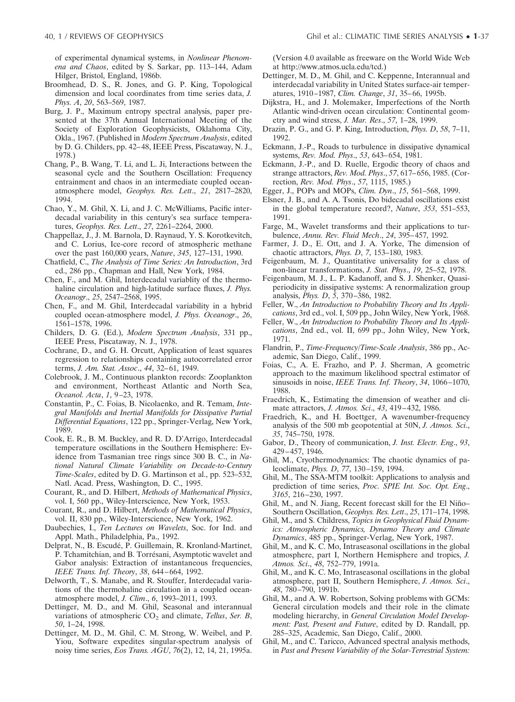of experimental dynamical systems, in *Nonlinear Phenomena and Chaos*, edited by S. Sarkar, pp. 113–144, Adam Hilger, Bristol, England, 1986b.

- Broomhead, D. S., R. Jones, and G. P. King, Topological dimension and local coordinates from time series data, *J. Phys. A*, *20*, 563–569, 1987.
- Burg, J. P., Maximum entropy spectral analysis, paper presented at the 37th Annual International Meeting of the Society of Exploration Geophysicists, Oklahoma City, Okla., 1967. (Published in *Modern Spectrum Analysis*, edited by D. G. Childers, pp. 42–48, IEEE Press, Piscataway, N. J., 1978.)
- Chang, P., B. Wang, T. Li, and L. Ji, Interactions between the seasonal cycle and the Southern Oscillation: Frequency entrainment and chaos in an intermediate coupled oceanatmosphere model, *Geophys. Res. Lett*., *21*, 2817–2820, 1994.
- Chao, Y., M. Ghil, X. Li, and J. C. McWilliams, Pacific interdecadal variability in this century's sea surface temperatures, *Geophys. Res. Lett*., *27*, 2261–2264, 2000.
- Chappellaz, J., J. M. Barnola, D. Raynaud, Y. S. Korotkevitch, and C. Lorius, Ice-core record of atmospheric methane over the past 160,000 years, *Nature*, *345*, 127–131, 1990.
- Chatfield, C., *The Analysis of Time Series: An Introduction*, 3rd ed., 286 pp., Chapman and Hall, New York, 1984.
- Chen, F., and M. Ghil, Interdecadal variablity of the thermohaline circulation and high-latitude surface fluxes, *J. Phys. Oceanogr*., *25*, 2547–2568, 1995.
- Chen, F., and M. Ghil, Interdecadal variability in a hybrid coupled ocean-atmosphere model, *J. Phys. Oceanogr*., *26*, 1561–1578, 1996.
- Childers, D. G. (Ed.), *Modern Spectrum Analysis*, 331 pp., IEEE Press, Piscataway, N. J., 1978.
- Cochrane, D., and G. H. Orcutt, Application of least squares regression to relationships containing autocorrelated error terms, *J. Am. Stat. Assoc*., *44*, 32–61, 1949.
- Colebrook, J. M., Continuous plankton records: Zooplankton and environment, Northeast Atlantic and North Sea, *Oceanol. Acta*, *1*, 9–23, 1978.
- Constantin, P., C. Foias, B. Nicolaenko, and R. Temam, *Integral Manifolds and Inertial Manifolds for Dissipative Partial Differential Equations*, 122 pp., Springer-Verlag, New York, 1989.
- Cook, E. R., B. M. Buckley, and R. D. D'Arrigo, Interdecadal temperature oscillations in the Southern Hemisphere: Evidence from Tasmanian tree rings since 300 B. C., in *National Natural Climate Variability on Decade-to-Century Time-Scales*, edited by D. G. Martinson et al., pp. 523–532, Natl. Acad. Press, Washington, D. C., 1995.
- Courant, R., and D. Hilbert, *Methods of Mathematical Physics*, vol. I, 560 pp., Wiley-Interscience, New York, 1953.
- Courant, R., and D. Hilbert, *Methods of Mathematical Physics*, vol. II, 830 pp., Wiley-Interscience, New York, 1962.
- Daubechies, I., *Ten Lectures on Wavelets*, Soc. for Ind. and Appl. Math., Philadelphia, Pa., 1992.
- Delprat, N., B. Escudé, P. Guillemain, R. Kronland-Martinet, P. Tchamitchian, and B. Torrésani, Asymptotic wavelet and Gabor analysis: Extraction of instantaneous frequencies, *IEEE Trans. Inf. Theory*, *38*, 644–664, 1992.
- Delworth, T., S. Manabe, and R. Stouffer, Interdecadal variations of the thermohaline circulation in a coupled oceanatmosphere model, *J. Clim*., *6*, 1993–2011, 1993.
- Dettinger, M. D., and M. Ghil, Seasonal and interannual variations of atmospheric CO<sub>2</sub> and climate, *Tellus*, *Ser. B*, *50*, 1–24, 1998.
- Dettinger, M. D., M. Ghil, C. M. Strong, W. Weibel, and P. Yiou, Software expedites singular-spectrum analysis of noisy time series, *Eos Trans. AGU*, *76*(2), 12, 14, 21, 1995a.

(Version 4.0 available as freeware on the World Wide Web at http://www.atmos.ucla.edu/tcd.)

- Dettinger, M. D., M. Ghil, and C. Keppenne, Interannual and interdecadal variability in United States surface-air temperatures, 1910–1987, *Clim. Change*, *31*, 35–66, 1995b.
- Dijkstra, H., and J. Molemaker, Imperfections of the North Atlantic wind-driven ocean circulation: Continental geometry and wind stress, *J. Mar. Res*., *57*, 1–28, 1999.
- Drazin, P. G., and G. P. King, Introduction, *Phys. D*, *58*, 7–11, 1992.
- Eckmann, J.-P., Roads to turbulence in dissipative dynamical systems, *Rev. Mod. Phys*., *53*, 643–654, 1981.
- Eckmann, J.-P., and D. Ruelle, Ergodic theory of chaos and strange attractors, *Rev. Mod. Phys*., *57*, 617–656, 1985. (Correction, *Rev. Mod. Phys*., *57*, 1115, 1985.)
- Egger, J., POPs and MOPs, *Clim. Dyn*., *15*, 561–568, 1999.
- Elsner, J. B., and A. A. Tsonis, Do bidecadal oscillations exist in the global temperature record?, *Nature*, *353*, 551–553, 1991.
- Farge, M., Wavelet transforms and their applications to turbulence, *Annu. Rev. Fluid Mech*., *24*, 395–457, 1992.
- Farmer, J. D., E. Ott, and J. A. Yorke, The dimension of chaotic attractors, *Phys. D*, *7*, 153–180, 1983.
- Feigenbaum, M. J., Quantitative universality for a class of non-linear transformations, *J. Stat. Phys*., *19*, 25–52, 1978.
- Feigenbaum, M. J., L. P. Kadanoff, and S. J. Shenker, Quasiperiodicity in dissipative systems: A renormalization group analysis, *Phys. D*, *5*, 370–386, 1982.
- Feller, W., *An Introduction to Probability Theory and Its Applications*, 3rd ed., vol. I, 509 pp., John Wiley, New York, 1968.
- Feller, W., *An Introduction to Probability Theory and Its Applications*, 2nd ed., vol. II, 699 pp., John Wiley, New York, 1971.
- Flandrin, P., *Time-Frequency/Time-Scale Analysis*, 386 pp., Academic, San Diego, Calif., 1999.
- Foias, C., A. E. Frazho, and P. J. Sherman, A geometric approach to the maximum likelihood spectral estimator of sinusoids in noise, *IEEE Trans. Inf. Theory*, *34*, 1066–1070, 1988.
- Fraedrich, K., Estimating the dimension of weather and climate attractors, *J. Atmos. Sci*., *43*, 419–432, 1986.
- Fraedrich, K., and H. Boettger, A wavenumber-frequency analysis of the 500 mb geopotential at 50N, *J. Atmos. Sci*., *35*, 745–750, 1978.
- Gabor, D., Theory of communication, *J. Inst. Electr. Eng*., *93*, 429–457, 1946.
- Ghil, M., Cryothermodynamics: The chaotic dynamics of paleoclimate, *Phys. D*, *77*, 130–159, 1994.
- Ghil, M., The SSA-MTM toolkit: Applications to analysis and prediction of time series, *Proc. SPIE Int. Soc. Opt. Eng*., *3165*, 216–230, 1997.
- Ghil, M., and N. Jiang, Recent forecast skill for the El Niño-Southern Oscillation, *Geophys. Res. Lett*., *25*, 171–174, 1998.
- Ghil, M., and S. Childress, *Topics in Geophysical Fluid Dynamics: Atmospheric Dynamics, Dynamo Theory and Climate Dynamics*, 485 pp., Springer-Verlag, New York, 1987.
- Ghil, M., and K. C. Mo, Intraseasonal oscillations in the global atmosphere, part I, Northern Hemisphere and tropics, *J. Atmos. Sci*., *48*, 752–779, 1991a.
- Ghil, M., and K. C. Mo, Intraseasonal oscillations in the global atmosphere, part II, Southern Hemisphere, *J. Atmos. Sci*., *48*, 780–790, 1991b.
- Ghil, M., and A. W. Robertson, Solving problems with GCMs: General circulation models and their role in the climate modeling hierarchy, in *General Circulation Model Development: Past, Present and Future*, edited by D. Randall, pp. 285–325, Academic, San Diego, Calif., 2000.
- Ghil, M., and C. Taricco, Advanced spectral analysis methods, in *Past and Present Variability of the Solar-Terrestrial System:*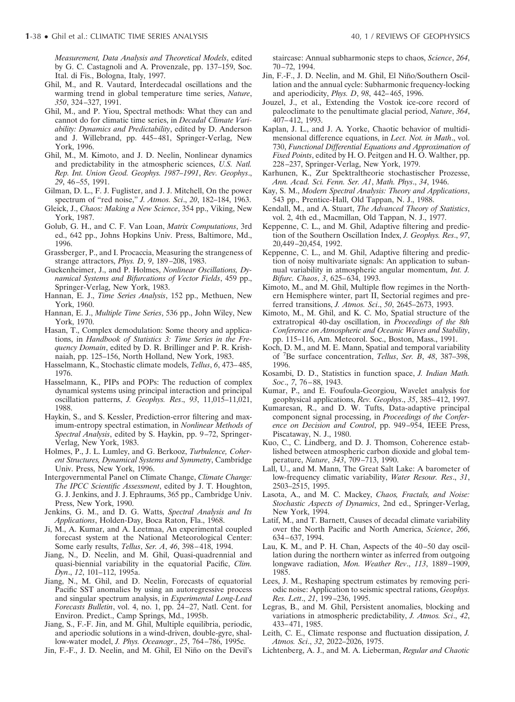*Measurement, Data Analysis and Theoretical Models*, edited by G. C. Castagnoli and A. Provenzale, pp. 137–159, Soc. Ital. di Fis., Bologna, Italy, 1997.

- Ghil, M., and R. Vautard, Interdecadal oscillations and the warming trend in global temperature time series, *Nature*, *350*, 324–327, 1991.
- Ghil, M., and P. Yiou, Spectral methods: What they can and cannot do for climatic time series, in *Decadal Climate Variability: Dynamics and Predictability*, edited by D. Anderson and J. Willebrand, pp. 445–481, Springer-Verlag, New York, 1996.
- Ghil, M., M. Kimoto, and J. D. Neelin, Nonlinear dynamics and predictability in the atmospheric sciences, *U.S. Natl. Rep. Int. Union Geod. Geophys. 1987–1991*, *Rev. Geophys*., *29*, 46–55, 1991.
- Gilman, D. L., F. J. Fuglister, and J. J. Mitchell, On the power spectrum of "red noise," *J. Atmos. Sci*., *20*, 182–184, 1963.
- Gleick, J., *Chaos: Making a New Science*, 354 pp., Viking, New York, 1987.
- Golub, G. H., and C. F. Van Loan, *Matrix Computations*, 3rd ed., 642 pp., Johns Hopkins Univ. Press, Baltimore, Md., 1996.
- Grassberger, P., and I. Procaccia, Measuring the strangeness of strange attractors, *Phys. D*, *9*, 189–208, 1983.
- Guckenheimer, J., and P. Holmes, *Nonlinear Oscillations, Dynamical Systems and Bifurcations of Vector Fields*, 459 pp., Springer-Verlag, New York, 1983.
- Hannan, E. J., *Time Series Analysis*, 152 pp., Methuen, New York, 1960.
- Hannan, E. J., *Multiple Time Series*, 536 pp., John Wiley, New York, 1970.
- Hasan, T., Complex demodulation: Some theory and applications, in *Handbook of Statistics 3: Time Series in the Frequency Domain*, edited by D. R. Brillinger and P. R. Krishnaiah, pp. 125–156, North Holland, New York, 1983.
- Hasselmann, K., Stochastic climate models, *Tellus*, *6*, 473–485, 1976.
- Hasselmann, K., PIPs and POPs: The reduction of complex dynamical systems using principal interaction and principal oscillation patterns, *J. Geophys. Res*., *93*, 11,015–11,021, 1988.
- Haykin, S., and S. Kessler, Prediction-error filtering and maximum-entropy spectral estimation, in *Nonlinear Methods of Spectral Analysis*, edited by S. Haykin, pp. 9–72, Springer-Verlag, New York, 1983.
- Holmes, P., J. L. Lumley, and G. Berkooz, *Turbulence, Coherent Structures, Dynamical Systems and Symmetry*, Cambridge Univ. Press, New York, 1996.
- Intergovernmental Panel on Climate Change, *Climate Change: The IPCC Scientific Assessment*, edited by J. T. Houghton, G. J. Jenkins, and J. J. Ephraums, 365 pp., Cambridge Univ. Press, New York, 1990.
- Jenkins, G. M., and D. G. Watts, *Spectral Analysis and Its Applications*, Holden-Day, Boca Raton, Fla., 1968.
- Ji, M., A. Kumar, and A. Leetmaa, An experimental coupled forecast system at the National Meteorological Center: Some early results, *Tellus*, *Ser. A*, *46*, 398–418, 1994.
- Jiang, N., D. Neelin, and M. Ghil, Quasi-quadrennial and quasi-biennial variability in the equatorial Pacific, *Clim. Dyn*., *12*, 101–112, 1995a.
- Jiang, N., M. Ghil, and D. Neelin, Forecasts of equatorial Pacific SST anomalies by using an autoregressive process and singular spectrum analysis, in *Experimental Long-Lead Forecasts Bulletin*, vol. 4, no. 1, pp. 24–27, Natl. Cent. for Environ. Predict., Camp Springs, Md., 1995b.
- Jiang, S., F.-F. Jin, and M. Ghil, Multiple equilibria, periodic, and aperiodic solutions in a wind-driven, double-gyre, shallow-water model, *J. Phys. Oceanogr*., *25*, 764–786, 1995c.
- Jin, F.-F., J. D. Neelin, and M. Ghil, El Niño on the Devil's

staircase: Annual subharmonic steps to chaos, *Science*, *264*, 70–72, 1994.

- Jin, F.-F., J. D. Neelin, and M. Ghil, El Niño/Southern Oscillation and the annual cycle: Subharmonic frequency-locking and aperiodicity, *Phys. D*, *98*, 442–465, 1996.
- Jouzel, J., et al., Extending the Vostok ice-core record of paleoclimate to the penultimate glacial period, *Nature*, *364*, 407–412, 1993.
- Kaplan, J. L., and J. A. Yorke, Chaotic behavior of multidimensional difference equations, in *Lect. Not. in Math*., vol. 730, *Functional Differential Equations and Approximation of Fixed Points*, edited by H. O. Peitgen and H. O. Walther, pp. 228–237, Springer-Verlag, New York, 1979.
- Karhunen, K., Zur Spektraltheorie stochastischer Prozesse, *Ann. Acad. Sci. Fenn. Ser. A1*, *Math. Phys*., *34*, 1946.
- Kay, S. M., *Modern Spectral Analysis: Theory and Applications*, 543 pp., Prentice-Hall, Old Tappan, N. J., 1988.
- Kendall, M., and A. Stuart, *The Advanced Theory of Statistics*, vol. 2, 4th ed., Macmillan, Old Tappan, N. J., 1977.
- Keppenne, C. L., and M. Ghil, Adaptive filtering and prediction of the Southern Oscillation Index, *J. Geophys. Res*., *97*, 20,449–20,454, 1992.
- Keppenne, C. L., and M. Ghil, Adaptive filtering and prediction of noisy multivariate signals: An application to subannual variability in atmospheric angular momentum, *Int. J. Bifurc. Chaos*, *3*, 625–634, 1993.
- Kimoto, M., and M. Ghil, Multiple flow regimes in the Northern Hemisphere winter, part II, Sectorial regimes and preferred transitions, *J. Atmos. Sci*., *50*, 2645–2673, 1993.
- Kimoto, M., M. Ghil, and K. C. Mo, Spatial structure of the extratropical 40-day oscillation, in *Proceedings of the 8th Conference on Atmospheric and Oceanic Waves and Stability*, pp. 115–116, Am. Meteorol. Soc., Boston, Mass., 1991.
- Koch, D. M., and M. E. Mann, Spatial and temporal variability of <sup>7</sup> Be surface concentration, *Tellus*, *Ser. B*, *48*, 387–398, 1996.
- Kosambi, D. D., Statistics in function space, *J. Indian Math. Soc*., *7*, 76–88, 1943.
- Kumar, P., and E. Foufoula-Georgiou, Wavelet analysis for geophysical applications, *Rev. Geophys*., *35*, 385–412, 1997.
- Kumaresan, R., and D. W. Tufts, Data-adaptive principal component signal processing, in *Proceedings of the Conference on Decision and Control*, pp. 949–954, IEEE Press, Piscataway, N. J., 1980.
- Kuo, C., C. Lindberg, and D. J. Thomson, Coherence established between atmospheric carbon dioxide and global temperature, *Nature*, *343*, 709–713, 1990.
- Lall, U., and M. Mann, The Great Salt Lake: A barometer of low-frequency climatic variability, *Water Resour. Res*., *31*, 2503–2515, 1995.
- Lasota, A., and M. C. Mackey, *Chaos, Fractals, and Noise: Stochastic Aspects of Dynamics*, 2nd ed., Springer-Verlag, New York, 1994.
- Latif, M., and T. Barnett, Causes of decadal climate variability over the North Pacific and North America, *Science*, *266*, 634–637, 1994.
- Lau, K. M., and P. H. Chan, Aspects of the 40–50 day oscillation during the northern winter as inferred from outgoing longwave radiation, *Mon. Weather Rev*., *113*, 1889–1909, 1985.
- Lees, J. M., Reshaping spectrum estimates by removing periodic noise: Application to seismic spectral rations, *Geophys. Res. Lett*., *21*, 199–236, 1995.
- Legras, B., and M. Ghil, Persistent anomalies, blocking and variations in atmospheric predictability, *J. Atmos. Sci*., *42*, 433–471, 1985.
- Leith, C. E., Climate response and fluctuation dissipation, *J. Atmos. Sci*., *32*, 2022–2026, 1975.
- Lichtenberg, A. J., and M. A. Lieberman, *Regular and Chaotic*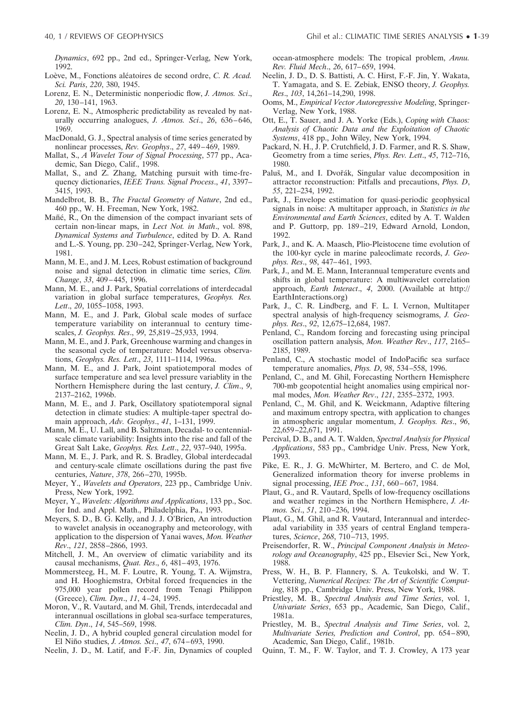*Dynamics*, 692 pp., 2nd ed., Springer-Verlag, New York, 1992.

- Loève, M., Fonctions aléatoires de second ordre, *C. R. Acad. Sci. Paris*, *220*, 380, 1945.
- Lorenz, E. N., Deterministic nonperiodic flow, *J. Atmos. Sci*., *20*, 130–141, 1963.
- Lorenz, E. N., Atmospheric predictability as revealed by naturally occurring analogues, *J. Atmos. Sci*., *26*, 636–646, 1969.
- MacDonald, G. J., Spectral analysis of time series generated by nonlinear processes, *Rev. Geophys*., *27*, 449–469, 1989.
- Mallat, S., *A Wavelet Tour of Signal Processing*, 577 pp., Academic, San Diego, Calif., 1998.
- Mallat, S., and Z. Zhang, Matching pursuit with time-frequency dictionaries, *IEEE Trans. Signal Process*., *41*, 3397– 3415, 1993.
- Mandelbrot, B. B., *The Fractal Geometry of Nature*, 2nd ed., 460 pp., W. H. Freeman, New York, 1982.
- Mañé, R., On the dimension of the compact invariant sets of certain non-linear maps, in *Lect Not. in Math*., vol. 898, *Dynamical Systems and Turbulence*, edited by D. A. Rand and L.-S. Young, pp. 230–242, Springer-Verlag, New York, 1981.
- Mann, M. E., and J. M. Lees, Robust estimation of background noise and signal detection in climatic time series, *Clim. Change*, *33*, 409–445, 1996.
- Mann, M. E., and J. Park, Spatial correlations of interdecadal variation in global surface temperatures, *Geophys. Res. Lett*., *20*, 1055–1058, 1993.
- Mann, M. E., and J. Park, Global scale modes of surface temperature variability on interannual to century timescales, *J. Geophys. Res*., *99*, 25,819–25,933, 1994.
- Mann, M. E., and J. Park, Greenhouse warming and changes in the seasonal cycle of temperature: Model versus observations, *Geophys. Res. Lett*., *23*, 1111–1114, 1996a.
- Mann, M. E., and J. Park, Joint spatiotemporal modes of surface temperature and sea level pressure variablity in the Northern Hemisphere during the last century, *J. Clim*., *9*, 2137–2162, 1996b.
- Mann, M. E., and J. Park, Oscillatory spatiotemporal signal detection in climate studies: A multiple-taper spectral domain approach, *Adv. Geophys*., *41*, 1–131, 1999.
- Mann, M. E., U. Lall, and B. Saltzman, Decadal- to centennialscale climate variability: Insights into the rise and fall of the Great Salt Lake, *Geophys. Res. Lett*., *22*, 937–940, 1995a.
- Mann, M. E., J. Park, and R. S. Bradley, Global interdecadal and century-scale climate oscillations during the past five centuries, *Nature*, *378*, 266–270, 1995b.
- Meyer, Y., *Wavelets and Operators*, 223 pp., Cambridge Univ. Press, New York, 1992.
- Meyer, Y., *Wavelets: Algorithms and Applications*, 133 pp., Soc. for Ind. and Appl. Math., Philadelphia, Pa., 1993.
- Meyers, S. D., B. G. Kelly, and J. J. O'Brien, An introduction to wavelet analysis in oceanography and meteorology, with application to the dispersion of Yanai waves, *Mon. Weather Rev*., *121*, 2858–2866, 1993.
- Mitchell, J. M., An overview of climatic variability and its causal mechanisms, *Quat. Res*., *6*, 481–493, 1976.
- Mommersteeg, H., M. F. Loutre, R. Young, T. A. Wijmstra, and H. Hooghiemstra, Orbital forced frequencies in the 975,000 year pollen record from Tenagi Philippon (Greece), *Clim. Dyn*., *11*, 4–24, 1995.
- Moron, V., R. Vautard, and M. Ghil, Trends, interdecadal and interannual oscillations in global sea-surface temperatures, *Clim. Dyn*., *14*, 545–569, 1998.
- Neelin, J. D., A hybrid coupled general circulation model for El Nin˜o studies, *J. Atmos. Sci*., *<sup>47</sup>*, 674–693, 1990.
- Neelin, J. D., M. Latif, and F.-F. Jin, Dynamics of coupled

ocean-atmosphere models: The tropical problem, *Annu. Rev. Fluid Mech*., *26*, 617–659, 1994.

- Neelin, J. D., D. S. Battisti, A. C. Hirst, F.-F. Jin, Y. Wakata, T. Yamagata, and S. E. Zebiak, ENSO theory, *J. Geophys. Res*., *103*, 14,261–14,290, 1998.
- Ooms, M., *Empirical Vector Autoregressive Modeling*, Springer-Verlag, New York, 1988.
- Ott, E., T. Sauer, and J. A. Yorke (Eds.), *Coping with Chaos: Analysis of Chaotic Data and the Exploitation of Chaotic Systems*, 418 pp., John Wiley, New York, 1994.
- Packard, N. H., J. P. Crutchfield, J. D. Farmer, and R. S. Shaw, Geometry from a time series, *Phys. Rev. Lett*., *45*, 712–716, 1980.
- Paluš, M., and I. Dvořák, Singular value decomposition in attractor reconstruction: Pitfalls and precautions, *Phys. D*, *55*, 221–234, 1992.
- Park, J., Envelope estimation for quasi-periodic geophysical signals in noise: A multitaper approach, in *Statistics in the Environmental and Earth Sciences*, edited by A. T. Walden and P. Guttorp, pp. 189–219, Edward Arnold, London, 1992.
- Park, J., and K. A. Maasch, Plio-Pleistocene time evolution of the 100-kyr cycle in marine paleoclimate records, *J. Geophys. Res*., *98*, 447–461, 1993.
- Park, J., and M. E. Mann, Interannual temperature events and shifts in global temperature: A multiwavelet correlation approach, *Earth Interact*., *4*, 2000. (Available at http:// EarthInteractions.org)
- Park, J., C. R. Lindberg, and F. L. I. Vernon, Multitaper spectral analysis of high-frequency seismograms, *J. Geophys. Res*., *92*, 12,675–12,684, 1987.
- Penland, C., Random forcing and forecasting using principal oscillation pattern analysis, *Mon. Weather Rev*., *117*, 2165– 2185, 1989.
- Penland, C., A stochastic model of IndoPacific sea surface temperature anomalies, *Phys. D*, *98*, 534–558, 1996.
- Penland, C., and M. Ghil, Forecasting Northern Hemisphere 700-mb geopotential height anomalies using empirical normal modes, *Mon. Weather Rev*., *121*, 2355–2372, 1993.
- Penland, C., M. Ghil, and K. Weickmann, Adaptive filtering and maximum entropy spectra, with application to changes in atmospheric angular momentum, *J. Geophys. Res*., *96*, 22,659–22,671, 1991.
- Percival, D. B., and A. T. Walden, *Spectral Analysis for Physical Applications*, 583 pp., Cambridge Univ. Press, New York, 1993.
- Pike, E. R., J. G. McWhirter, M. Bertero, and C. de Mol, Generalized information theory for inverse problems in signal processing, *IEE Proc*., *131*, 660–667, 1984.
- Plaut, G., and R. Vautard, Spells of low-frequency oscillations and weather regimes in the Northern Hemisphere, *J. Atmos. Sci*., *51*, 210–236, 1994.
- Plaut, G., M. Ghil, and R. Vautard, Interannual and interdecadal variability in 335 years of central England temperatures, *Science*, *268*, 710–713, 1995.
- Preisendorfer, R. W., *Principal Component Analysis in Meteorology and Oceanography*, 425 pp., Elsevier Sci., New York, 1988.
- Press, W. H., B. P. Flannery, S. A. Teukolski, and W. T. Vettering, *Numerical Recipes: The Art of Scientific Computing*, 818 pp., Cambridge Univ. Press, New York, 1988.
- Priestley, M. B., *Spectral Analysis and Time Series*, vol. 1, *Univariate Series*, 653 pp., Academic, San Diego, Calif., 1981a.
- Priestley, M. B., *Spectral Analysis and Time Series*, vol. 2, *Multivariate Series, Prediction and Control*, pp. 654–890, Academic, San Diego, Calif., 1981b.
- Quinn, T. M., F. W. Taylor, and T. J. Crowley, A 173 year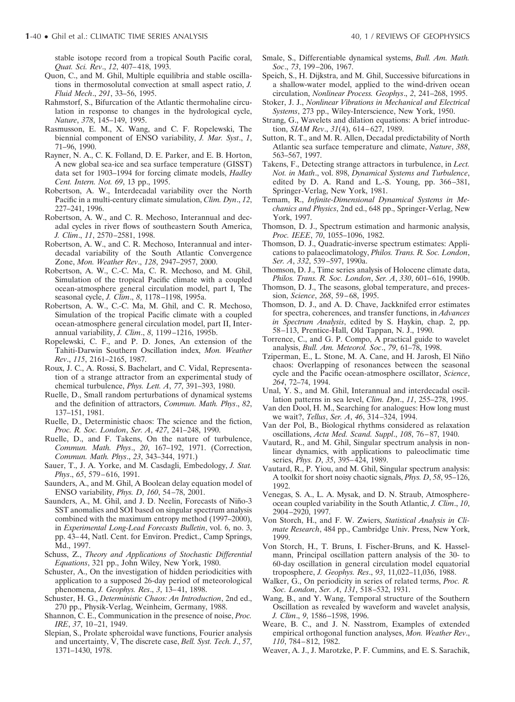stable isotope record from a tropical South Pacific coral, *Quat. Sci. Rev*., *12*, 407–418, 1993.

- Quon, C., and M. Ghil, Multiple equilibria and stable oscillations in thermosolutal convection at small aspect ratio, *J. Fluid Mech*., *291*, 33–56, 1995.
- Rahmstorf, S., Bifurcation of the Atlantic thermohaline circulation in response to changes in the hydrological cycle, *Nature*, *378*, 145–149, 1995.
- Rasmusson, E. M., X. Wang, and C. F. Ropelewski, The biennial component of ENSO variability, *J. Mar. Syst*., *1*, 71–96, 1990.
- Rayner, N. A., C. K. Folland, D. E. Parker, and E. B. Horton, A new global sea-ice and sea surface temperature (GISST) data set for 1903–1994 for forcing climate models, *Hadley Cent. Intern. Not. 69*, 13 pp., 1995.
- Robertson, A. W., Interdecadal variability over the North Pacific in a multi-century climate simulation, *Clim. Dyn*., *12*, 227–241, 1996.
- Robertson, A. W., and C. R. Mechoso, Interannual and decadal cycles in river flows of southeastern South America, *J. Clim*., *11*, 2570–2581, 1998.
- Robertson, A. W., and C. R. Mechoso, Interannual and interdecadal variability of the South Atlantic Convergence Zone, *Mon. Weather Rev*., *128*, 2947–2957, 2000.
- Robertson, A. W., C.-C. Ma, C. R. Mechoso, and M. Ghil, Simulation of the tropical Pacific climate with a coupled ocean-atmosphere general circulation model, part I, The seasonal cycle, *J. Clim*., *8*, 1178–1198, 1995a.
- Robertson, A. W., C.-C. Ma, M. Ghil, and C. R. Mechoso, Simulation of the tropical Pacific climate with a coupled ocean-atmosphere general circulation model, part II, Interannual variability, *J. Clim*., *8*, 1199–1216, 1995b.
- Ropelewski, C. F., and P. D. Jones, An extension of the Tahiti-Darwin Southern Oscillation index, *Mon. Weather Rev*., *115*, 2161–2165, 1987.
- Roux, J. C., A. Rossi, S. Bachelart, and C. Vidal, Representation of a strange attractor from an experimental study of chemical turbulence, *Phys. Lett. A*, *77*, 391–393, 1980.
- Ruelle, D., Small random perturbations of dynamical systems and the definition of attractors, *Commun. Math. Phys*., *82*, 137–151, 1981.
- Ruelle, D., Deterministic chaos: The science and the fiction, *Proc. R. Soc. London*, *Ser. A*, *427*, 241–248, 1990.
- Ruelle, D., and F. Takens, On the nature of turbulence, *Commun. Math. Phys*., *20*, 167–192, 1971. (Correction, *Commun. Math. Phys*., *23*, 343–344, 1971.)
- Sauer, T., J. A. Yorke, and M. Casdagli, Embedology, *J. Stat. Phys*., *65*, 579–616, 1991.
- Saunders, A., and M. Ghil, A Boolean delay equation model of ENSO variability, *Phys. D*, *160*, 54–78, 2001.
- Saunders, A., M. Ghil, and J. D. Neelin, Forecasts of Niño-3 SST anomalies and SOI based on singular spectrum analysis combined with the maximum entropy method (1997–2000), in *Experimental Long-Lead Forecasts Bulletin*, vol. 6, no. 3, pp. 43–44, Natl. Cent. for Environ. Predict., Camp Springs, Md., 1997.
- Schuss, Z., *Theory and Applications of Stochastic Differential Equations*, 321 pp., John Wiley, New York, 1980.
- Schuster, A., On the investigation of hidden periodicities with application to a supposed 26-day period of meteorological phenomena, *J. Geophys. Res*., *3*, 13–41, 1898.
- Schuster, H. G., *Deterministic Chaos: An Introduction*, 2nd ed., 270 pp., Physik-Verlag, Weinheim, Germany, 1988.
- Shannon, C. E., Communication in the presence of noise, *Proc. IRE*, *37*, 10–21, 1949.
- Slepian, S., Prolate spheroidal wave functions, Fourier analysis and uncertainty, V, The discrete case, *Bell. Syst. Tech. J*., *57*, 1371–1430, 1978.
- Smale, S., Differentiable dynamical systems, *Bull. Am. Math. Soc*., *73*, 199–206, 1967.
- Speich, S., H. Dijkstra, and M. Ghil, Successive bifurcations in a shallow-water model, applied to the wind-driven ocean circulation, *Nonlinear Process. Geophys*., *2*, 241–268, 1995.
- Stoker, J. J., *Nonlinear Vibrations in Mechanical and Electrical Systems*, 273 pp., Wiley-Interscience, New York, 1950.
- Strang, G., Wavelets and dilation equations: A brief introduction, *SIAM Rev*., *31*(4), 614–627, 1989.
- Sutton, R. T., and M. R. Allen, Decadal predictability of North Atlantic sea surface temperature and climate, *Nature*, *388*, 563–567, 1997.
- Takens, F., Detecting strange attractors in turbulence, in *Lect. Not. in Math*., vol. 898, *Dynamical Systems and Turbulence*, edited by D. A. Rand and L.-S. Young, pp. 366–381, Springer-Verlag, New York, 1981.
- Temam, R., *Infinite-Dimensional Dynamical Systems in Mechanics and Physics*, 2nd ed., 648 pp., Springer-Verlag, New York, 1997.
- Thomson, D. J., Spectrum estimation and harmonic analysis, *Proc. IEEE*, *70*, 1055–1096, 1982.
- Thomson, D. J., Quadratic-inverse spectrum estimates: Applications to palaeoclimatology, *Philos. Trans. R. Soc. London*, *Ser. A*, *332*, 539–597, 1990a.
- Thomson, D. J., Time series analysis of Holocene climate data, *Philos. Trans. R. Soc. London*, *Ser. A*, *330*, 601–616, 1990b.
- Thomson, D. J., The seasons, global temperature, and precession, *Science*, *268*, 59–68, 1995.
- Thomson, D. J., and A. D. Chave, Jackknifed error estimates for spectra, coherences, and transfer functions, in *Advances in Spectrum Analysis*, edited by S. Haykin, chap. 2, pp. 58–113, Prentice-Hall, Old Tappan, N. J., 1990.
- Torrence, C., and G. P. Compo, A practical guide to wavelet analysis, *Bull. Am. Meteorol. Soc*., *79*, 61–78, 1998.
- Tziperman, E., L. Stone, M. A. Cane, and H. Jarosh, El Niño chaos: Overlapping of resonances between the seasonal cycle and the Pacific ocean-atmosphere oscillator, *Science*, *264*, 72–74, 1994.
- Unal, Y. S., and M. Ghil, Interannual and interdecadal oscillation patterns in sea level, *Clim. Dyn*., *11*, 255–278, 1995.
- Van den Dool, H. M., Searching for analogues: How long must we wait?, *Tellus*, *Ser. A*, *46*, 314–324, 1994.
- Van der Pol, B., Biological rhythms considered as relaxation oscillations, *Acta Med. Scand. Suppl*., *108*, 76–87, 1940.
- Vautard, R., and M. Ghil, Singular spectrum analysis in nonlinear dynamics, with applications to paleoclimatic time series, *Phys. D*, *35*, 395–424, 1989.
- Vautard, R., P. Yiou, and M. Ghil, Singular spectrum analysis: A toolkit for short noisy chaotic signals, *Phys. D*, *58*, 95–126, 1992.
- Venegas, S. A., L. A. Mysak, and D. N. Straub, Atmosphereocean coupled variability in the South Atlantic, *J. Clim*., *10*, 2904–2920, 1997.
- Von Storch, H., and F. W. Zwiers, *Statistical Analysis in Climate Research*, 484 pp., Cambridge Univ. Press, New York, 1999.
- Von Storch, H., T. Bruns, I. Fischer-Bruns, and K. Hasselmann, Principal oscillation pattern analysis of the 30- to 60-day oscillation in general circulation model equatorial troposphere, *J. Geophys. Res*., *93*, 11,022–11,036, 1988.
- Walker, G., On periodicity in series of related terms, *Proc. R. Soc. London*, *Ser. A*, *131*, 518–532, 1931.
- Wang, B., and Y. Wang, Temporal structure of the Southern Oscillation as revealed by waveform and wavelet analysis, *J. Clim*., *9*, 1586–1598, 1996.
- Weare, B. C., and J. N. Nasstrom, Examples of extended empirical orthogonal function analyses, *Mon. Weather Rev*., *110*, 784–812, 1982.
- Weaver, A. J., J. Marotzke, P. F. Cummins, and E. S. Sarachik,